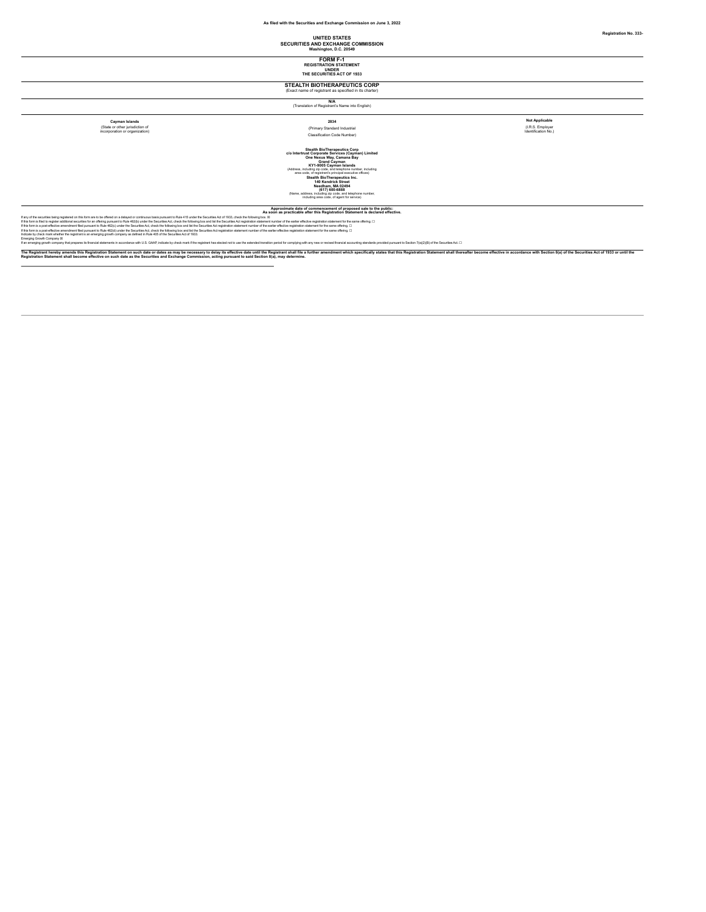# **UNITED STATES SECURITIES AND EXCHANGE COMMISSION Washington, D.C. 20549**

**FORM F-1 REGISTRATION STATEMENT UNDER THE SECURITIES ACT OF 1933**

# **STEALTH BIOTHERAPEUTICS CORP** (Exact name of registrant as specified in its charter)

**N/A**<br>(Translation of Registrant's Name into English)

(State or other jurisdiction of incorporation or organization)

# **Cayman Islands Notable Report of Code 12834**<br>| Application of Cayman Islands and Classification Code Number (Primary Standard Industrial Classification Classification No. 1<br>| Classification Classification Code Number)<br>|

(I.R.S. Employer Identification No.)

Colombia Stealth BioTherapoulics Corp<br>
Stealth BioTherapoulics Corporation Services (Cayman) Limited<br>
One Recorded Communication<br>
CAddress, notating accorded Communication<br>
Steadton Communication<br>
are constant parameter in

if any different interpretation in the mark of the content of the state of the content and property and the state of the content of the content of the content of the content of the content of the content of the content of

The Registrant hereby amends this registration Statement on such date or date as may be nocessay to delay its effective dat until the Registrant shall file is further amendment which specifically states that this Registrat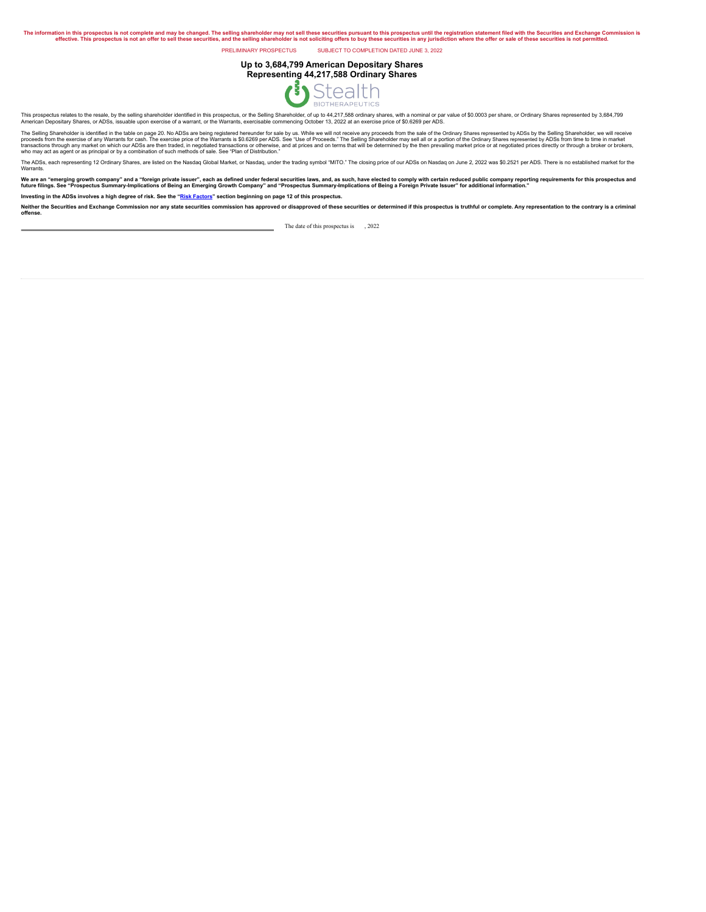The information in this prospectus is not complete and may be changed. The selling shareholder may not sell these securities, und the selling stareholder is not selling shareholder is not sourchilder. In the selling shareh

PRELIMINARY PROSPECTUS SUBJECT TO COMPLETION DATED JUNE 3, 2022

# **Up to 3,684,799 American Depositary Shares Representing 44,217,588 Ordinary Shares**



This prospectus relates to the resale, by the selling shareholder identified in this prospectus, or the Selling Shareholder, of up to 44,217,588 ordinary shares, with a nominal or par value of \$0.0003 per share, or Ordinar

The Seling Shareholder is identified in the table on page 20. No ADSs are thein registered hereunder for sale by us. While we will not receive means them were represented by ADSs by the Seling Shareholder, we will be deter

The ADSs, each representing 12 Ordinary Shares, are listed on the Nasdaq Global Market, or Nasdaq, under the trading symbol "MITO." The closing price of our ADSs on Nasdaq on June 2, 2022 was \$0.2521 per ADS. There is no e Warrants.

We are an "emerging growth company" and a "foreign private issuer", each as defined under federal securities laws, and, as such, have elected to compy with certain reduced public company reporting requirements for this pro

Investing in the ADSs involves a high degree of risk. See the "Risk [Factors](#page-11-0)" section beginning on page 12 of this prospectus.

Neither the Securities and Exchange Commission nor any state securities commission has approved or disapproved of these securities or determined if this prospectus is truthful or complete. Any representation to the contrar

The date of this prospectus is  $, 2022$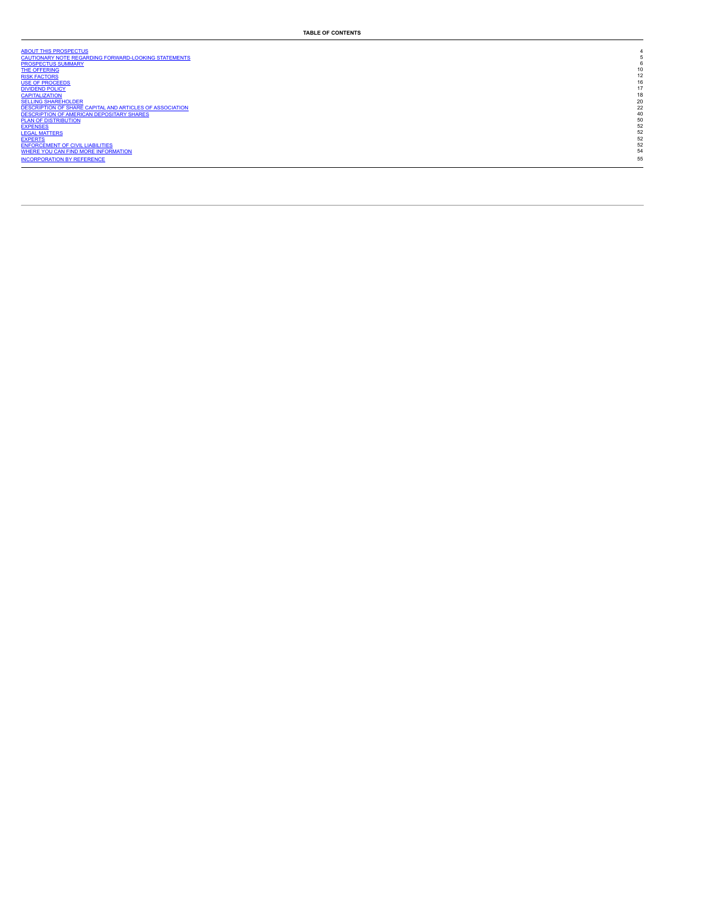| ABOUT THIS PROSPECTUS                                    |    |
|----------------------------------------------------------|----|
| CAUTIONARY NOTE REGARDING FORWARD-LOOKING STATEMENTS     |    |
| <b>PROSPECTUS SUMMARY</b>                                |    |
| <b>THE OFFERING</b>                                      | 10 |
| <b>RISK FACTORS</b>                                      | 12 |
| <b>USE OF PROCEEDS</b>                                   | 16 |
| <b>DIVIDEND POLICY</b>                                   | 17 |
| <b>CAPITALIZATION</b>                                    | 18 |
| <b>SELLING SHAREHOLDER</b>                               | 20 |
| DESCRIPTION OF SHARE CAPITAL AND ARTICLES OF ASSOCIATION | 22 |
| DESCRIPTION OF AMERICAN DEPOSITARY SHARES                | 40 |
| <b>PLAN OF DISTRIBUTION</b>                              | 50 |
| <b>EXPENSES</b>                                          | 52 |
| <b>LEGAL MATTERS</b>                                     | 52 |
| <b>EXPERTS</b>                                           | 52 |
| <b>ENFORCEMENT OF CIVIL LIABILITIES</b>                  | 52 |
| WHERE YOU CAN FIND MORE INFORMATION                      | 54 |
| <b>INCORPORATION BY REFERENCE</b>                        | 55 |
|                                                          |    |
|                                                          |    |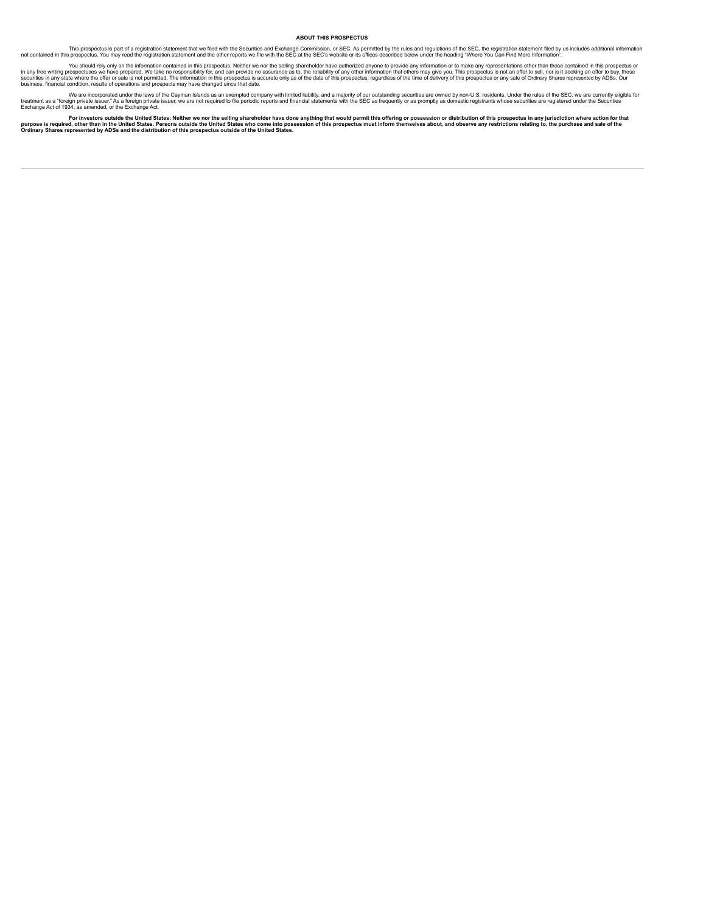#### <span id="page-3-0"></span>**ABOUT THIS PROSPECTUS**

This prospectus is part of a registration statement that we filed with the Securities and Exchange Commission, or SEC. As permitted by the nules and registration statement and the other reports we file with the SEC at the

in any free writing rospectuses we have prepared. We take no responsibility for, and can provide no assurance as to, the reliability of any direct move any members any from any free writing prepared in any free writing pre

treatment as a "foreine for the or porated under the laws of the Cayman Islands as an exempted company with limited liability, and a majority of our outstanding securities are owned by non-U.S. residents. Under the rules o

purpose is required or a mestors outside the United States: Neither we nor the selling shareholder have done anything that would permit this offering or possession or distribution of this prospectus in any jurisdiction whe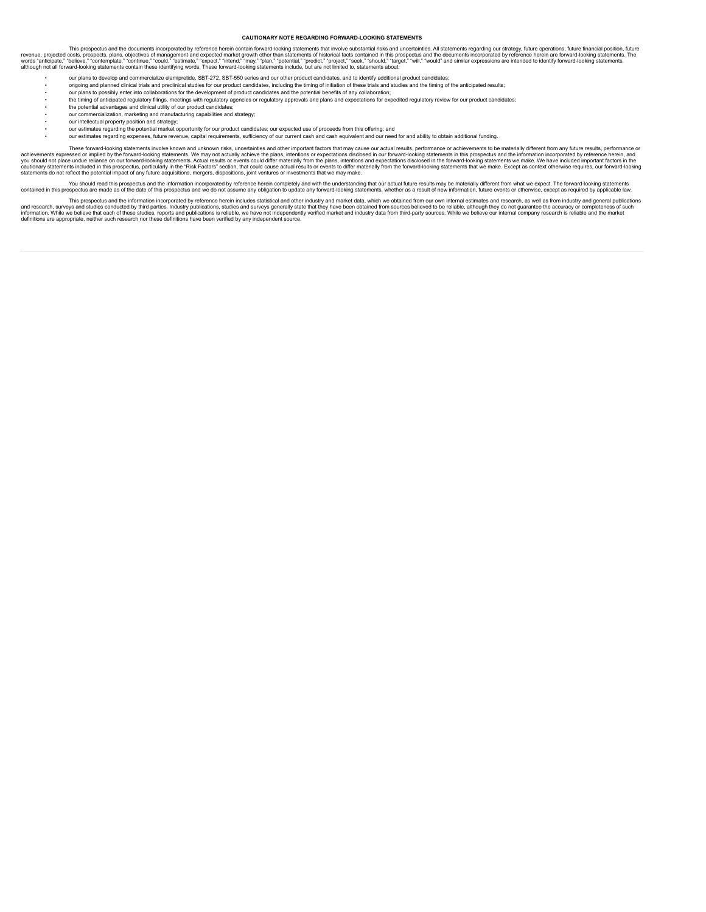#### <span id="page-4-0"></span>**CAUTIONARY NOTE REGARDING FORWARD-LOOKING STATEMENTS**

revenue, projected costs, prospects and the documents incorporated by reference herein contain forward-looking statements that involve substantial risks and uncertains that increases are and the documents incorporated by r

- our plans to develop and commercialize elamipretide, SBT-272, SBT-550 series and our other product candidates, and to identify additional product candidates;
- ongoing and planned clinical trials and preclinical studies for our product candidates, including the timing of initiation of these trials and studies and the timing of the anticipated results;
- our plans to possibly enter into collaborations for the development of product candidates and the potential benefits of any collaboration;
- the timing of anticipated regulatory filings, meetings with regulatory agencies or regulatory approvals and plans and expectations for expedited regulatory review for our product candidates;<br>• the potential
- our commercialization, marketing and manufacturing capabilities and strategy; our intellectual property position and strategy;
- 
- our estimates regarding the potential market opportunity for our product candidates; our expected use of proceeds from this offering; and
- our estimates regarding expenses, future revenue, capital requirements, sufficiency of our current cash and cash equivalent and our need for and ability to obtain additional funding.

These forward-looking statements involve known and unknown risks, uncertainties and other important factors that may cause our actual results, performance or achievements to be materially different from any future results,

You should read this prospectus and the information incorporated by reference herein completely and with the understanding that our actual future results may be materially different from what we expect. The forward-looking contained in this prospectus are made as of the date of this prospectus and we do not assume any obligation to update any forward-looking statements, whether as a result of new information, future events or otherwise, exce

and research, surveys and suddee to the information incorporated by reference herein includes statistical and dother instand of the final data version and the that they have been obtained from sources believed to be reliab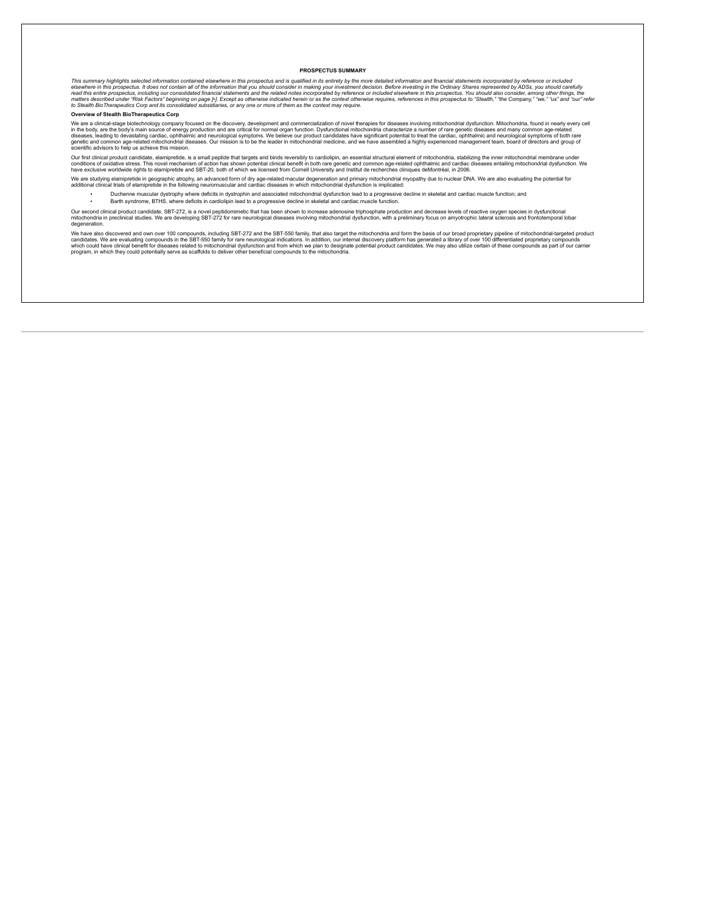### <span id="page-5-0"></span>**PROSPECTUS SUMMARY**

This summary highlights selected information contained elsewhere in this prospectus and is qualified in its entirety by the more detailed information and financial statements incorporated by reference or included to refere

#### **Overview of Stealth BioTherapeutics Corp**

We are a clinical-stage biotechnology company focused on the discovery, development and commercialization of novel therapies for diseases and many commonica, found in nearly every cell<br>in the body, are the body's main sour

Our first clinical product candidate, elamipretide, is a small peptide that targets and binds reversibly to cardiolipin, an essential structural element of mitochondria, stabilizing the inner mitochondrial membrane under<br>c

We are studying elamipretide in geographic atrophy, an advanced form of dry age-related macular degeneration and primary mitochondrial myopathy due to nuclear DNA. We are also evaluating the potential for<br>additional clinic

- Duchenne muscular dystrophy where deficits in dystrophin and associated mitochondrial dysfunction lead to a progressive decline in skeletal and cardiac muscle function; and
- Barth syndrome, BTHS, where deficits in cardiolipin lead to a progressive decline in skeletal and cardiac muscle function.

Our second clinical product candidate, SBT-272, is a novel peptidomimetic that has been shown to increase adenosine triphosphate production and decrease levels of reactive oxygen species in dystunctional of the other speci mitochondria in pre-<br>degeneration.<br>We

We have also discovered and own over 100 compounds, including SBT-272 and the SBT-550 family, that also target the mitochondria and form the basis of our broad proprietary pipeline of mail and the basis. We are evaluating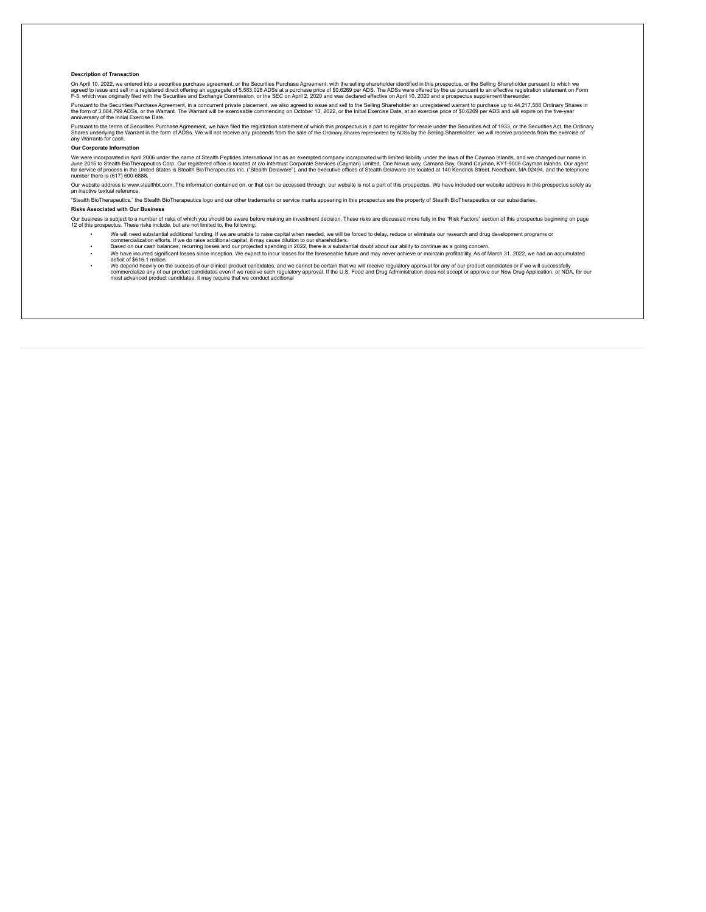#### **Description of Transaction**

On April 10, 2022, we entered into a securities purchase agreement, or the Securities Purchase Agreement, with the selling shareholder identified in this prospectus, or the Selling Shareholder pursuant to which we<br>agred t

Pursuant to the Securities Purchase Agreement, in a concurrent private placement, we also agreed to issue and sell to the Selling Shareholder an unregistered warrant to purchase up to 44,217,588 Ordinary Shares in<br>the form

Pursuant to the terms of Securities Purchase Agreement, we have filed the registration statement of which this prospectus is a part to register for resale under the Securities Act, of 1933, or the Securities Act, the Ordin

#### **Our Corporate Information**

We were incorporated in April 2006 under the name of Stealth Peptides International inc as an exempted company incorporated with limited liability under the laws of the Cayman Islands. Our agent<br>June 2015 to Steath BioTher

Our website address is www.stealthbt.com. The information contained on, or that can be accessed through, our website is not a part of this prospectus. We have included our website address in this prospectus solely as an inactive textual reference.

"Stealth BioTherapeutics," the Stealth BioTherapeutics logo and our other trademarks or service marks appearing in this prospectus are the property of Stealth BioTherapeutics or our subsidiaries.

# **Risks Associated with Our Business**

Our business is subject to a number of risks of which you should be aware before making an investment decision. These risks are discussed more fully in the "Risk Factors" section of this prospectus beginning on page<br>12 of

- 
- We will need substantial additional funding. If we are unable to raise capital when needed, we will be forced to delay, reduce or eliminate our research and drug development programs or<br>• commercialization efforts. If w
- We have incurred significant losses since inception. We expect to incur losses for the foreseeable future and may never achieve or maintain profitability. As of March 31, 2022, we had an accumulated deficit of \$616.1 million.
- ∙ We depend heavily on the success of our clinical product candidates, and we cannot be certain that we will receive regulatory approval for any of our product candidates or if we will successfully<br>commercialize any of ou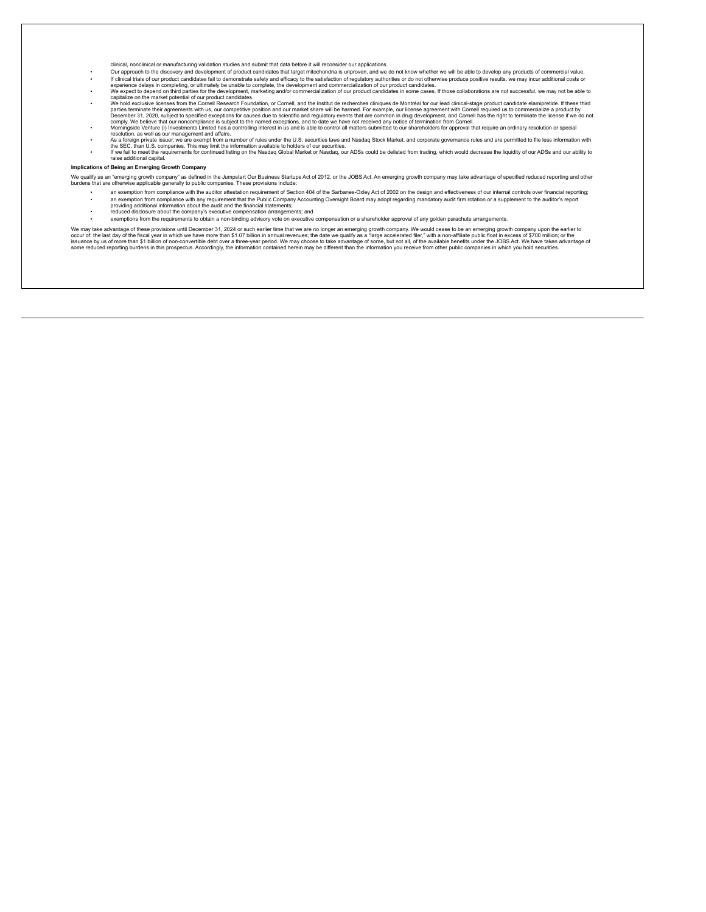- 
- 
- 
- cinical nonclinical or manufacturing validation studies and submit that data before it will reconsider our applications.<br>
The discussion of the discussion of reductioned and evelopment of product candidates fail to demonst
- 
- 

#### **Implications of Being an Emerging Growth Company**

We qualify as an "emerging growth company" as defined in the Jumpstart Our Busess Startups Act of 2012, or the JOBS Act. An emerging growth company may take advantage of specified reduced reporting and other<br>burdens that a

- an exemption from compliance with the auditor attestation requirement of Section 404 of the Sarbanes-Oxley Act of 2002 on the design and effectiveness of our internal controls over financial reporting; an exemption from compliance with any requirement that the Public Company Accounting Oversight Board may adopt regarding mandatory audit firm rotation or a supplement to the auditor's report<br>providing additional informatio
- reduced disclosure about the company's executive compensation arrangements; and
- exemptions from the requirements to obtain a non-binding advisory vote on executive compensation or a shareholder approval of any golden parachute arrangements.

We may take advantage of these provisions until December 31, 2024 or such a finite than the are no longer an emerging growth company. We would cease to be an emerging prownth company were not be earlier they will be need t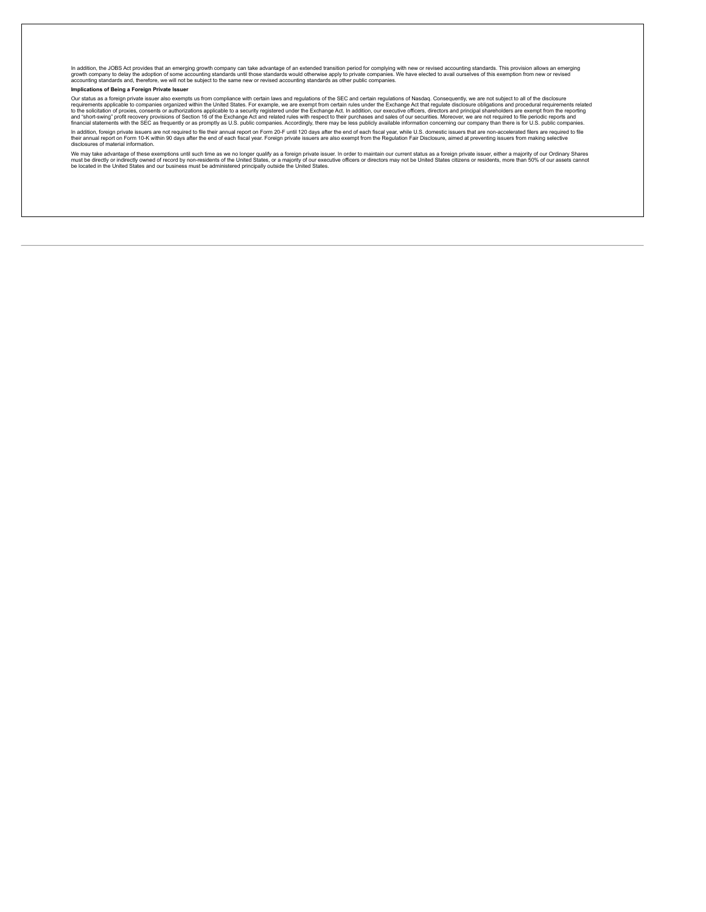In addition, the JOBS Act provides that an emerging growth company can take advantage of an extended transition period for complying with new or revised accounting standards. This provision allows an emerging<br>growth compan

# **Implications of Being a Foreign Private Issuer**

Our status as a foreign private issuer also exempts us from compliance with certain laws and regulate metallours of the SEC and certain regulated insclosure obligations and procedural requirements related frequirements poi

In addition, foreign private issuers are not required to file their annual report on Form 20-F until 120 days after the end of each fiscal year, while U.S. domestic issuers that are non-accelerated filers are required to f

We may take advantage of these exemptions until such time as we no longer qualify as a foreign private issuer. In order to maintain our current status as a foreign private issuer, either a majority of our Ordinary Shares<br>m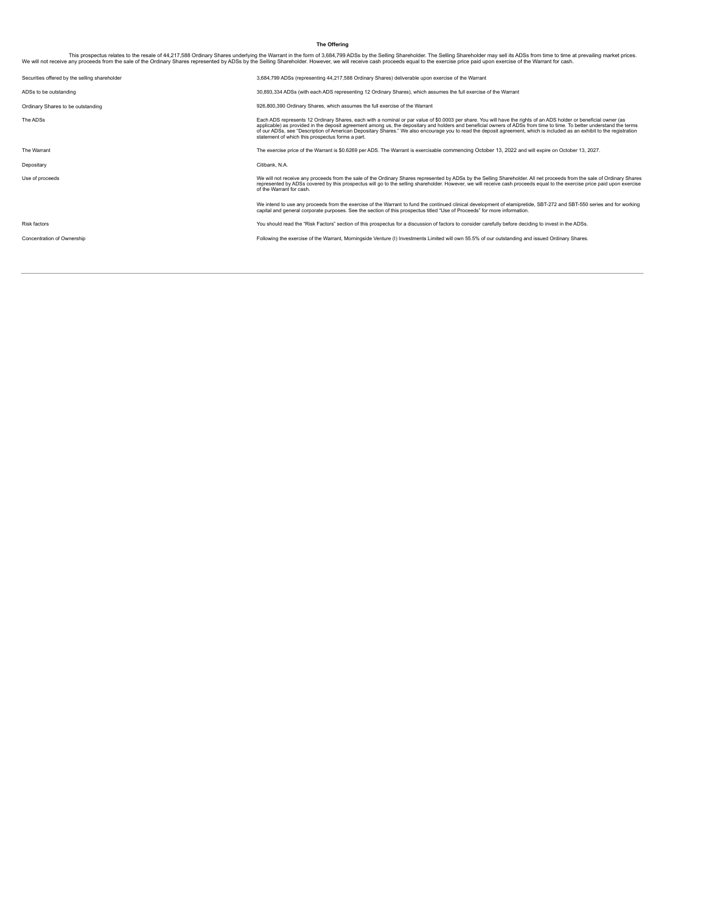# <span id="page-9-0"></span>**The Offering**

This prospectus relates to the resale of 44,217,588 Ordinary Shares underlying the Warrant in the form of 3,684,799 ADSs by the Selling Sharesunderlying the Warrant in the form of a S84,799 ADSs by the Selling Shareholder.

| Securities offered by the selling shareholder | 3,684,799 ADSs (representing 44,217,588 Ordinary Shares) deliverable upon exercise of the Warrant                                                                                                                                                                                                                                                                                                                                                                                                                                                                        |
|-----------------------------------------------|--------------------------------------------------------------------------------------------------------------------------------------------------------------------------------------------------------------------------------------------------------------------------------------------------------------------------------------------------------------------------------------------------------------------------------------------------------------------------------------------------------------------------------------------------------------------------|
| ADSs to be outstanding                        | 30,893,334 ADSs (with each ADS representing 12 Ordinary Shares), which assumes the full exercise of the Warrant                                                                                                                                                                                                                                                                                                                                                                                                                                                          |
| Ordinary Shares to be outstanding             | 926,800,390 Ordinary Shares, which assumes the full exercise of the Warrant                                                                                                                                                                                                                                                                                                                                                                                                                                                                                              |
| The ADSs                                      | Each ADS represents 12 Ordinary Shares, each with a nominal or par value of \$0.0003 per share. You will have the rights of an ADS holder or beneficial owner (as<br>applicable) as provided in the deposit agreement among us, the depositary and holders and beneficial owners of ADSs from time to time. To better understand the terms<br>of our ADSs, see "Description of American Depositary Shares." We also encourage you to read the deposit agreement, which is included as an exhibit to the registration<br>statement of which this prospectus forms a part. |
| The Warrant                                   | The exercise price of the Warrant is \$0.6269 per ADS. The Warrant is exercisable commencing October 13, 2022 and will expire on October 13, 2027.                                                                                                                                                                                                                                                                                                                                                                                                                       |
| Depositary                                    | Citibank, N.A.                                                                                                                                                                                                                                                                                                                                                                                                                                                                                                                                                           |
| Use of proceeds                               | We will not receive any proceeds from the sale of the Ordinary Shares represented by ADSs by the Selling Shareholder. All net proceeds from the sale of Ordinary Shares<br>represented by ADSs covered by this prospectus will go to the selling shareholder. However, we will receive cash proceeds equal to the exercise price paid upon exercise<br>of the Warrant for cash.                                                                                                                                                                                          |
|                                               | We intend to use any proceeds from the exercise of the Warrant to fund the continued clinical development of elamipretide, SBT-272 and SBT-550 series and for working<br>capital and general corporate purposes. See the section of this prospectus titled "Use of Proceeds" for more information.                                                                                                                                                                                                                                                                       |
| <b>Risk factors</b>                           | You should read the "Risk Factors" section of this prospectus for a discussion of factors to consider carefully before deciding to invest in the ADSs.                                                                                                                                                                                                                                                                                                                                                                                                                   |
| Concentration of Ownership                    | Following the exercise of the Warrant, Morningside Venture (I) Investments Limited will own 55.5% of our outstanding and issued Ordinary Shares.                                                                                                                                                                                                                                                                                                                                                                                                                         |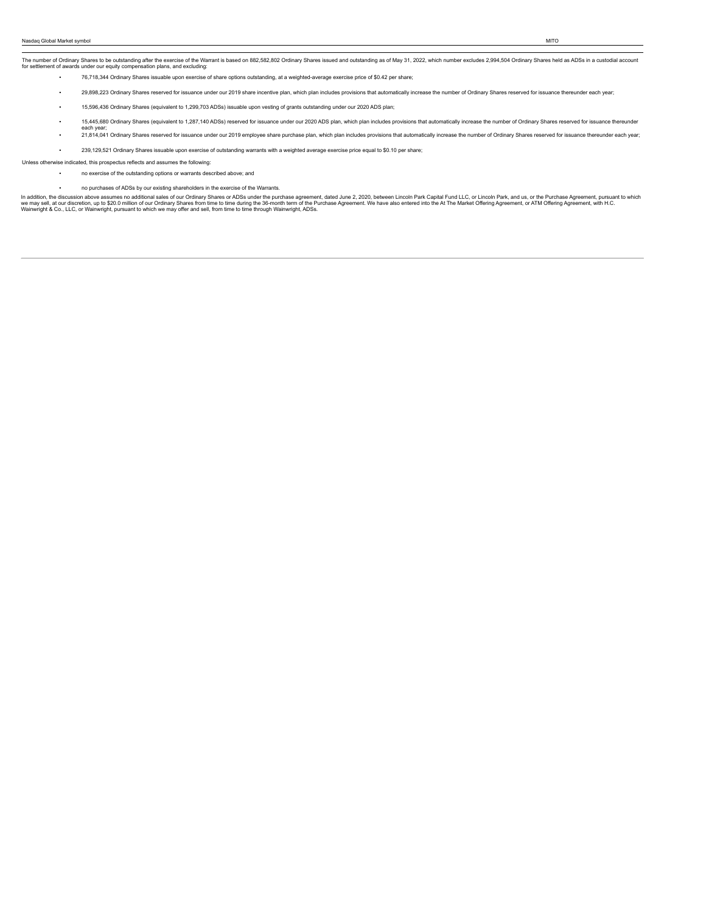The number of Ordinary Shares to be outstanding after the exercise of the Warrant is based on 882,582,802 Ordinary Shares issued and outstanding as of May 31, 2022, which number excludes 2,994,504 Ordinary Shares held as A

- 76,718,344 Ordinary Shares issuable upon exercise of share options outstanding, at a weighted-average exercise price of \$0.42 per share;
- 29,898,223 Ordinary Shares reserved for issuance under our 2019 share incentive plan, which plan includes provisions that automatically increase the number of Ordinary Shares reserved for issuance thereunder each year;
- 15,596,436 Ordinary Shares (equivalent to 1,299,703 ADSs) issuable upon vesting of grants outstanding under our 2020 ADS plan;
- . 15,445,680 Ordinary Shares (equivalent to 1,287,140 ADSs) reserved for issuance under our 2020 ADS plan, which plan includes provisions that automatically increase the number of Ordinary Shares reserved for issuance ther
- each year;<br>21,814,041 Ordinary Shares reserved for issuance under our 2019 employee share purchase plan, which plan includes provisions that automatically increase the number of Ordinary Shares reserved for issuance thereu
- 239,129,521 Ordinary Shares issuable upon exercise of outstanding warrants with a weighted average exercise price equal to \$0.10 per share;

Unless otherwise indicated, this prospectus reflects and assumes the following:

- no exercise of the outstanding options or warrants described above; and
	- no purchases of ADSs by our existing shareholders in the exercise of the Warrants.

In addition, the discussion above assumes no additional sales of our Ordinary Shares or ADSs under the purchase agreement, dated June 2, 2020, between Lincoln Park Capital Fund LLC, or Lincoln Park, and us, or the Purchase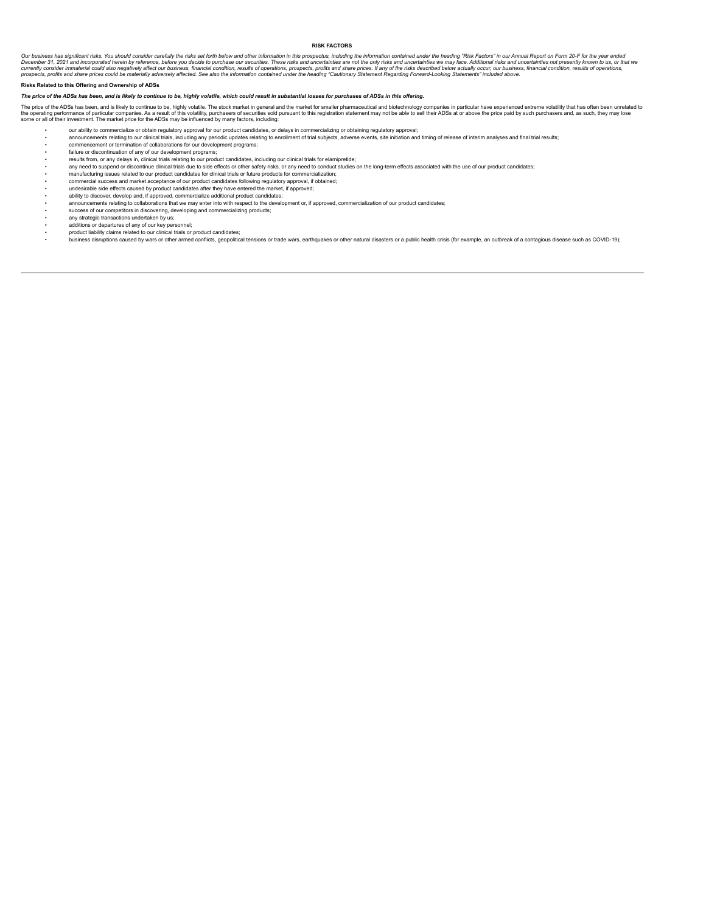## <span id="page-11-0"></span>**RISK FACTORS**

Our business has significant risks. You should consider carefully the risks set forth below and other information in this prospectus, including the information conclude the one and ancerdanties are not the only risks and u

# **Risks Related to this Offering and Ownership of ADSs**

### The price of the ADSs has been, and is likely to continue to be, highly volatile, which could result in substantial losses for purchases of ADSs in this offering.

The price of the ADSs has been, and is likely to continue to be, highly volatile. The stock market in general and the market for smaller pharmaceutical and biotechnology companies in particular have experienced extreme vol

- our ability to commercialize or obtain regulatory approval for our product candidates, or delays in commercializing or obtaining regulatory approval;
- announcements relating to our clinical trials, including any periodic updates relating to enrollment of trial subjects, adverse events, site initiation and timing of release of interim analyses and final trial results;
- commencement or termination of collaborations for our development programs;
- failure or discontinuation of any of our development programs;
- results from, or any delays in, clinical trials relating to our product candidates, including our clinical trials for elamipretide;
- any need to suspend or discontinue clinical trials due to side effects or other safety risks, or any need to conduct studies on the long-term effects associated with the use of our product candidates;<br>• manuf
- commercial success and market acceptance of our product candidates following regulatory approval, if obtained;
- undesirable side effects caused by product candidates after they have entered the market, if approved;
- ability to discover, develop and, if approved, commercialize additional product candidates;
- announcements relating to collaborations that we may enter into with respect to the development or, if approved, commercialization of our product candidates; success of our competitors in discovering, developing and commercializing products;
- any strategic transactions undertaken by us;
- additions or departures of any of our key personnel;
- product liability claims related to our clinical trials or product candidates;
- business disruptions caused by wars or other armed conflicts, geopolitical tensions or trade wars, earthquakes or other natural disasters or a public health crisis (for example, an outbreak of a contagious disease such as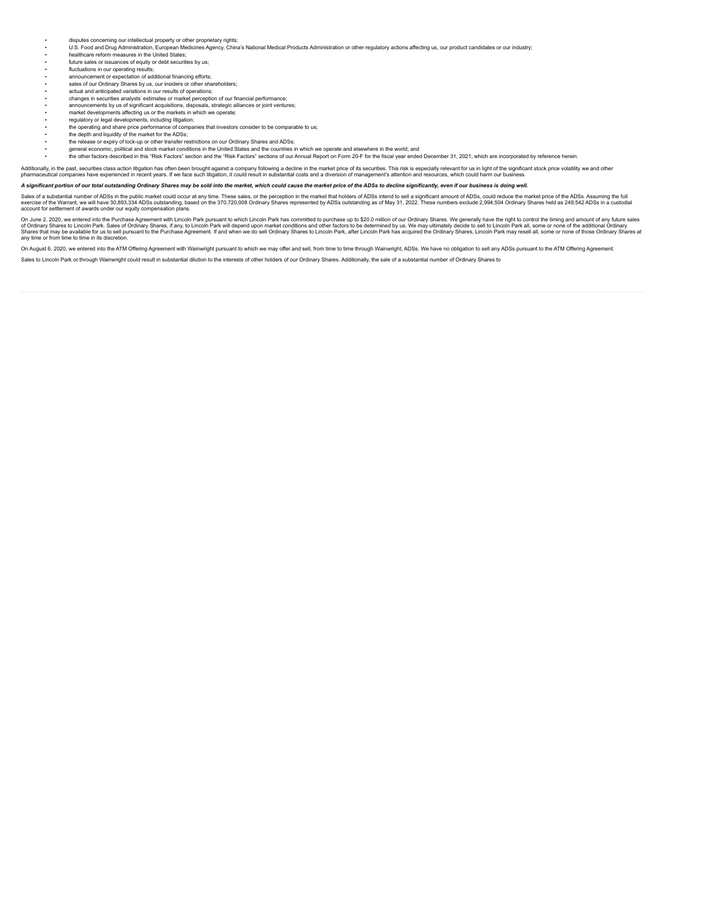- disputes concerning our intellectual property or other proprietary rights;
- U.S. Food and Drug Administration, European Medicines Agency, China's National Medical Products Administration or other regulatory actions affecting us, our product candidates or our industry;
- healthcare reform measures in the United States; future sales or issuances of equity or debt securities by us;
- 
- fluctuations in our operating results;
- announcement or expectation of additional financing efforts; sales of our Ordinary Shares by us, our insiders or other shareholders;
- actual and anticipated variations in our results of operations;
- changes in securities analysts' estimates or market perception of our financial performance;
- 
- announcements by us of significant acquisitions, disposals, strategic alliances or joint ventures;<br>• market developments affecting us or the markets in which we operate;<br>• regulatory or legal developments, including liti
- 
- the operating and share price performance of companies that investors consider to be comparable to us; the depth and liquidity of the market for the ADSs;
- 
- the release or expiry of lock-up or other transfer restrictions on our Ordinary Shares and ADSs;<br>• general economic, political and stock market conditions in the United States and the countries in
- the other factors described in this "Risk Factors" section and the "Risk Factors" sections of our Annual Report on Form 20-F for the fiscal year ended December 31, 2021, which are incorporated by reference herein.
- 

Additionally, in the past, securities dass action litigation has often been brought against a company following a decline in the market price of its securities. This risk is especially relate substantial companism and prom

A significant portion of our total outstanding Ordinary Shares may be sold into the market, which could cause the market price of the ADSs to decline significantly, even if our business is doing well.

Sales of a substantial number of ADSs in the public market could occur at any time. These sales, or the perception in the market that holders of ADSs intend to sell a significant amount of ADSs, could reduce the market pri

On June 2, 2020, we entered into the Purchase Agreement with Lincoln Park pursuant to which Lincoln Park has committed to purchase up to \$20.0 million of our Ordinary Shares. We generally have the right to control the timi any time or from time to time in its discretion.

On August 6, 2020, we entered into the ATM Offering Agreement with Wainwright pursuant to which we may offer and sell, from time to time through Wainwright, ADSs. We have no obligation to sell any ADSs pursuant to the ATM

Sales to Lincoln Park or through Wainwright could result in substantial dilution to the interests of other holders of our Ordinary Shares. Additionally, the sale of a substantial number of Ordinary Shares to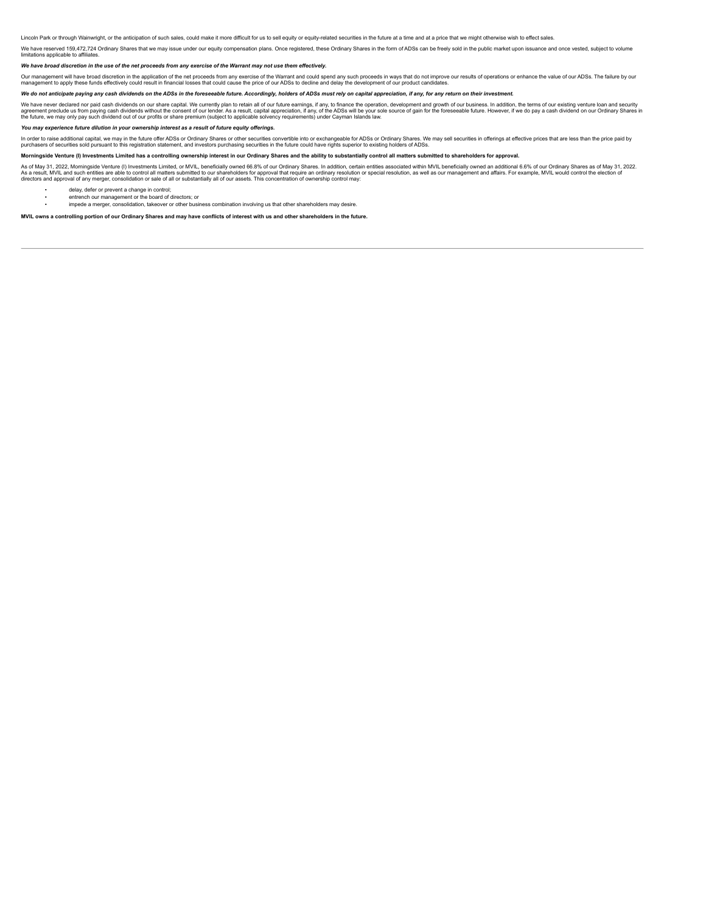Lincoln Park or through Wainwright, or the anticipation of such sales, could make it more difficult for us to sell equity or equity-related securities in the future at a time and at a price that we might otherwise wish to

We have reserved 159.472,724 Ordinary Shares that we may issue under our equity compensation plans. Once registered, these Ordinary Shares in the form of ADSs can be freely sold in the public market upon issuance and once

#### We have broad discretion in the use of the net proceeds from any exercise of the Warrant may not use them effectively.

Our management will have broad discretion in the application of the net proceeds from any exercise of the Warrant and could spend any such proceeds in ways that do not improve our results of operations or enhance the value

# We do not anticipate paying any cash dividends on the ADSs in the foreseeable future. Accordingly, holders of ADSs must rely on capital appreciation, if any, for any return on their investment.

We have never declared nor paid cash dividends on our share capital. We currently plan to retain all of our future earnings, if any, to finance the operation, development and growth of our business. In addition, the terms

# *You may experience future dilution in your ownership interest as a result of future equity offerings.*

In order to raise additional capital, we may in the future offer ADSs or Ordinary Shares or other securities convertible into or exchangeable for ADSs or Ordinary Shares end to pure share are less than the price paid by<br>pu

Morningside Venture (I) Investments Limited has a controlling ownership interest in our Ordinary Shares and the ability to substantially control all matters submitted to shareholders for approval.

As of May 31, 2022, Morningside Venture (I) Investments Limited, or MVIL, beneficially owned 66.8% of our Ordinary Shares. In addition, certain entities associated within MVIL beneficially owned an additional 6.6% of our O

- delay, defer or prevent a change in control;
- entrench our management or the board of directors; or impede a merger, consolidation, takeover or other business combination involving us that other shareholders may desire.

MVIL owns a controlling portion of our Ordinary Shares and may have conflicts of interest with us and other shareholders in the future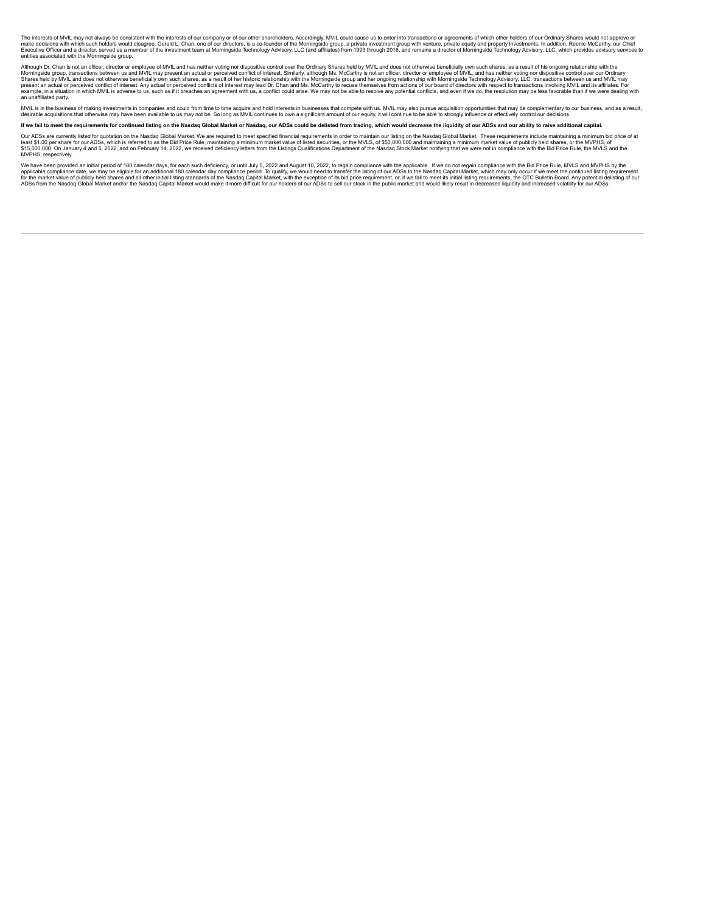The interests of MVL may not always be consistent with the interests of our company or of our other shareholders. Accordingly, MVIL could cause us to enter into transactions or agreements of which other houses of our only

Although Dr. Chan is not an officer, director or employee of MVIL and has neither voting nor dispositive control over the Ordinary Shares held by MVIL and chose not a shares has a result of insers, and a methany based for

MVIL is in the business of making investments in companies and could from time to time acquire and hold interests in businesse that compete with us. MVIL may also pursua expulted into me subseque and as a result, the distr

If we fail to meet the requirements for continued listing on the Nasdaq Global Market or Nasdaq, our ADSs could be delisted from trading, which would decrease the liquidity of our ADSs and our ability to raise additional c

Our ADSa are currently isled for quotation on the Nasdaq Global Market. We are required to meet specified financial requirements in order to maintain our listing on the Nasdaq Global Market. These requirements include main

We have been provided an initial period of 180 calendar day ass, for each such deficiency, or until July 5, 2022 and August 10, 2022, to regain compliance with the applicable compliance of the Nastaq Capital Market, which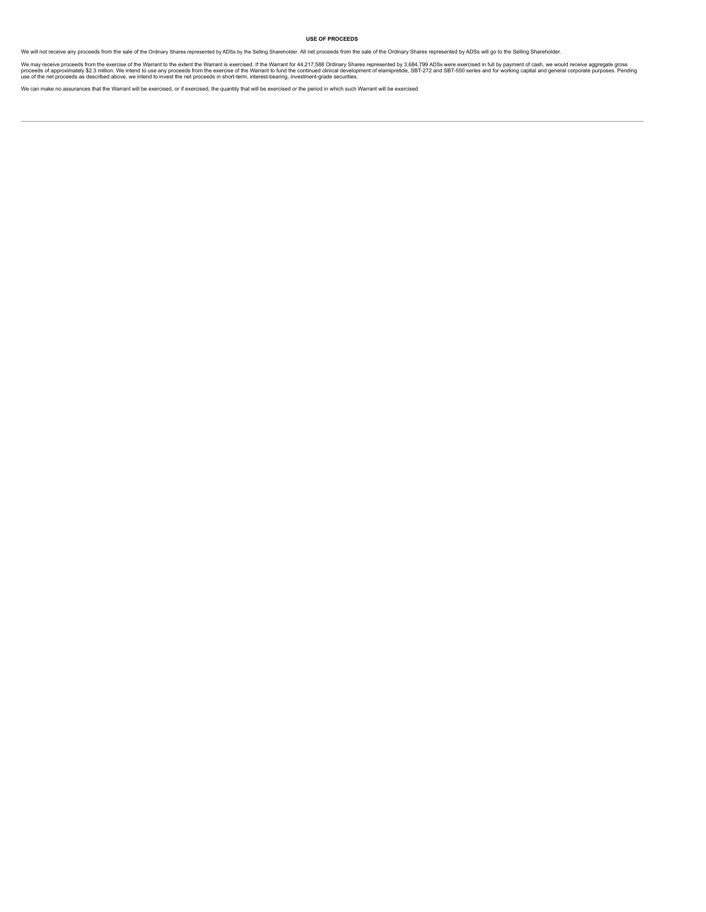# <span id="page-15-0"></span>**USE OF PROCEEDS**

We will not receive any proceeds from the sale of the Ordinary Shares represented by ADSs by the Selling Shareholder. All net proceeds from the sale of the Ordinary Shares represented by ADSs will go to the Selling Shareho

We may receive proceeds from the exercise of the Warrant to the extent the Warrant is exercised. If the Warrant for 44,217,588 Ordinary Shares represented by 3,684,799 ADSs were exercised in full by payment of cash, we wou

We can make no assurances that the Warrant will be exercised, or if exercised, the quantity that will be exercised or the period in which such Warrant will be exercised.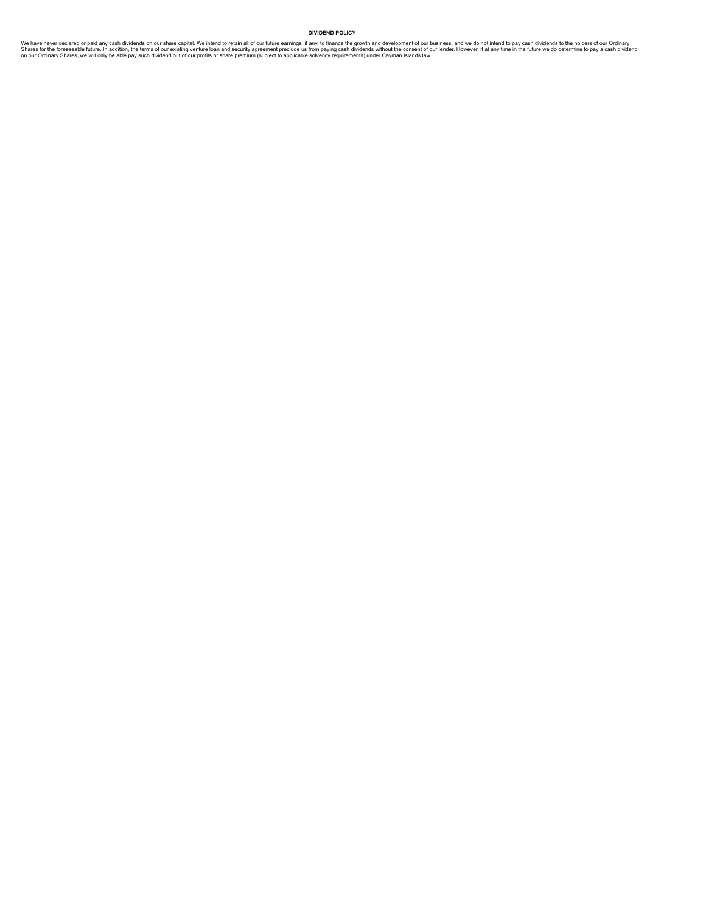# <span id="page-16-0"></span>**DIVIDEND POLICY**

We have never declared or paid any cash dividends on our share capital. We intend to relain all of our future earnings, if any, to finance the growth and development of our business, and we do not intend to pay cash divide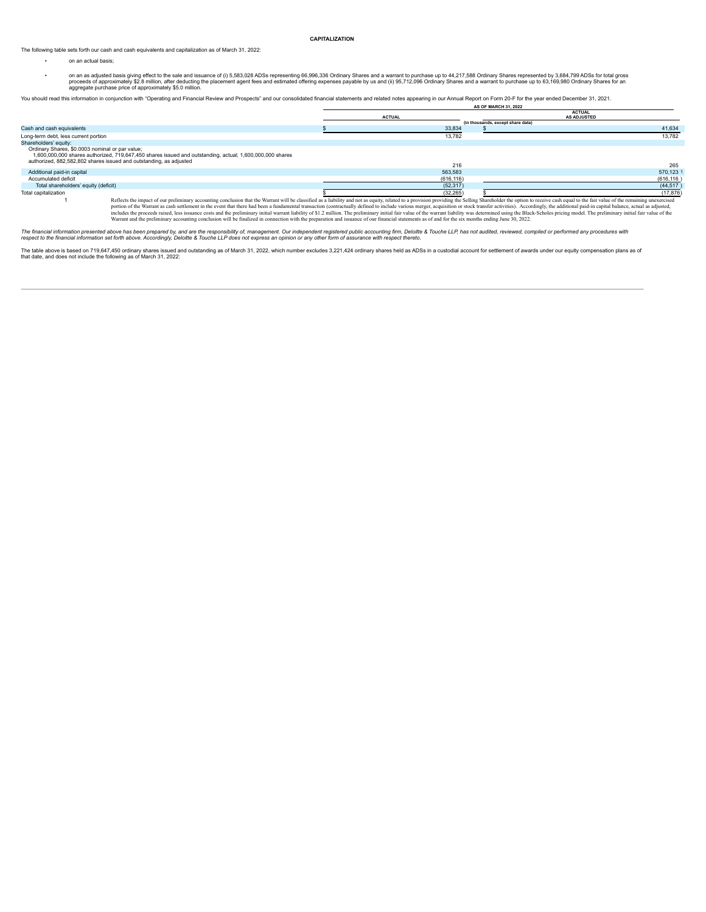### <span id="page-17-0"></span>**CAPITALIZATION**

The following table sets forth our cash and cash equivalents and capitalization as of March 31, 2022:

- on an actual basis;
- on an as adjusted basis giving effect to the sale and issuance of (i) 5,583,028 ADSs representing 66,996,336 Ordinary Shares and a warrant to purchase up to 44,217,588 Ordinary Shares represented by 3,684,799 ADSs for to

You should read this information in conjunction with "Operating and Financial Review and Prospects" and our consolidated financial statements and related notes appearing in our Annual Report on Form 20-F for the year ended **AS OF MARCH 31, 2022**

|                                                                                                                       |                                                                                                                                                                                                                                                                                                                                                                                                                                                                 | <b>ACTUAL</b> |                                   | <b>ACTUAL</b><br><b>AS ADJUSTED</b> |
|-----------------------------------------------------------------------------------------------------------------------|-----------------------------------------------------------------------------------------------------------------------------------------------------------------------------------------------------------------------------------------------------------------------------------------------------------------------------------------------------------------------------------------------------------------------------------------------------------------|---------------|-----------------------------------|-------------------------------------|
|                                                                                                                       |                                                                                                                                                                                                                                                                                                                                                                                                                                                                 |               | (in thousands, except share data) |                                     |
| Cash and cash equivalents                                                                                             |                                                                                                                                                                                                                                                                                                                                                                                                                                                                 | 33,834        |                                   | 41.634                              |
| Long-term debt, less current portion                                                                                  |                                                                                                                                                                                                                                                                                                                                                                                                                                                                 | 13.782        |                                   | 13.782                              |
| Shareholders' equity:                                                                                                 |                                                                                                                                                                                                                                                                                                                                                                                                                                                                 |               |                                   |                                     |
| Ordinary Shares, \$0.0003 nominal or par value;<br>authorized, 882,582,802 shares issued and outstanding, as adjusted | 1,600,000,000 shares authorized, 719,647,450 shares issued and outstanding, actual; 1,600,000,000 shares                                                                                                                                                                                                                                                                                                                                                        | 216           |                                   | 265                                 |
| Additional paid-in capital                                                                                            |                                                                                                                                                                                                                                                                                                                                                                                                                                                                 | 563.583       |                                   | 570.123                             |
| Accumulated deficit                                                                                                   |                                                                                                                                                                                                                                                                                                                                                                                                                                                                 | (616, 116)    |                                   | (616, 116)                          |
| Total shareholders' equity (deficit)                                                                                  |                                                                                                                                                                                                                                                                                                                                                                                                                                                                 | (52, 317)     |                                   | (44, 517)                           |
| Total capitalization                                                                                                  |                                                                                                                                                                                                                                                                                                                                                                                                                                                                 | (32.265)      |                                   | (17, 876)                           |
|                                                                                                                       | Reflects the impact of our preliminary accounting conclusion that the Warrant will be classified as a liability and not as equity, related to a provision providing the Selling Shareholder the option to receive cash equal t<br>nortion of the Warrant as cash settlement in the event that there had been a fundamental transaction (contractually defined to include various merger, acquisition or stock transfer activities). Accordingly, the additional |               |                                   |                                     |

portion of the Warrant as cash settlement in the event that there had been a fundamental transaction (contractually defined to include various merger, acquisition or stock transfer activities). Accordingly, the additional

The financial information presented above has been prepared by, and are the responsibility of, management. Our independent registered public accounting firm, Deloittle & Touche LLP, has not audited, reviewed, compiled or p

The table above is based on 719,647,450 ordinary shares issued and outstanding as of March 31, 2022, which number excludes 3,221,424 ordinary shares held as ADSs in a custodial account for settlement of awards under our eq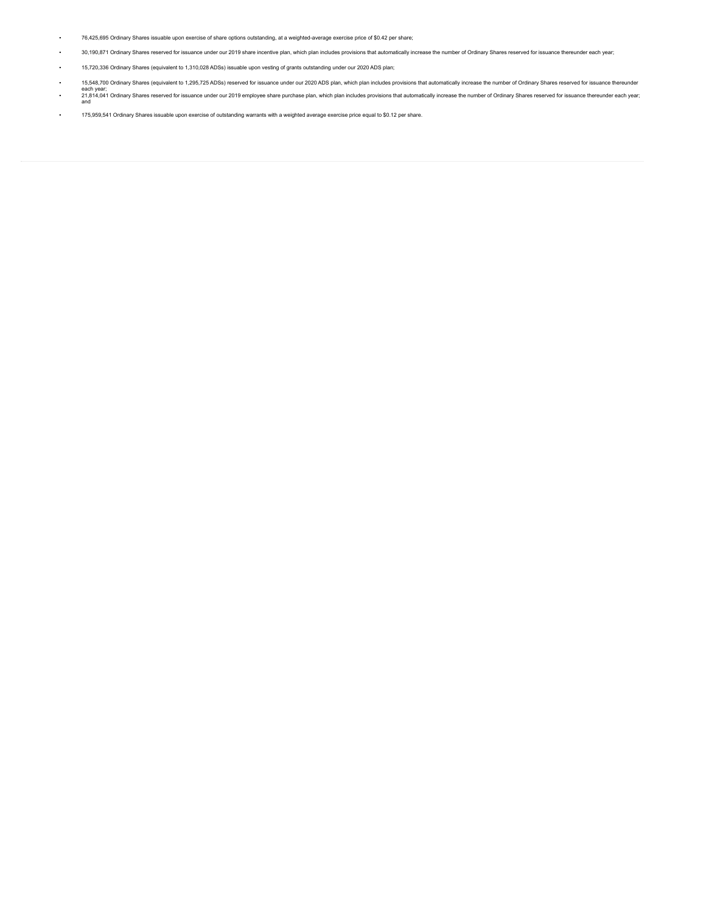- 76,425,695 Ordinary Shares issuable upon exercise of share options outstanding, at a weighted-average exercise price of \$0.42 per share;
- . 30,190,871 Ordinary Shares reserved for issuance under our 2019 share incentive plan, which plan includes provisions that automatically increase the number of Ordinary Shares reserved for issuance thereunder each year;
- 15,720,336 Ordinary Shares (equivalent to 1,310,028 ADSs) issuable upon vesting of grants outstanding under our 2020 ADS plan;
- . 15,548,700 Ordinary Shares (equivalent to 1,295,725 ADSs) reserved for issuance under our 2020 ADS plan, which plan includes provisions that automatically increase the number of Ordinary Shares reserved for issuance ther
- each year;<br>21,814,041 Ordinary Shares reserved for issuance under our 2019 employee share purchase plan, which plan includes provisions that automatically increase the number of Ordinary Shares reserved for issuance thereu
- 175,959,541 Ordinary Shares issuable upon exercise of outstanding warrants with a weighted average exercise price equal to \$0.12 per share.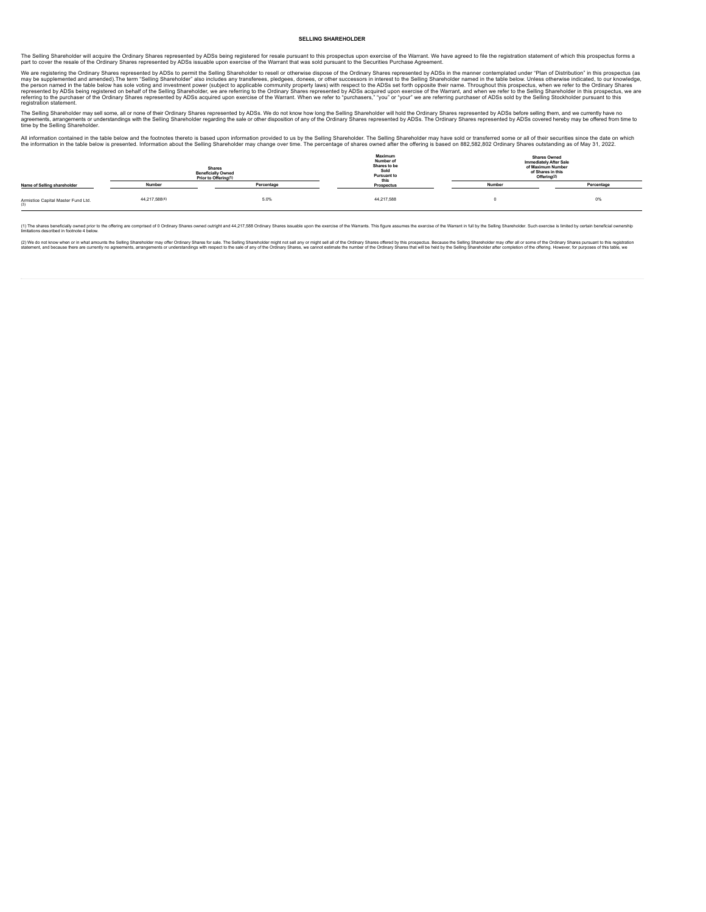#### <span id="page-19-0"></span>**SELLING SHAREHOLDER**

The Selling Shareholder will acquire the Ordinary Shares represented by ADSs being registered for resale pursuant to this prospectus upon exercise of the Warrant. We have agreed to file the registration statement of which part to cover the resale of the Ordinary Shares represented by ADSs issuable upon exercise of the Warrant that was sold pursuant to the Securities Purchase Agreement.

We are registering the Ordinary Shares represented by ADSs to permit the Selling Shareholder and school of other successors in interest to the Selling Shareholder amed in the table below. Unless of hermic flain of Distribu

The Selling Shareholder may sell some, all or none of their Ordinary Shares represented by ADSs. We do not know how long the Selling Shareholder will hold the Ordinary Shares represented by ADSs before selling them, and we

All information contained in the table below and the footnotes thereto is based upon information provided to us by the Selling Shareholder The Selling Shareholder may have sold or transferred some of all of the sendal of t

| <b>Shares</b><br><b>Beneficially Owned</b><br>Prior to Offering(1) |               | Maximum<br>Number of<br>Shares to be<br>Sold<br>Pursuant to<br>this |            | <b>Shares Owned</b><br><b>Immediately After Sale</b><br>of Maximum Number<br>of Shares in this<br>Offering <sup>(2)</sup> |            |
|--------------------------------------------------------------------|---------------|---------------------------------------------------------------------|------------|---------------------------------------------------------------------------------------------------------------------------|------------|
| Name of Selling shareholder                                        | Number        | Percentage                                                          | Prospectus | Number                                                                                                                    | Percentage |
| Armistice Capital Master Fund Ltd.<br>(3)                          | 44,217,588(4) | 5.0%                                                                | 44,217,588 |                                                                                                                           | 0%         |

(1) The shares beneficially owned prior to the offering are comprised of 0 Ordinary Shares owned outright and 44,217,588 Ordinary Shares issuable upon the exercise of the Warrants. This figure assumes the exercise of the W

(2) We do not kow when of in what amounts the Selima Shareholder may offer Ordinay Shares for als chreaf essent might not sell ingthout sell in the Drdiany Shares for example and the Drdiany Shares, we cannot estimate the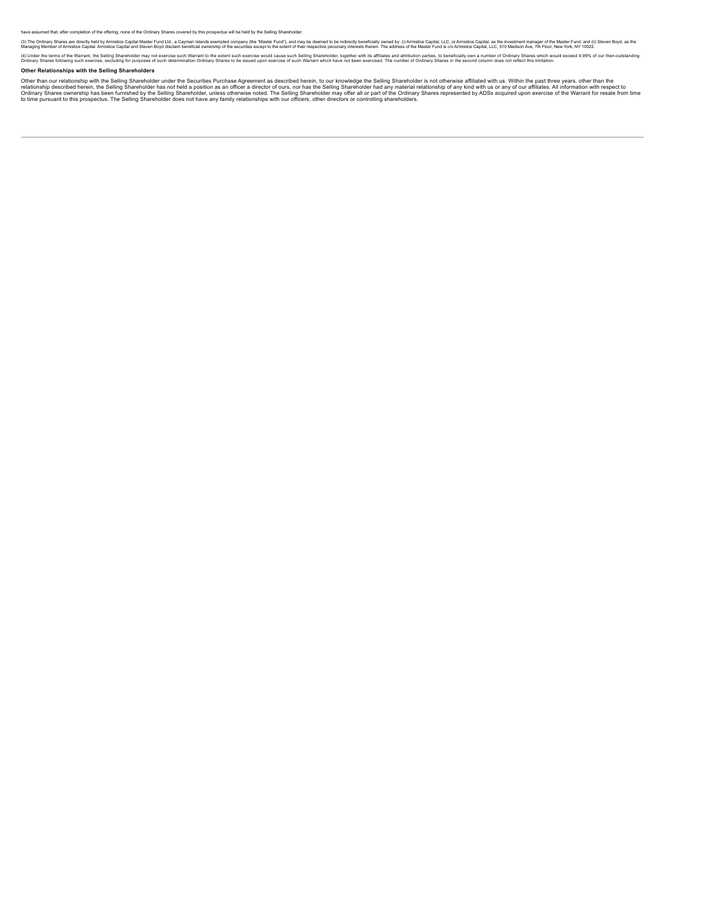have assumed that, after completion of the offering, none of the Ordinary Shares covered by this prospectus will be held by the Selling Shareholder.

(3) The Ordinary Shares are directly held with missited Capital Master Fund Ltd, a Cayman Islands exempted company (the "Master Fund), and may be deemed to be indirectly become to be entered their respective pocurals with

(4) Under the terms of the Warran, the Selling Shareholder may not exercise such Warrant to the extent such excrise would cause such Selling Shareholder, together with its effliates of such Waps and throughts and activatio

# **Other Relationships with the Selling Shareholders**

Other than our relationship with the Selling Shareholder nader the Securities Purchase Agreement as described here in the our knowledge the Selling Shareholder is not other what the methand on the the selling Shareholder h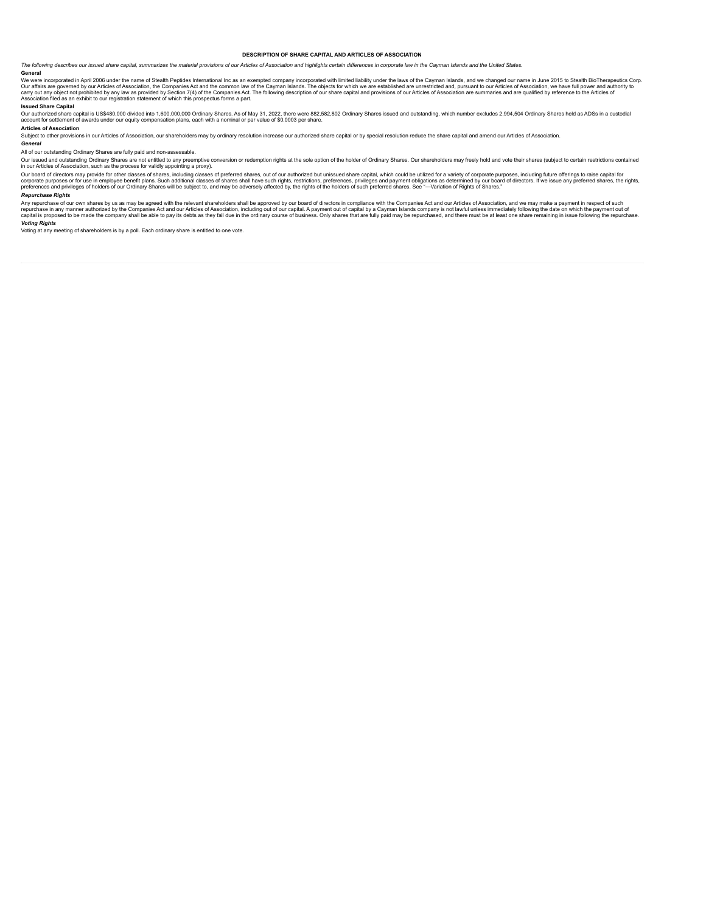#### <span id="page-21-0"></span>**DESCRIPTION OF SHARE CAPITAL AND ARTICLES OF ASSOCIATION**

The following describes our issued share capital, summarizes the material provisions of our Articles of Association and highlights certain differences in corporate law in the Cayman Islands and the United States

**General**

We were incorporated in April 2006 under the name of Stealth Peptides International inc as an exempted company incorporated with limited liability under the laws of the Caymon shands. and we chere is the beat and the were

### **Issued Share Capital**

Our authorized share capital is US\$480,000 divided into 1,600,000,000 Ordinary Shares. As of May 31, 2022, there were 882,582,802 Ordinary Shares issued and outstanding, which number excludes 2,994,504 Ordinary Shares held

### **Articles of Association**

Subject to other provisions in our Articles of Association, our shareholders may by ordinary resolution increase our authorized share capital or by special resolution reduce the share capital and amend our Articles of Asso

### *General*

All of our outstanding Ordinary Shares are fully paid and non-assessable.

Our issued and outstanding Ordinary Shares are not entitled to any preemptive conversion or redemption rights at the sole option of the holder of Ordinary Shares. Our shareholders may freely hold and vote their shares (sub

# *Repurchase Rights*

Any repurchase of our own shares by us as may be agreed with the relevant shareholders shall be approved by our board of directors in compliance with the Companies Act and our Articles of Association, and we may make a pay

#### *Voting Rights*

Voting at any meeting of shareholders is by a poll. Each ordinary share is entitled to one vote.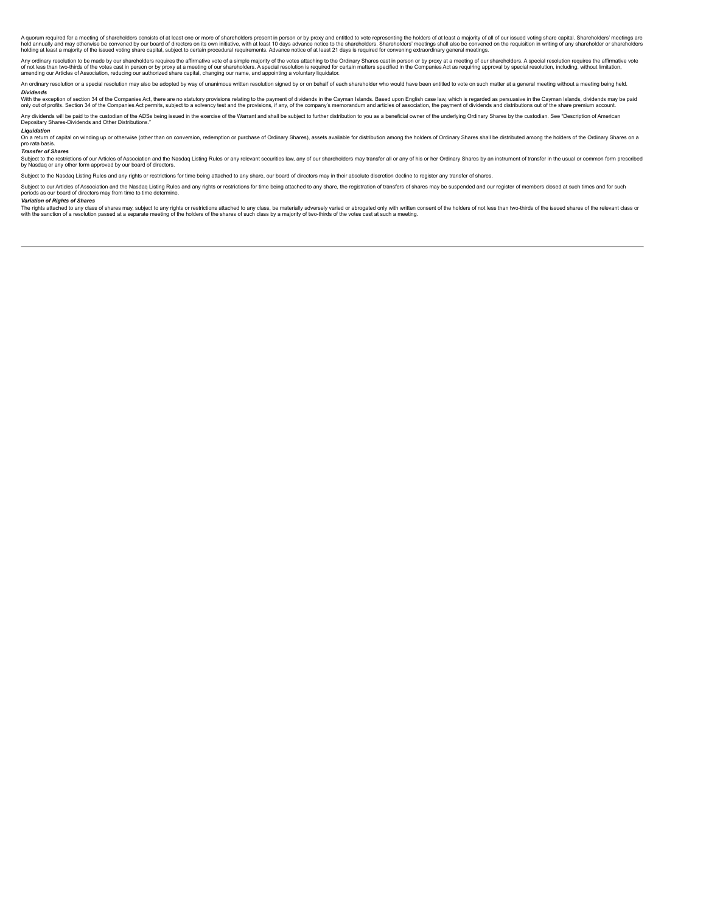A quorum required for a meeting of shareholders consists of at least one or more of shareholders present in person or by proxy and entitled to vote representing the holders of at least a majority of all of our issued votin

Any ordinary resolution to be made by our shareholders requires the affirmative vote of a simple majority of the votes attaching to the Ordinary Shares cast in person or by proxy at a meeting of our shareholders. A special

An ordinary resolution or a special resolution may also be adopted by way of unanimous written resolution signed by or on behalf of each shareholder who would have been entitled to yote on such matter at a general meeting

### *Dividends*

With the exception of section 34 of the Companies Act, there are no statutory provisions relating to the payment of dividends in the Cayman Islamds. Based upon English case law, which is regarded as persuasive in the Cayma

Any dividends will be paid to the custodian of the ADSs being issued in the exercise of the Warrant and shall be subject to further distribution to you as a beneficial owner of the underlying Ordinary Shares by the custodi

# *Liquidation*

n a return of capital on winding up or otherwise (other than on conversion, redemption or purchase of Ordinary Shares), assets available for distribution among the holders of Ordinary Shares shall be distributed among the pro rata basis.

# *Transfer of Shares*

Subject to the restirctions of our Articles of Association and the Nasdaq Listing Rules or any relevant securities law, any of our shareholders may transfer all or any of his or her Ordinary Shares by an instrument of tran

Subject to the Nasdaq Listing Rules and any rights or restrictions for time being attached to any share, our board of directors may in their absolute discretion decline to register any transfer of shares.

Subject to our Articles of Association and the Nasdaq Listing Rules and any rights or restrictions for time being attached to any share, the registration of transfers of shares may be suspended and our register of members

### *Variation of Rights of Shares*

The rights attached to any class of shares may, subject to any rights or restrictions attached to any class, be materially adversely varied or abrogated only with written consent of the holders of not be value and position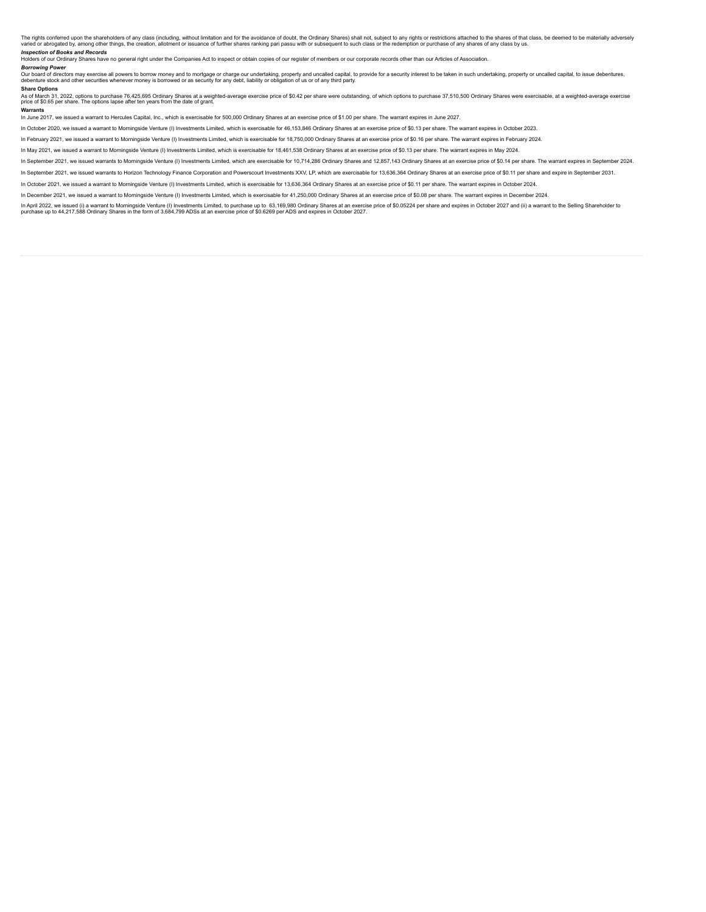The rights conferred upon the shareholders of any class (including, without limitation and for the avoidance of doubt, the Ordinary Shares) shall not, subject to any rights or restrictions attached for share in a respect o

### *Inspection of Books and Records*

Holders of our Ordinary Shares have no general right under the Companies Act to inspect or obtain copies of our register of members or our corporate records other than our Articles of Association.

#### *Borrowing Power*

Our board of directors may exercise all powers to borrow money and to mortgage or charge our undertaking, property and uncalled capital, to provide for a security interest to be taken in such undertaking, property or uncal

#### **Share Options**

As of March 31, 2022, options to purchase 76,425,695 Ordinary Shares at a weighted-average exercise price of \$0.42 per share were outstanding, of which options to purchase 37,510,500 Ordinary Shares were exercisable, at a

#### **Warrants**

In June 2017, we issued a warrant to Hercules Capital, Inc., which is exercisable for 500,000 Ordinary Shares at an exercise price of \$1.00 per share. The warrant expires in June 2027.

In October 2020, we issued a warrant to Morningside Venture (I) Investments Limited, which is exercisable for 46,153,846 Ordinary Shares at an exercise price of \$0.13 per share. The warrant expires in October 2023.

In February 2021, we issued a warrant to Morningside Venture (I) Investments Limited, which is exercisable for 18,750,000 Ordinary Shares at an exercise price of \$0.16 per share. The warrant expires in February 2024

In May 2021, we issued a warrant to Morningside Venture (I) Investments Limited, which is exercisable for 18,461,538 Ordinary Shares at an exercise price of \$0.13 per share. The warrant expires in May 2024.

In September 2021, we issued warrants to Morningside Venture (I) Investments Limited, which are exercisable for 10,714,286 Ordinary Shares and 12,857,143 Ordinary Shares at an exercise price of \$0.14 per share. The warrant

In September 2021, we issued warrants to Horizon Technology Finance Corporation and Powerscourt Investments XXV, LP, which are exercisable for 13,636,364 Ordinary Shares at an exercise price of \$0.11 per share and expire i

In October 2021, we issued a warrant to Morningside Venture (I) Investments Limited, which is exercisable for 13,636,364 Ordinary Shares at an exercise price of \$0.11 per share. The warrant expires in October 2024.

In December 2021, we issued a warrant to Morningside Venture (I) Investments Limited, which is exercisable for 41,250,000 Ordinary Shares at an exercise price of \$0.08 per share. The warrant expires in December 2024.

in April 2022, we issued (i) a warrant to Morningside Venture (i) Investments Limited, to purchase up to 63,169,980 Ordinary Shares at an exercise price of \$0.05224 per share and expires in October 2027 and (ii) a warrant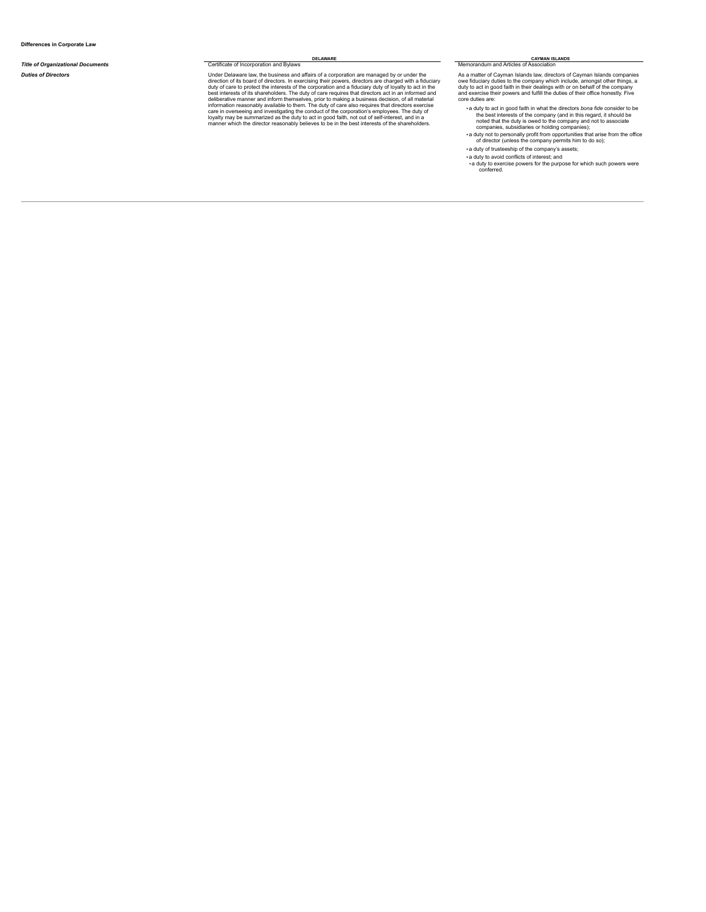# **Title of Organizational Documents** Certificate of Incorporation and Bylaws Memorandum and Articles of Association

Duties of Directors<br>
Under Delaware law, the business and affairs of a corporation are managed by or under the<br>
Under Delaware law, the business and affair powers, directors are charged with a fiduciary<br>
duty of care to pr

**DELAWARE CAYMAN ISLANDS CAYMAN ISLANDS CAYMAN ISLANDS** 

As a matter of Cayman Islands law, directors of Cayman Islands companies<br>owe fiduciary duties to the company which include, amongst other things, a<br>duty to act in good faith in their dealings with or on behalf of the compa

- a duty to act in good faith in what the directors *bona fide* consider to be the best interests of the company (and in this regard, it should be moded that the duty is owed to the company and not to associate companies, s
- 

▪ a duty of trusteeship of the company's assets;

- a duty to avoid conflicts of interest; and
- a duty to exercise powers for the purpose for which such powers were conferred.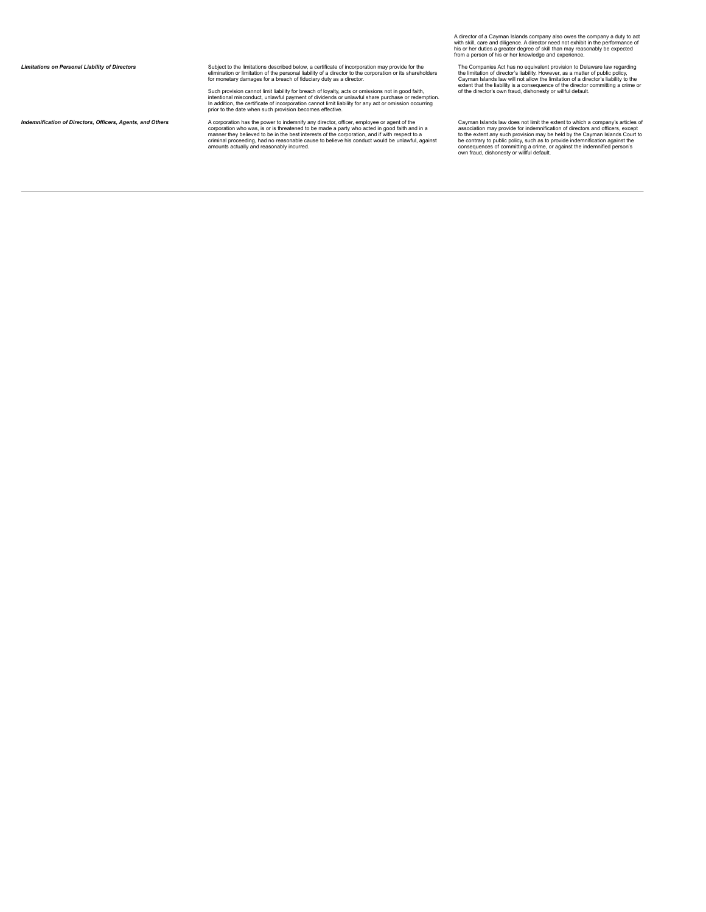Europhy of Directors (Subject to the limitations described below, a certificate of incorporation may provide for the<br>elimination or limitation of limitation of the personal liability of a director to the corporation or its

Such provision cannot limit liability for breach of loyalty, acts or omissions not in good faith,<br>intentional misconduct, unlawful payment of dividends or unlawful share purchase or redemption.<br>In addition, the certificate

**Indemnification of Directors, Officers, Agents, and Others** A corporation who was, is or is threatened to be interest of the proportion of the power to indemnification of Directors, Officers, Agents, and Others<br>
corporati

A director of a Cayman Islands company also owes the company a duty to act<br>with skill, care and diligence. A director need not exhibit in the performance of<br>his or her duties a greater degree of skill than may reasonably b

The Companies Act has no equivalent provision to Delaware law regarding<br>the limitation of director's liability. However, as a matter of public policy,<br>Cayman Islands law will not allow the limitation of a director's liabil

Cayman Islands law does not limit the extent to which a company's articles of<br>association may provide for indemnification of directors and officers, except<br>to the extent any such provision may be held by the Cayman Islands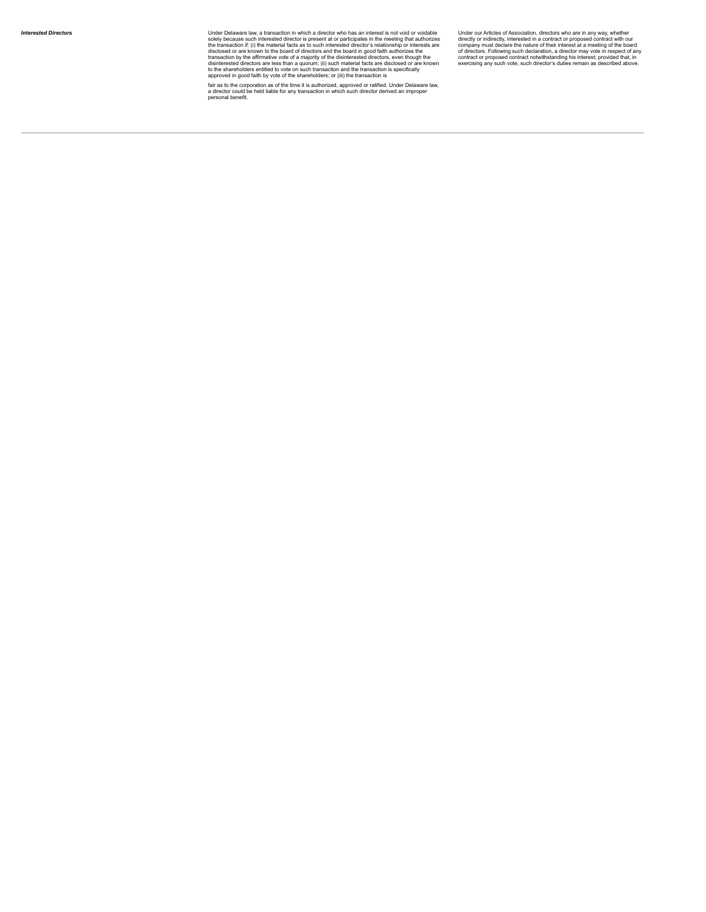Under Delaware law, a transaction in which a director who has an interest is not void or voidable<br>Under Delaware law, a transaction in which a director who has an interested in the meeting that authorizes<br>the transaction i

fair as to the corporation as of the time it is authorized, approved or ratified. Under Delaware law,<br>a director could be held liable for any transaction in which such director derived an improper<br>personal benefit.

Under our Articles of Association, directors who are in any way, whether<br>directly or indirectly, interested in a contract or proposed contract with our<br>company must declare the nature of their interest at a meeting of the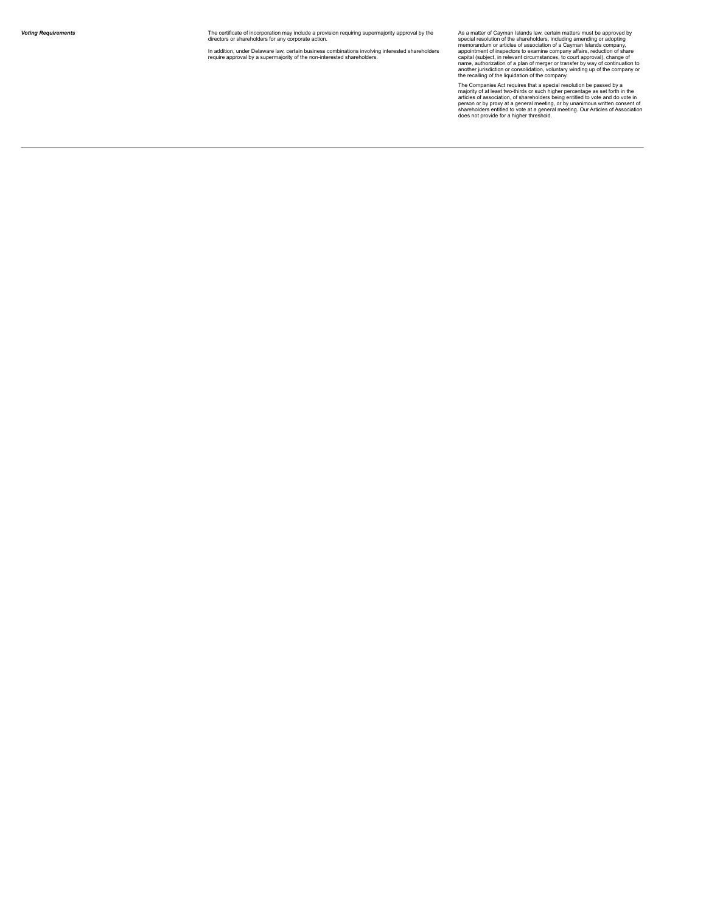The certificate of incorporation may include a provision requiring supermajority approval by the<br>directors or shareholders for any corporate action. The certificate of incorporation may include a provision requiring supermajority approval by the sepsed<br>directors or shareholders for any corporate action.<br>In addition, under Delaware law, certain business combinations inv

As a matter of Cayman Islands law, certain matters must be approved by<br>special resolution of the shareholders, including amending or adopting<br>memorandum or articles of association of a Cayman Islands company,<br>appointment o

The Companies Act requires that a special resolution be passed by a<br>majority of at least two-thirds or such higher percentage as set forth in the<br>articles of association, of shareholders being entitled to vote and do vote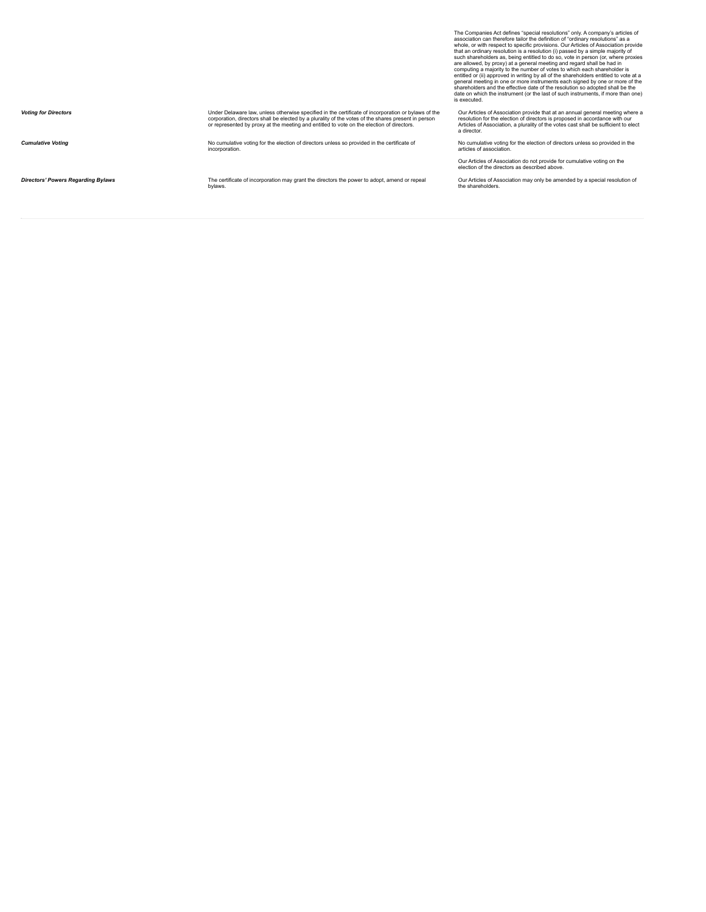The Companies Act defines "special resolutions" only. A company's articles of<br>association can therefore tailor the definition of "ordinary resolutions" as a<br>myhole, or with respect to specific provisions. Our Articles of A Under Delaware law, unless otherwise specified in the certificate of incorporation or bylaws of the<br>corporation, directors shall be elected by a portable of a purality of the votes of the shares present in perso<br>or represe Our Articles of Association provide that at an annual general meeting where a<br>resolution for the election of directors is proposed in accordance with our<br>Articles of Association, a plurality of the votes cast shall be suff **Cumulative Voting**<br>
incorporation. No cumulative voting for the election of directors unless so provided in the certificate of No cumulative voting for the election of directors unless so provided in the articles of association. Our Articles of Association do not provide for cumulative voting on the election of the directors as described above.

**Directors'** *Powers**Regarding Bylaws* **The certificate of incorporation may grant the directors the power to adopt, amend or repeal by a bylaws.** 

Our Articles of Association may only be amended by a special resolution of the shareholders.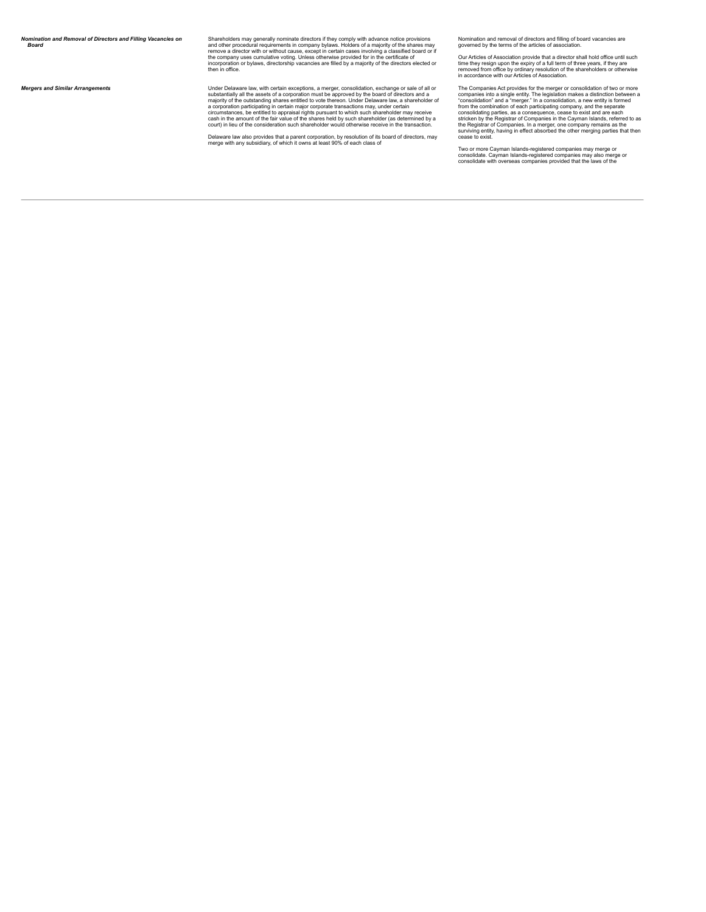*Nomination and Removal of Directors and Filling Vacancies on Board*

Shareholders may generally nominate directors if they comply with advance notice provisions<br>and other procedural requirements in company bylaws. Holders of a majority of the shares may<br>remove a director with or without cau

**Mergers and Similar Arrangements**<br>
Under Delaware law, with certain exceptions, a merger, consolidation, exchange or sale of a comporation must be approved by the board of directors and a<br>
substantially all the assets of

Delaware law also provides that a parent corporation, by resolution of its board of directors, may<br>merge with any subsidiary, of which it owns at least 90% of each class of

Nomination and removal of directors and filling of board vacancies are governed by the terms of the articles of association.

Our Articles of Association provide that a director shall hold office until such<br>time they resign upon the expiry of a full term of three years, if they are<br>removed from office by ordinary resolution of the shareholders or

The Companies Act provides for the merger or consolidation of two or more<br>companies into a single entity. The legislation makes a distinction between a<br>"consolidation" and a "merger." In a consolidation, a new entity is fo

Two or more Cayman Islands-registered companies may merge or<br>consolidate. Cayman Islands-registered companies may also merge or<br>consolidate with overseas companies provided that the laws of the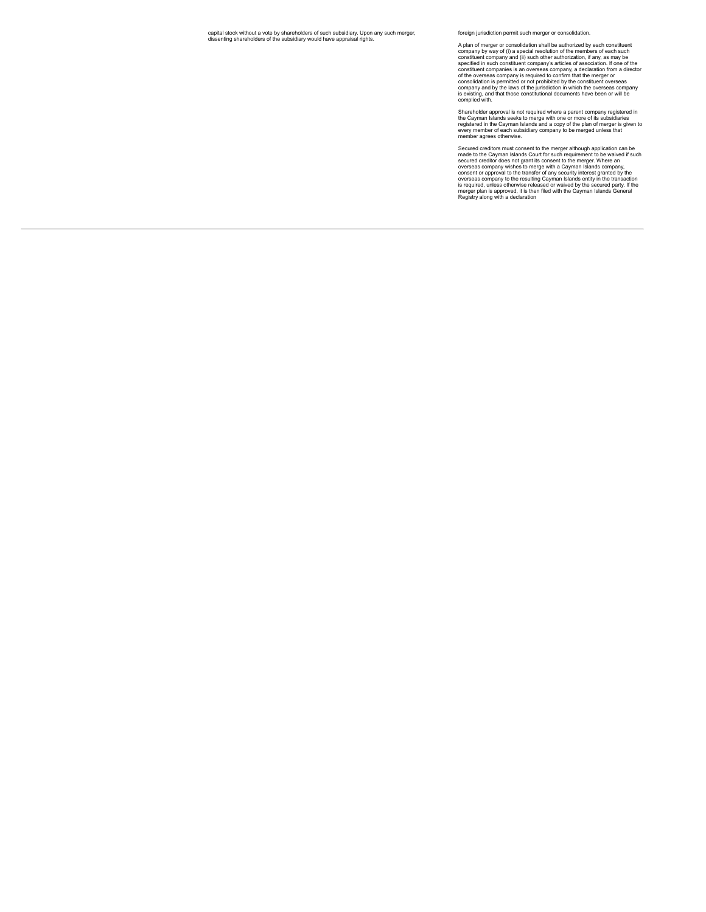foreign jurisdiction permit such merger or consolidation.

A plan of merger or consolidation shall be authorized by each constituent company by way of (i) a special resolution of the members of each such constituent company and (iii) such other authorization, if any, as may be spe

Shareholder approval is not required where a parent company registered in<br>the Cayman Islands seeks to merge with one or more of its subsidiaries<br>registered in the Cayman Islands and a copy of the plan of merger is given to

Secured creditors must consent to the merger although application can be<br>enced creditors must consent to the merger although application can be<br>secured creditor does not grant its consent to the merger. Where an<br>overseas c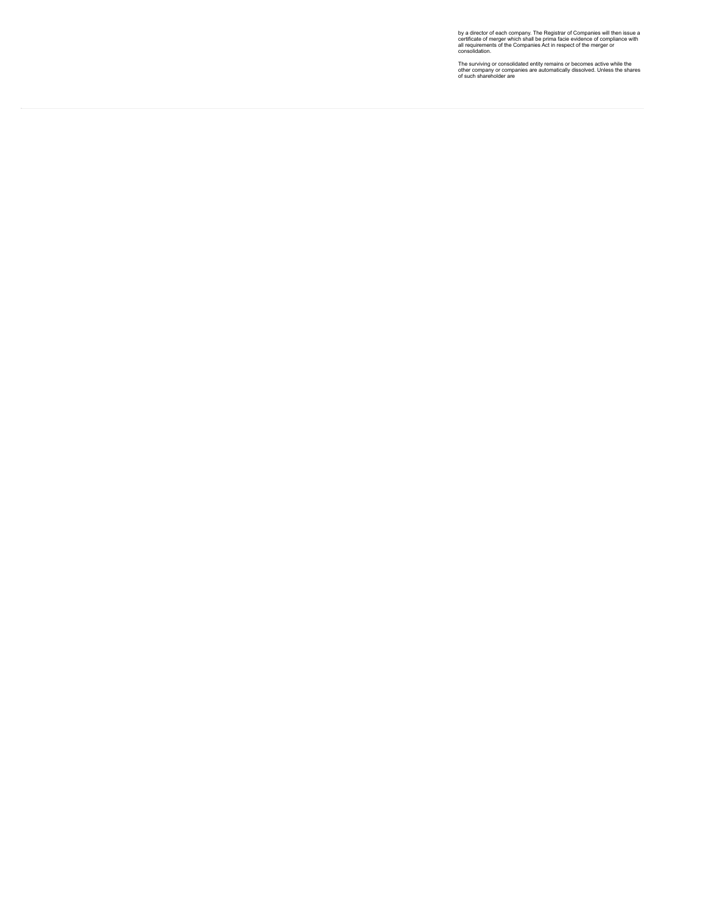by a director of each company. The Registrar of Companies will then issue a<br>certificate of merger which shall be prima facie evidence of compliance with<br>all requirements of the Companies Act in respect of the merger or<br>con

The surviving or consolidated entity remains or becomes active while the<br>other company or companies are automatically dissolved. Unless the shares<br>of such shareholder are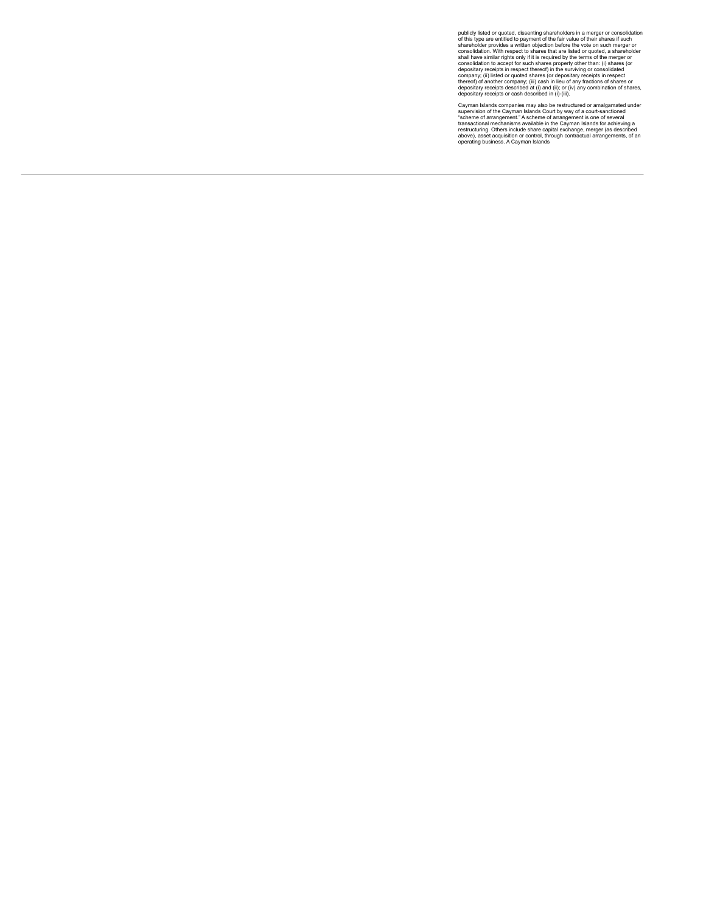publicly listed or quoted, dissenting shareholders in a merger or consolidation<br>publicly listed or quoted, dissenting shareholders in emerger or consolidation.<br>Shareholder provides a written objection before the vote on su

Cayman Islands companies may also be restructured or amalgamated under<br>supervision of the Cayman Islands Court by way of a court-sanctioned<br>"scheme of arrangement." A scheme of arrangement is one of several<br>transactional m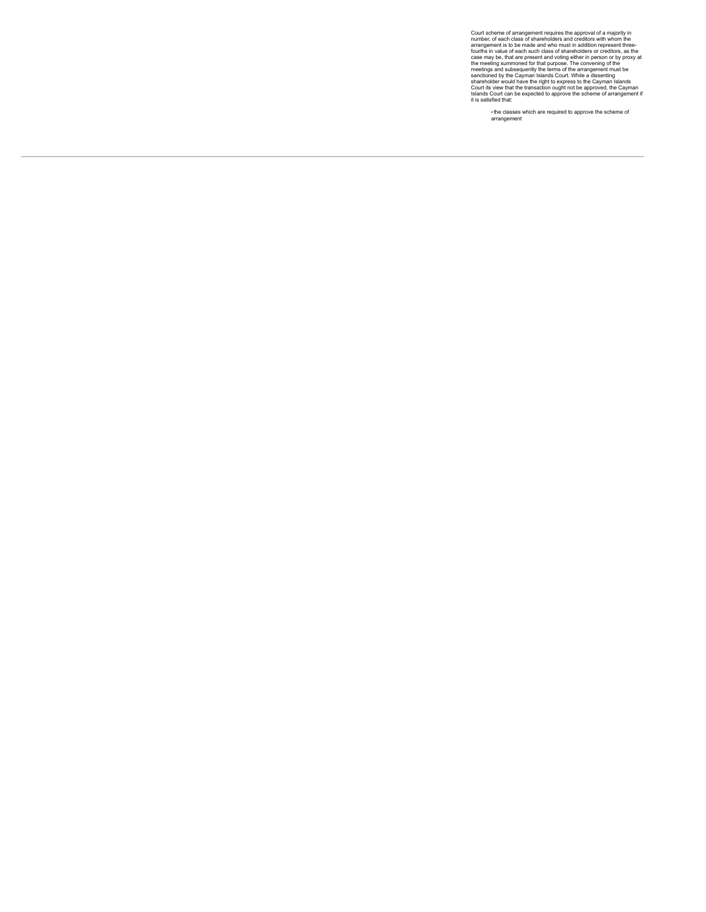Court scheme of arrangement requires the approval of a majority in<br>countscheme of aractery and constrained mumber, of each class of shareholders and creditiors whom the<br>formagement is to be made and who must in addition re

▪the classes which are required to approve the scheme of arrangement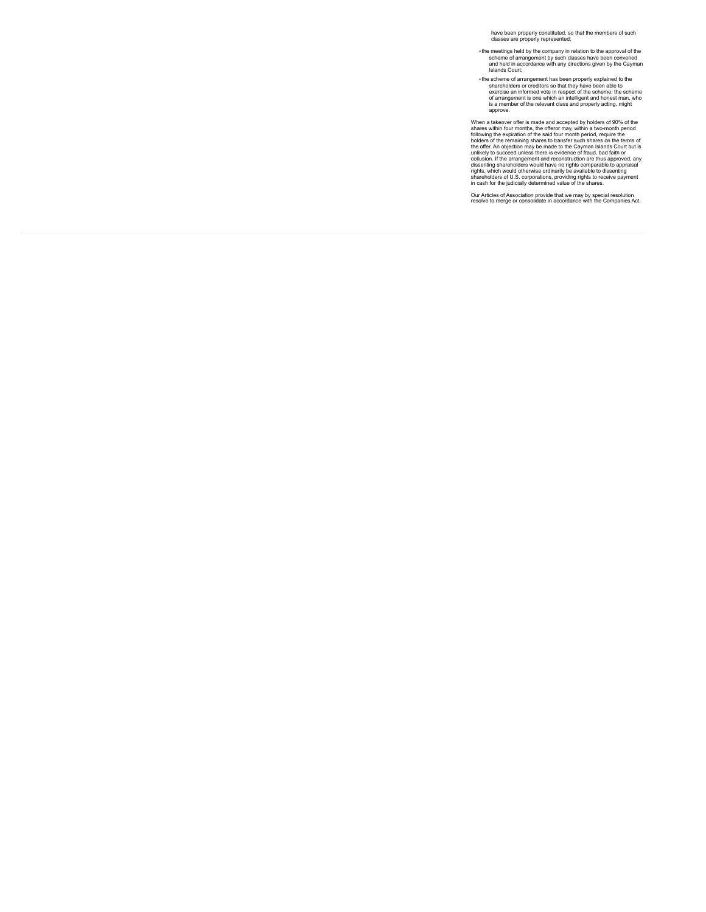have been properly constituted, so that the members of such classes are properly represented;

- ▪the meetings held by the company in relation to the approval of the scheme of arrangement by such classes have been convened and held in accordance with any directions given by the Cayman Islands Court;
- The scheme of arrangement has been properly explained to the<br>shareholders or creditors so that they have been able to<br>exercise an informed vote in respect of the scheme<br>of arrangement is one which an intelligent and honest

When a takeover offer is made and accepted by holders of 90% of the<br>shares within four months, the offeror may, within a two-month period<br>following the expiration of the said four month period<br>bolders of the remaining shar

Our Articles of Association provide that we may by special resolution resolve to merge or consolidate in accordance with the Companies Act.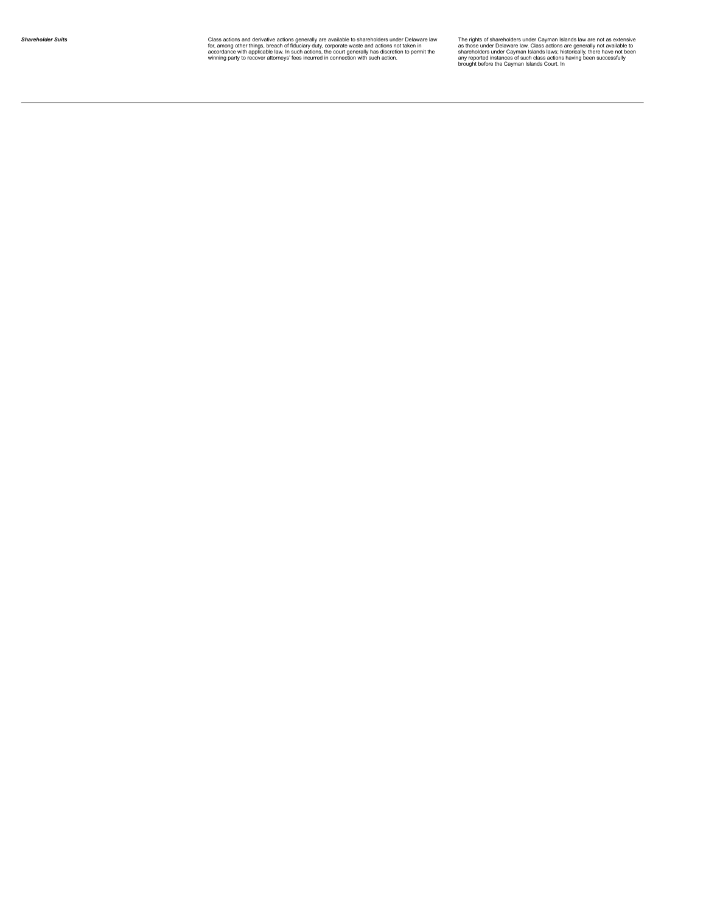Class actions and derivative actions generally are available to shareholders under Delaware law The The Const<br>for, among other things, breach of fiduciary duty, corporate waste and actions not taken in the as the ast the<br>a

The rights of shareholders under Cayman Islands law are not as extensive<br>as those under Delaware law. Class actions are generally not available to<br>shareholders under Cayman Islands laws; historically, there have not been<br>a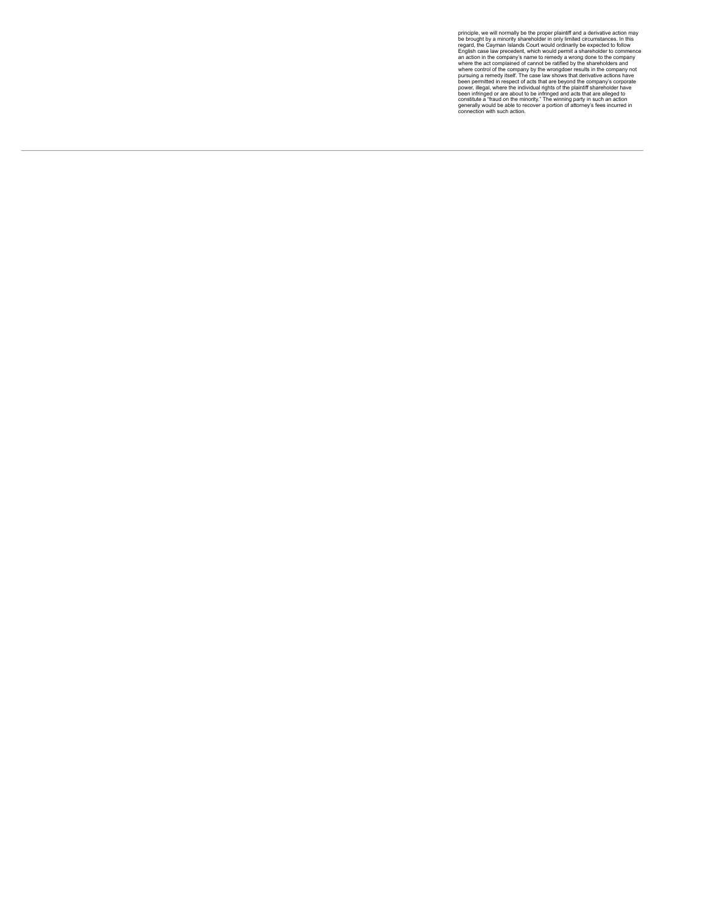principle, we will normally be the proper plaintiff and a derivative action may<br>be brought by a minority shareholder in only limited circumstances. In this<br>regard, the Cayman Islands Court would ordinarily be expected to f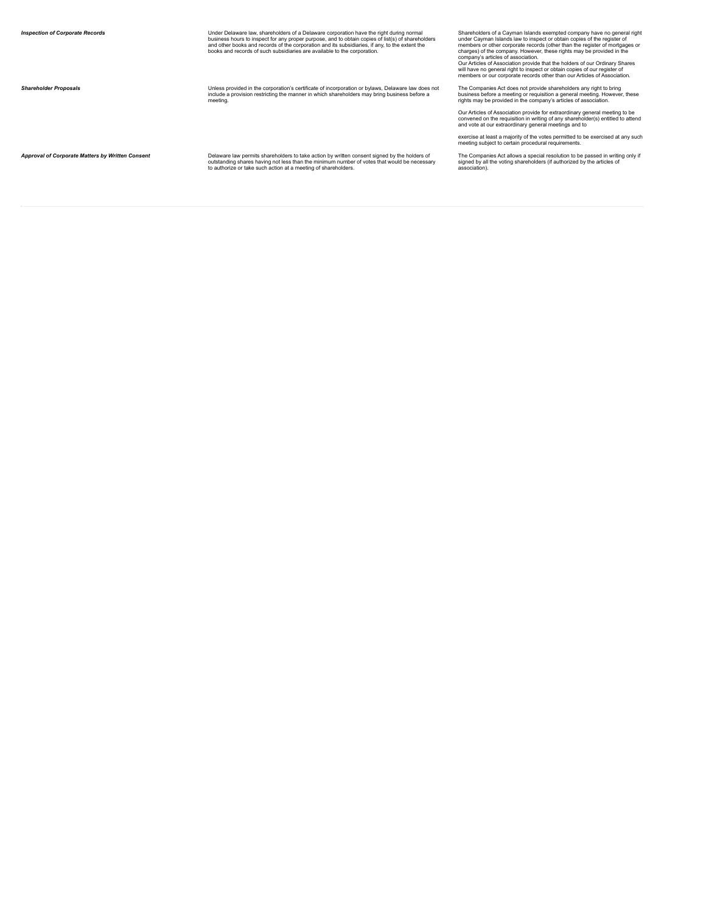Under Delaware law, shareholders of a Democration of Corporation Terminal Corporation Decket of Alternation of<br>Dusliness hours to inspect for any proper purpose, and to obtain copies of list(s) of shareholders<br>and other bo

Unless provided in the corporation's certificate of incorporation or bylaws, Delaware law does not<br>include a provision restricting the manner in which shareholders may bring business before a<br>meeting.

Approval of Corporate Matters by Written Consent Frances (Delaware law permits shareholders to take action by written consent signed by the holders of and the bolders of the bolders of the the mathromore of the total of th

Shareholders of a Cayman Islands exempted company have no general right shareholders of a Cayman Islands law to inspect or obtain copies of the register of members or other conporate records (other than the register of mor

The Companies Act does not provide shareholders any right to bring business before a meeting or requisition a general meeting. However, these rights may be provided in the company's articles of association.

Our Articles of Association provide for extraordinary general meeting to be convened on the requisition in writing of any shareholder(s) entitled to attend and vote at our extraordinary general meetings and to

exercise at least a majority of the votes permitted to be exercised at any such<br>meeting subject to certain procedural requirements.

The Companies Act allows a special resolution to be passed in writing only if<br>signed by all the voting shareholders (if authorized by the articles of<br>association).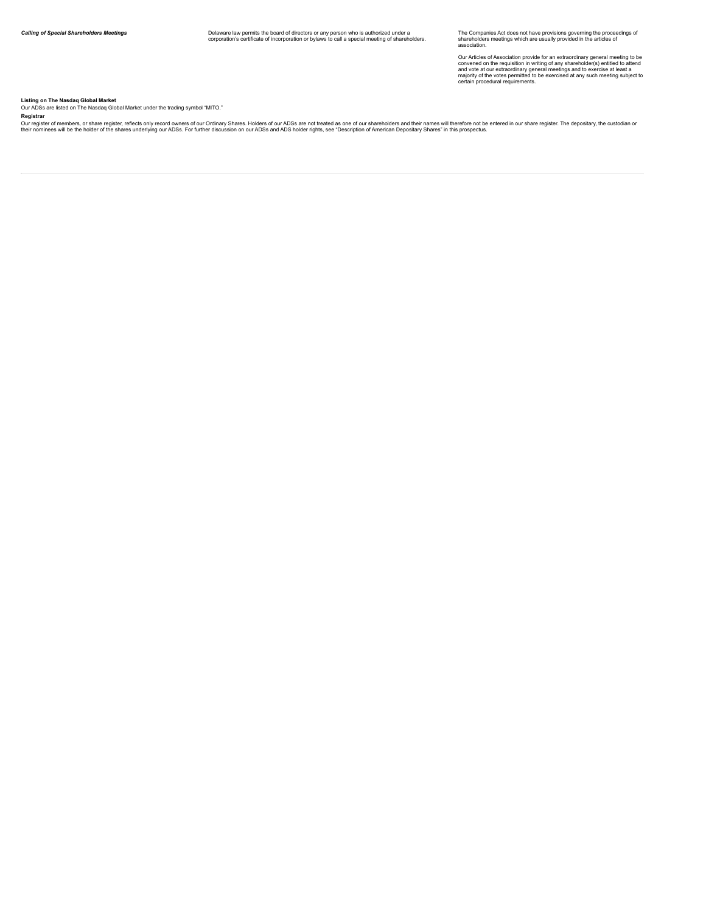The Companies Act does not have provisions governing the proceedings of<br>shareholders meetings which are usually provided in the articles of<br>association.

Our Articles of Association provide for an extraordinary general meeting to be<br>convened on the requisition in writing of any shareholder(s) entitled to attend<br>and vote at our extraordinary general meetings and to exercise

**Listing <b>on The Nasdaq Global Market**<br>Our ADSs are listed on The Nasdaq Global Market under the trading symbol "MITO."

Registrar<br>Our register of members, or share register, reflects only record owners of our Ordinary Shares. Holders of our ADSs are not treated as one of our shareholders and their names will therefore not be entered in our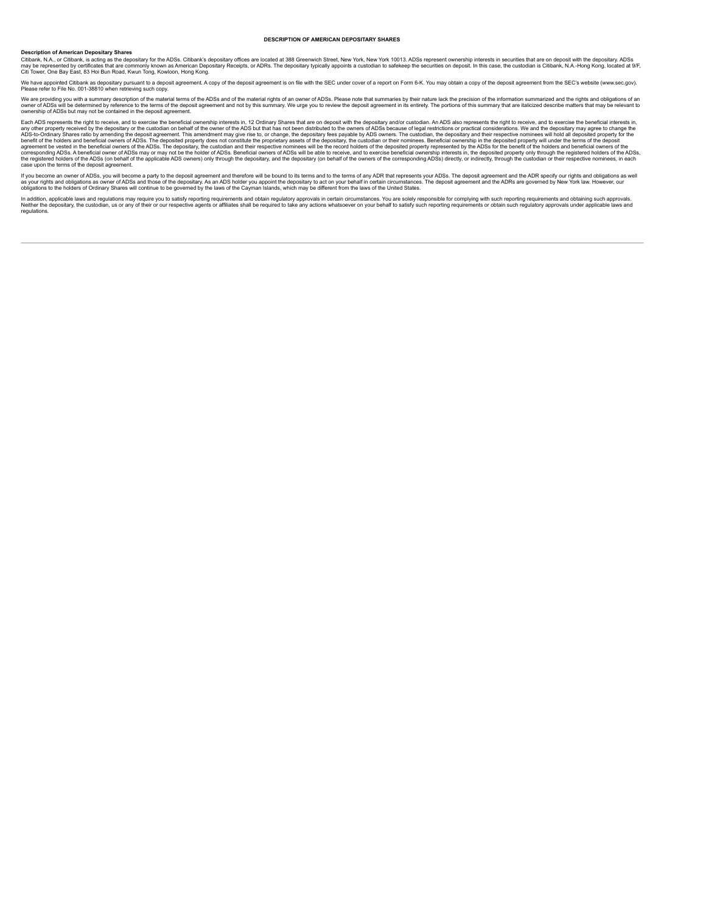### <span id="page-39-0"></span>**DESCRIPTION OF AMERICAN DEPOSITARY SHARES**

#### **Description of American Depositary Shares**

Citibank, N.A., or Citibank, is acting as the depositary for the ADSs. Citibank's depositary offices are located at 388 Greenwich Street, New York, New York 10013. ADSs represent ownership interests in securities that are

We have appointed Citibank as depositary pursuant to a deposit agreement. A copy of the deposit agreement is on file with the SEC under cover of a report on Form 6-K. You may obtain a copy of the deposit agreement from the

We are providing you with a summary description of the material terms of the ADSs and of the material rights of an owner of ADSs. Please note that summaries by their nature lack the precision of the information summarized

Each ADS represents the right to receive, and to secret the beneficial owners of the education on behalf of the owner of he ADSs, Beneficial owners in the deposition. And to exercise the ine right to receive a muld be exer case upon the terms of the deposit agreement.

If you become an owner of ADSs, you will become a party to the deposit agreement and therefore will be bound to its terms and to the terms of any ADR that represents your ADSs. The deposit agreement and the ADR specify our

In addition, applicable laws and regulations may require you to satisfy reporting requirements and obtain regulatory approvals in certain circumstances. You are solely responsible for complying with such the product on a s regulations.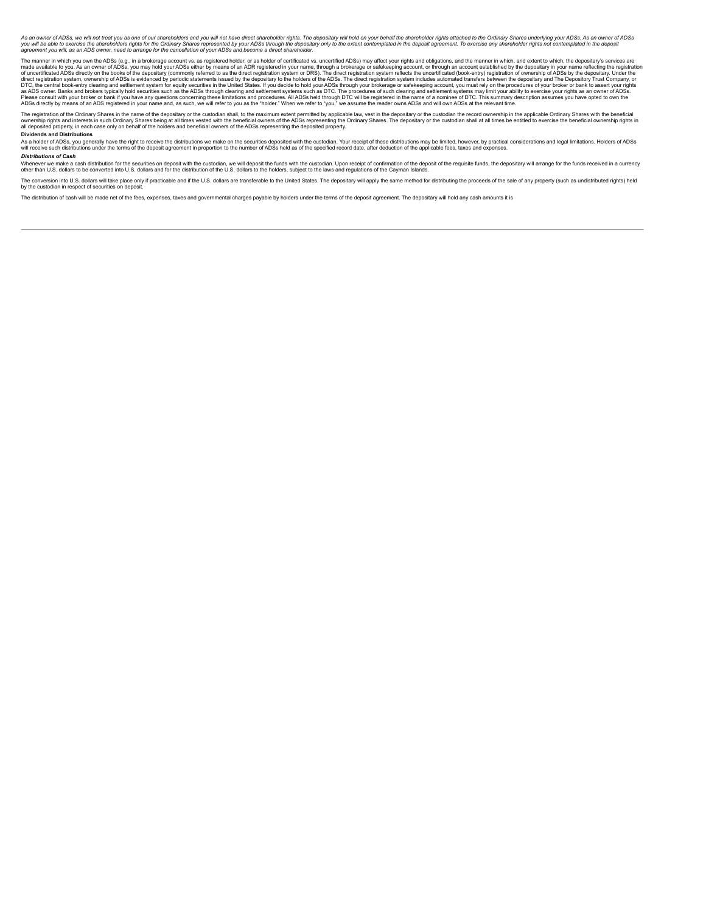As an owner of ADSs, we will not treat you as one of our shareholders and you will not have direct shareholder rights. The depositary will hold on your behalf the shareholder rights attached to the Ordinary Shares underlyi

The manner in which you. As an owner of ADSs, e.g., in a brokerage account ASs heads an outer defictable to you. As an owner of ADSs, e.g., in a broker of the dysellate of the constant which, and exertificate in you. As an

The registration of the Ordinary Shares in the name of the depositary or the custodian shall, to the maximum extent permitted by applicable law, vest in the depositary or the custodian the record ownership in the applicabl

# **Dividends and Distributions**

As a holder of ADSs, you generally have the right to receive the distinutions we make on the scurities deposited with the custodian. Your receipt of these distributions may be limited, hower, by practical team of a subsequ

#### *Distributions of Cash*

Whenever we make a cash distribution for the securities on deposit with the custodian, we will deposit the funds with the custodian. Upon receipt of confirmation and the build securities will arrange for the funds received

The conversion into U.S. dollars will take place only if practicable and if the U.S. dollars are transferable to the United States. The depositary will apply the same method for distributing the proceeds of the sale of any by the custodian in respect of securities on deposit.

The distribution of cash will be made net of the fees, expenses, taxes and governmental charges payable by holders under the terms of the deposit agreement. The depositary will hold any cash amounts it is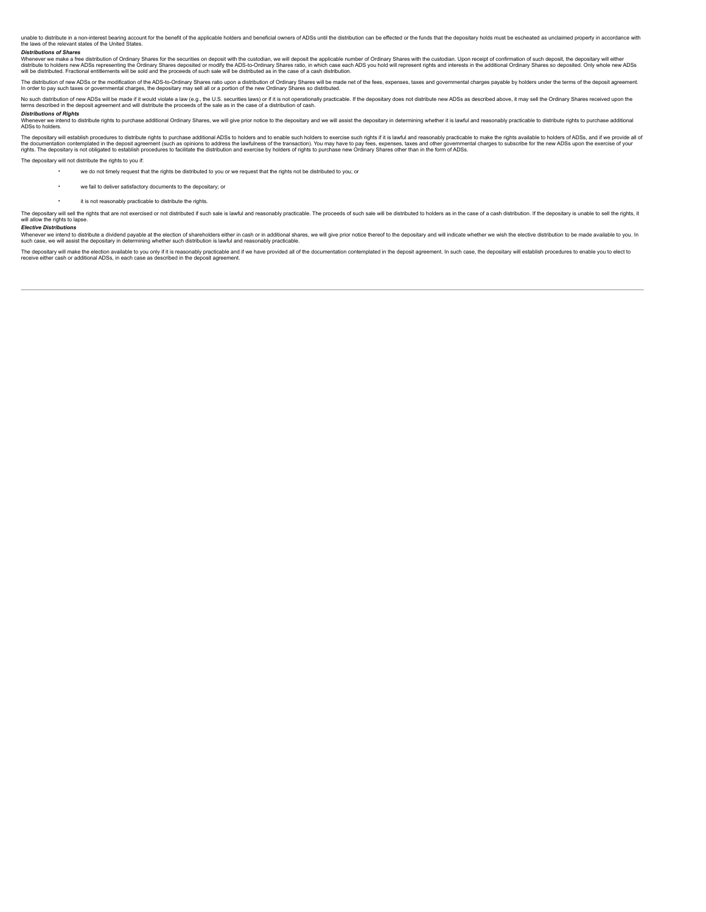unable to distribute in a non-interest bearing account for the benefit of the applicable holders and beneficial owners of ADSs until the distribution can be effected or the funds that the depositary holds must be escheated

### *Distributions of Shares*

Whenever we make a free distribution of Ordinary Shares for the securities on deposit with the custodian, we will deposit the applicable number of Ordinary Shares with the custodian. Upon receipt of confirmation of such de

The distibution of new ADSs or the modification of the ADS-to-Ordinary Shares ratio upon a distribution of Ordinary Shares will be made net of the fees, expenses, taxes and governmental charges payable by holders under the

No such distribution of new ADSs will be made if it would violate a law (e.g., the U.S. securities laws) or if it is not operationally practicable. If the depositary does not distribute new ADSs as described above, it may

**Distributions of Rights**<br>Whenever we intend to distribute rights to purchase additional Ordinary Shares, we will give prior notice to the depositary and we will assist the depositary in determining whether it is lawful an

The depositary will establish procedures to distribute rights to purchase additional ADSs to holders and to enable such holders to exercise such rights if it is lawful and reasonably practicable to make the rights availabl

The depositary will not distribute the rights to you if:

- we do not timely request that the rights be distributed to you or we request that the rights not be distributed to you; or
- we fail to deliver satisfactory documents to the depositary; or
- it is not reasonably practicable to distribute the rights.

The depositary will sell the rights that are not exercised or not distributed if such sale is lawful and reasonably practicable. The proceeds of such sale will be distributed to holders as in the case of a cash distributio will allow the rights to lapse

#### *Elective Distributions*

whenever we intend to distribute a dividend payable at the election of shareholders either in cash or in additional shares, we will give prior notice thereof to the depositary and will indicate whether we wish the elective such case, we will assist the depositary in determining whether such distribution is lawful and reasonably practicable.

The depositary will make the election available to you only if it is reasonably practicable and if we have provided all of the documentation contemplated in the deposit agreement. In such case, the depositary will establis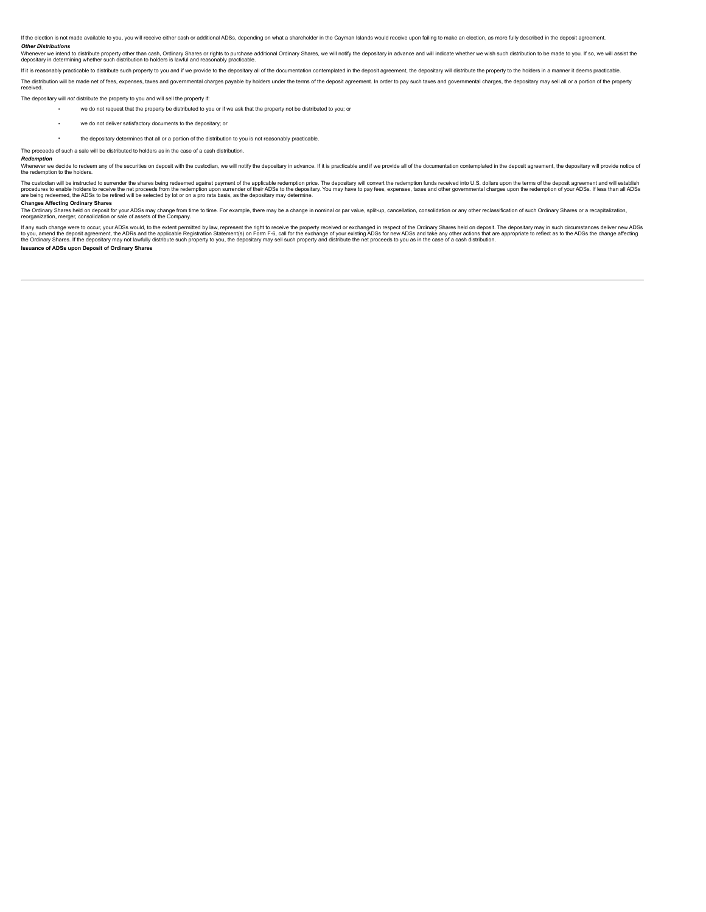If the election is not made available to you, you will receive either cash or additional ADSs, depending on what a shareholder in the Cayman Islands would receive upon failing to make an election, as more fully described i

Other Distributions<br>Whenever we intend to distribute property other than cash, Ordinary Shares or rights to purchase additional Ordinary Shares, we will notify the depositary in advance and will indicate whether we wish su

If it is reasonably practicable to distribute such property to you and if we provide to the depositary all of the documentation contemplated in the deposit agreement, the depositary will distribute the property to the hold

The distribution will be made net of fees, expenses, taxes and governmental charges payable by holders under the terms of the deposit agreement. In order to pay such taxes and governmental charges, the depositary may sell received.

The depositary will *not* distribute the property to you and will sell the property if:

we do not request that the property be distributed to you or if we ask that the property not be distributed to you;

- we do not deliver satisfactory documents to the depositary; or
- the depositary determines that all or a portion of the distribution to you is not reasonably practicable.
- The proceeds of such a sale will be distributed to holders as in the case of a cash distribution.

#### *Redemption*

Whenever we decide to redeem any of the securities on deposit with the custodian, we will notify the depositary in advance. If it is practicable and if we provide all of the documentation contemplated in the deposit agreem

The custodian will be instructed to surrender the shares being redeemed against payment of the applicable redemption price. The depositary will convert the redemption funds received into U.S. dollars upon the terms of the

# **Changes Affecting Ordinary Shares**

The Ordinary Shares held on deposit for your ADSs may change from time to time. For example, there may be a change in nominal or par value, split-up, cancellation, consolidation or any other reclassification of such Ordina

If any such change were to occur, your ADSs would, to the extent permitted by law, represent the right to receive the property received or exchanged in respect of the Ordinary Shares held on deposit. The depositary may in

**Issuance of ADSs upon Deposit of Ordinary Shares**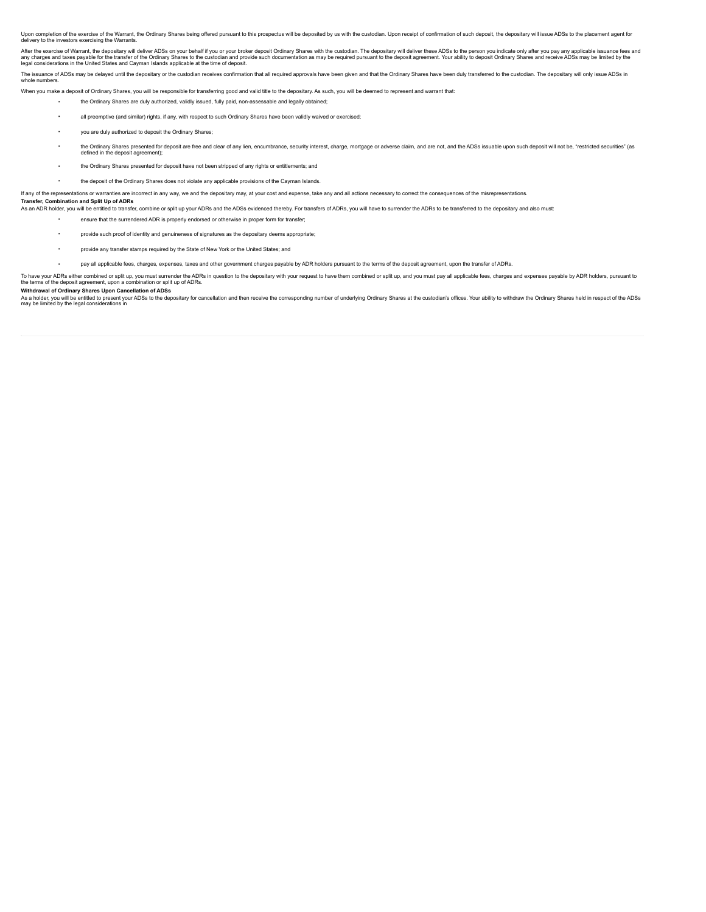Upon completion of the exercise of the Warrant, the Ordinary Shares being offered pursuant to this prospectus will be deposited by us with the custodian. Upon receipt of confirmation of such deposit, the depositary will is delivery to the investors exercising the Warrants.

After the exercise of Warrant, the depositary will deliver ADSs on your behalf if you or your broker deposit Ordinary Shares with the custodian. The depositary will deliver these ADSs to the person you indicate only after

The issuance of ADSs may be delayed until the depositary or the custodian receives confirmation that all required approvals have been given and that the Ordinary Shares have been duly transferred to the custodian. The depo whole numbers

When you make a deposit of Ordinary Shares, you will be responsible for transferring good and valid title to the depositary. As such, you will be deemed to represent and warrant that:

- the Ordinary Shares are duly authorized, validly issued, fully paid, non-assessable and legally obtained;
- all preemptive (and similar) rights, if any, with respect to such Ordinary Shares have been validly waived or exercised;
- you are duly authorized to deposit the Ordinary Shares;
- + me Ordinary Shares presented for deposit are free and clear of any lien, encumbrance, security interest, charge, mortgage or adverse claim, and are not, and the ADSs issuable upon such deposit will not be, "restricted
- the Ordinary Shares presented for deposit have not been stripped of any rights or entitlements; and
- the deposit of the Ordinary Shares does not violate any applicable provisions of the Cayman Islands.

If any of the representations or warranties are incorrect in any way, we and the depositary may, at your cost and expense, take any and all actions necessary to correct the consequences of the misrepresentations.

#### **Transfer, Combination and Split Up of ADRs**

As an ADR holder, you will be entitled to transfer, combine or split up your ADRs and the ADSs evidenced thereby. For transfers of ADRs, you will have to surrender the ADRs to be transferred to the depositary and also must:

- ensure that the surrendered ADR is properly endorsed or otherwise in proper form for transfer;
- provide such proof of identity and genuineness of signatures as the depositary deems appropriate;
- provide any transfer stamps required by the State of New York or the United States;

### pay all applicable fees, charges, expenses, taxes and other government charges payable by ADR holders pursuant to the terms of the deposit agreement, upon the transfer of ADRs.

To have your ADRs either combined or spilt up, you must surrender the ADRs in question to the depositary with your request to have them combined or split up, and you must pay all applicable fees, charges and expenses payab

### **Withdrawal of Ordinary Shares Upon Cancellation of ADSs**

As a holder, you will be entitled to present your ADSs to the depositary for cancellation and then receive the corresponding number of underlying Ordinary Shares at the custodian's offices. Your ability to withdraw the Ord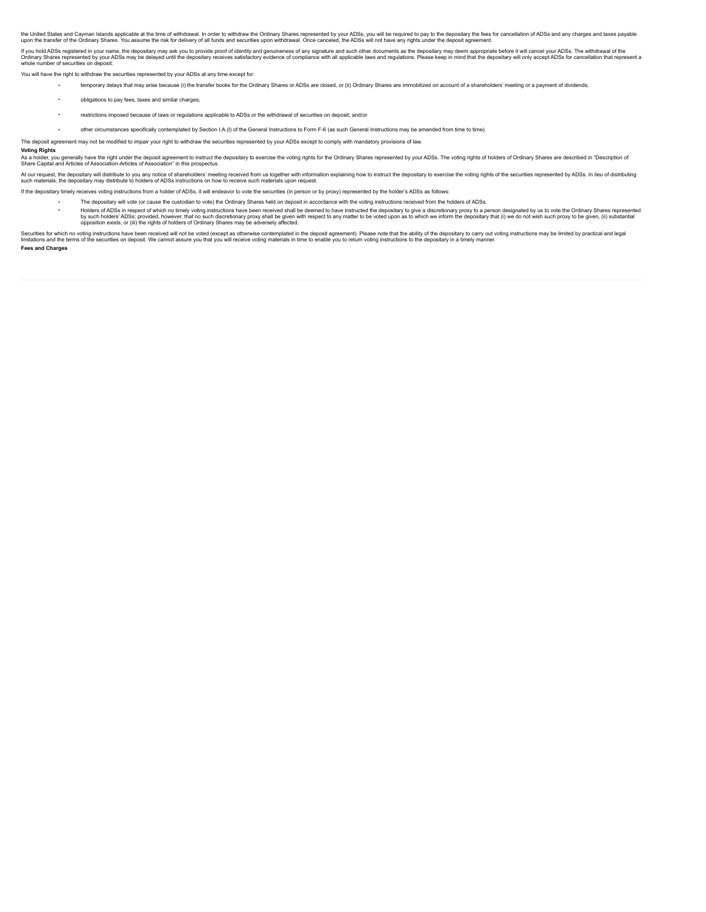the United States and Cayman Islands applicable at the time of withdrawal. In order to withdraw the Ordinary Shares represented by your ADSs, you will be required to pay to the depositary the effects for cancellation of AD

If you hold ADSs registered in your name, the depositary may ask you to provide proof of identity and genuineness of any signature and such other documents as the depositary may deem appropriate before it will cancel your

You will have the right to withdraw the securities represented by your ADSs at any time except for:

temporary delays that may arise because (i) the transfer books for the Ordinary Shares or ADSs are closed, or (ii) Ordinary Shares are immobilized on account of a shareholders' meeting or a payment of dividends;

- obligations to pay fees, taxes and similar charges;
- restrictions imposed because of laws or regulations applicable to ADSs or the withdrawal of securities on deposit; and/or
- other circumstances specifically contemplated by Section I.A.(I) of the General Instructions to Form F-6 (as such General Instructions may be amended from time to time).

The deposit agreement may not be modified to impair your right to withdraw the securities represented by your ADSs except to comply with mandatory provisions of law.

**Voting Rights**

As a holder, you generally have the right under the deposit agreement to instruct the depositary to exercise the voting rights for the Ordinary Shares represented by your ADSs. The voting rights of holders of Ordinary Shar

At our request, the depositary will distribute to holders of a bare holders' meeting received from us together with information explaining how to instruct the depositary to exercise the voting rights of the securities repr

If the depositary timely receives voting instructions from a holder of ADSs, it will endeavor to vote the securities (in person or by proxy) represented by the holder's ADSs as follows:

- The depositary will vote (or cause the custodian to vote) the Ordinary Shares held on deposit in accordance with the voting instructions received from the holders of ADSs.
	- Holders of ADSs in respect of which no timely voting instructions have been received shall be deemed to have instructed the depositary to give a discretionary proxy to a person designated by us to vote the Ordinary Shares

Securities for which no voting instructions have been received will not be voted (except as otherwise contemplated in the deposit agreement). Please note that the ability of the securities on depositary to a the securities **Fees and Charges**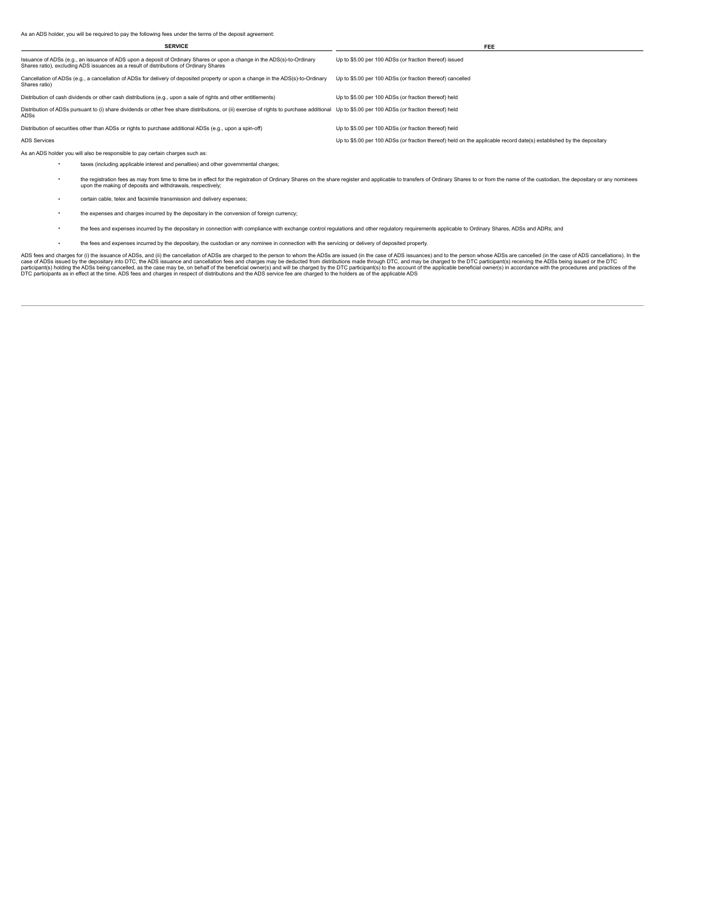| <b>SERVICE</b>                                                                                                                                                                                                    | FEE                                                                                                                 |
|-------------------------------------------------------------------------------------------------------------------------------------------------------------------------------------------------------------------|---------------------------------------------------------------------------------------------------------------------|
| Issuance of ADSs (e.g., an issuance of ADS upon a deposit of Ordinary Shares or upon a change in the ADS(s)-to-Ordinary<br>Shares ratio), excluding ADS issuances as a result of distributions of Ordinary Shares | Up to \$5.00 per 100 ADSs (or fraction thereof) issued                                                              |
| Cancellation of ADSs (e.g., a cancellation of ADSs for delivery of deposited property or upon a change in the ADS(s)-to-Ordinary<br>Shares ratio)                                                                 | Up to \$5.00 per 100 ADSs (or fraction thereof) cancelled                                                           |
| Distribution of cash dividends or other cash distributions (e.g., upon a sale of rights and other entitlements)                                                                                                   | Up to \$5.00 per 100 ADSs (or fraction thereof) held                                                                |
| Distribution of ADSs pursuant to (i) share dividends or other free share distributions, or (ii) exercise of rights to purchase additional<br>ADSs                                                                 | Up to \$5.00 per 100 ADSs (or fraction thereof) held                                                                |
| Distribution of securities other than ADSs or rights to purchase additional ADSs (e.g., upon a spin-off)                                                                                                          | Up to \$5.00 per 100 ADSs (or fraction thereof) held                                                                |
| <b>ADS Services</b>                                                                                                                                                                                               | Up to \$5.00 per 100 ADSs (or fraction thereof) held on the applicable record date(s) established by the depositary |
| As an ADS holder you will also be responsible to pay certain charges such as:                                                                                                                                     |                                                                                                                     |
| toyani lagu dan anglisable istorast ond nonolijaal ond other seusammental ebergee                                                                                                                                 |                                                                                                                     |

- taxes (including applicable interest and penalties) and other governmental charges;
- the registration fees as may from time to time be in effect for the registration of Ordinary Shares on the share register and applicable to transfers of Ordinary Shares to or from the name of the custodian, the depositary
- certain cable, telex and facsimile transmission and delivery expenses;
- the expenses and charges incurred by the depositary in the conversion of foreign currency;
- the fees and expenses incurred by the depositary in connection with compliance with exchange control regulations and other regulatory requirements applicable to Ordinary Shares, ADSs and ADRs; and
- the fees and expenses incurred by the depositary, the custodian or any nominee in connection with the servicing or delivery of deposited property.

ADS fees and charges for (i) the issuance of ADSs, and (ii) the cancellation of ADSs are charged to the person to whom the ADSs are issued (in the case of ADSs case of ADSs and the ough DTC, and may be charged to the DTC p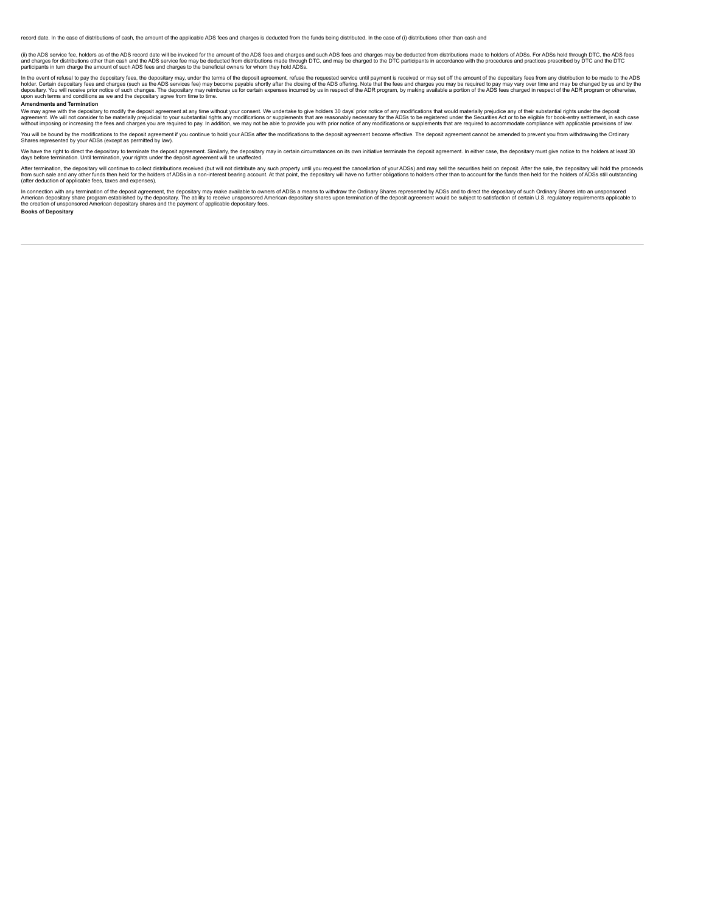record date. In the case of distributions of cash, the amount of the applicable ADS fees and charges is deducted from the funds being distributed. In the case of (i) distributions other than cash and

(ii) the ADS service fee, holders as of the ADS record date will be invoiced for the amount of the ADS fees and charges and such ADS fees and charges may be deducted from distributions made to holders of ADSs. For ADSs hel

In the event of refusal to pay the depositary fees, the depositary may, under the terms of the deposit agrement, refuse the requested service until payment is received or may set off the amount of the depositary fees and c

#### **Amendments and Termination**

We may agree with the depositary to modify the deposit agreement at any time without your consent. We undertake to give holders 30 days' prior notice of any modifications that would materially prejudice any of their substa

You will be bound by the modifications to the deposit agreement if you continue to hold your ADSs after the modifications to the deposit agreement become effective. The deposit agreement cannot be amended to prevent you fr

We have the right to direct the depositary to terminate the deposit agreement. Similarly, the depositary may in certain circumstances on its own initiative terminate the deposit agreement. In either case, the depositary mu

After termination, the depositary will continue to collect distributions received (but will not distribute any such property until you request the cancellation of your ADSs) and may sell the securities held on deposit. Aft

In connection with any termination of the deposit agreement, the depositary may make available to owners of ADSs a means to withdraw the Ordinary Shares represented by ADSs and to direct the depositary of such Ordinary Sha

**Books of Depositary**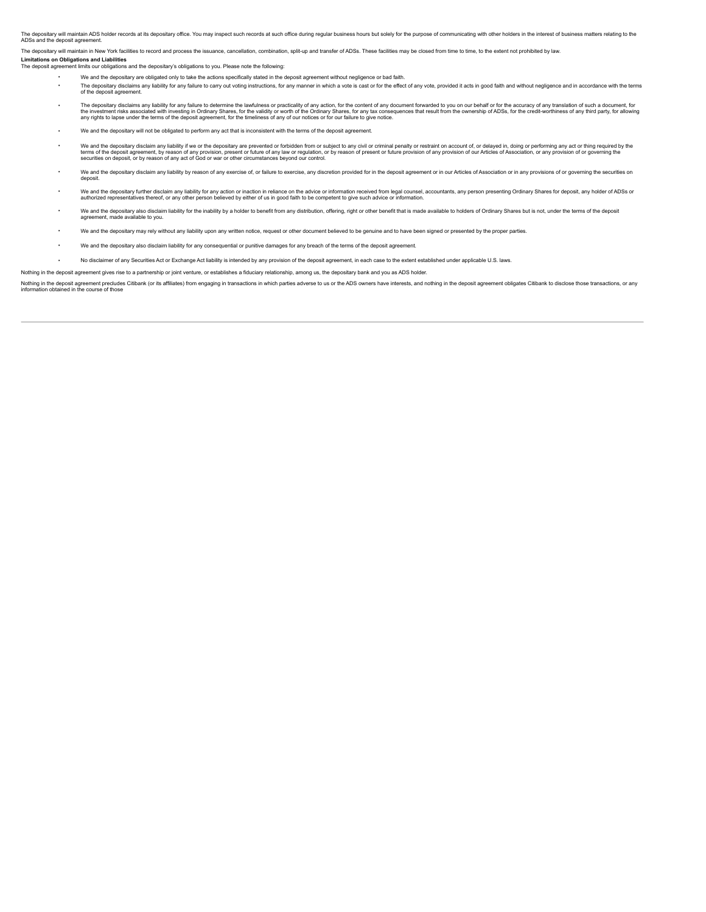The depositary will maintain ADS holder records at its depositary office. You may inspect such records at such office during regular business hours but solely for the purpose of communicating with other holders in the inte ADSs and the deposit agreem

The depositary will maintain in New York facilities to record and process the issuance, cancellation, combination, split-up and transfer of ADSs. These facilities may be closed from time to time, to the extent not prohibit

**Limitations on Obligations and Liabilities**

Int limits our obligations and the depositary's obligations to you. Please note the following:

- We and the depositary are obligated only to take the actions specifically stated in the deposit agreement without negligence or bad faith.
- The depositary disclaims any liability for any failure to carry out voting instructions, for any manner in which a vote is cast or for the effect of any vote, provided it acts in good faith and without negligence and in ac of the deposit agreement.
- The depositary disclaims any liability for any failure to determine the lawfulness or practicality of any action, for the content of any document forwarded to you on our behalf or for the accuracy of any translation of suc
- We and the depositary will not be obligated to perform any act that is inconsistent with the terms of the depo
- We and the depositary disclaim any liability if we or the depositary are prevented or forbidden from or subject to any civil or criminal penalty or restraint on account of, or delayed in, doing or performing any act or thi
- We and the depositance disclaim any liability by reason of any exercise of or failure to exercise any discretion provided for in the deposit agreement or in our Articles of Association or in any provisions of or governing deposit.
- We and the depositary further disculm any liability for any action or inaction in reliance on the advice or information received from legal counsel, accountants, any person presenting Ordinary Shares for deposit, any holde
- We and the depositary also disclaim liability for the inability by a holder to benefit from any distribution, offering, right or other benefit that is made available to holders of Ordinary Shares but is not, under the term agreement, made available to you.
- . We and the depositary may rely without any liability upon any written notice, request or other document believed to be genuine and to have been signed or presented by the proper partie
- We and the depositary also disclaim liability for any consequential or punitive damages for any breach of the terms of the deposit agreement.
- No disclaimer of any Securities Act or Exchange Act liability is intended by any provision of the deposit agreement, in each case to the extent established under applicable U.S. laws
- Nothing in the deposit agreement gives rise to a partnership or joint venture, or establishes a fiduciary relationship, among us, the depositary bank and you as ADS holder

Nothing in the deposit agreement precludes Citbank (or its affiliates) from engaging in transactions in which parties adverse to us or the ADS owners have interests, and nothing in the deposit agreement obligates Citbank t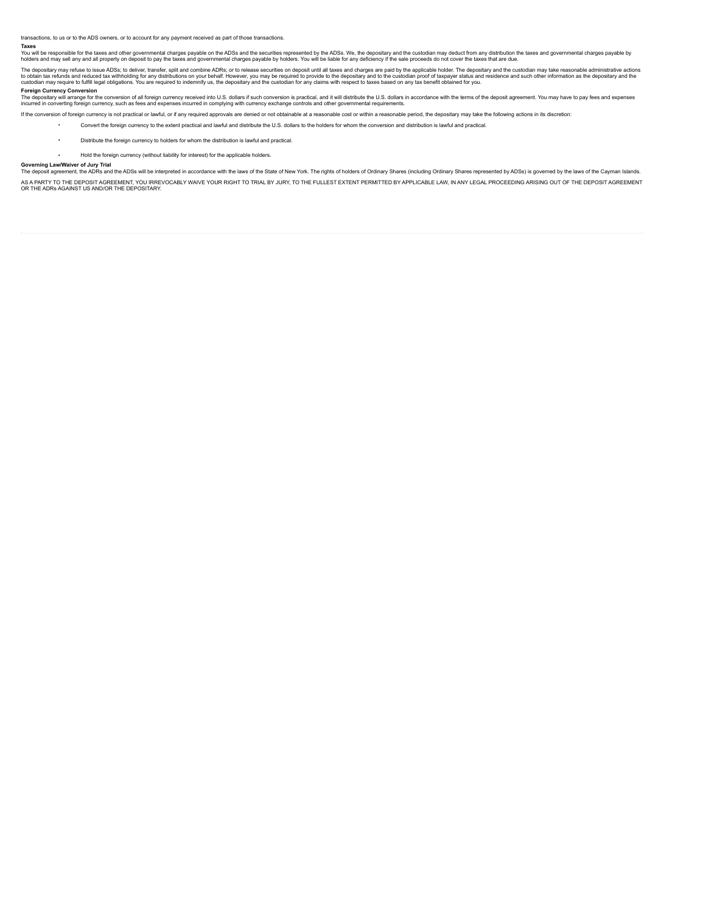transactions, to us or to the ADS owners, or to account for any payment received as part of those transactions.

#### **Taxes**

You will be responsible for the taxes and other governmental charges payable on the ADSs and the securities represented by the ADSs. We, the depositary and the custodian may defloct from any define the same proceds do not

The depositary may refuse to issue ADSs; to deliver, transfer, split and combine ADRs; or to release securities on deposit until all taxes and charges are paid by the applicable holder. The depositary and the custodian may

# **Foreign Currency Conversion**

The depositary will arrange for the conversion of all foreign currency received into U.S. dollars if such conversion is practical, and it will distribute the U.S. dollars in accordance with the terms of the deposit agreeme

If the conversion of foreign currency is not practical or lawful, or if any required approvals are denied or not obtainable at a reasonable cost or within a reasonable period, the depositary may take the following actions

Convert the foreign currency to the extent practical and lawful and distribute the U.S. dollars to the holders for whom the conversion and distribution is lawful and practical.

- Distribute the foreign currency to holders for whom the distribution is lawful and practical
- Hold the foreign currency (without liability for interest) for the applicable holders.

# **Governing Law/Waiver of Jury Trial**

The deposit agreement, the ADRs and the ADSs will be interpreted in accordance with the laws of the State of New York. The rights of holders of Ordinary Shares (including Ordinary Shares represented by ADSs) is governed by

AS APARTY TO THE DEPOSIT AGREMENT, YOU IRREVOCABLY WAIVE YOUR RIGHT TO TRIAL BY JURY, TO THE FULLEST EXTENT PERMITTED BY APPLICABLE LAW, IN ANY LEGAL PROCEEDING ARISING OUT OF THE DEPOSIT AGREEMENT<br>OR THE ADRS AGAINST US A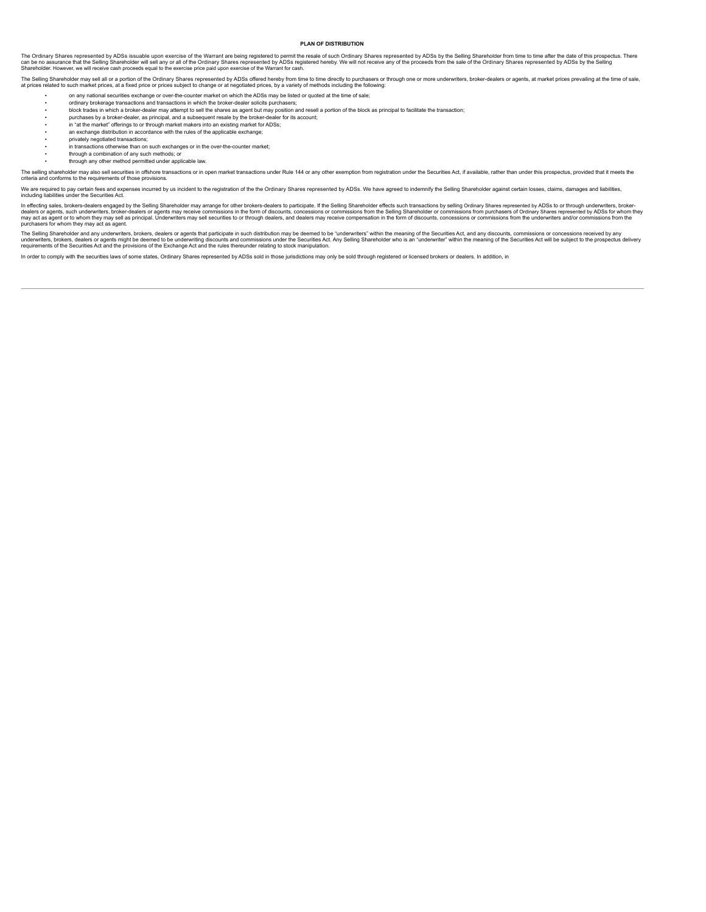#### <span id="page-49-0"></span>**PLAN OF DISTRIBUTION**

The Ordinary Shares represented by ADSs issuable upon exercise of the Warrant are being registered to permit the resale of such Ordinary Shares represented by ADSs by the Selling Shares represented by ADSs by the Selling S Shareholder. However, we will receive cash proceeds equal to the exercise price paid upon exercise of the Warrant for cash.

The Selling Shareholder may sell all or a portion of the Ordinary Shares represented by ADSs offered hereby from time to time directly to purchasers or through one or more underwriters, broker-dealers or agents, at market

- on any national securities exchange or over-the-counter market on which the ADSs may be listed or quoted at the time of sale;
- ordinary brokerage transactions and transactions in which the broker-dealer solicits purchasers; • block trades in which a broker-dealer may attempt to sell the shares as agent but may position and resell a portion of the block as principal to facilitate the transaction;
- purchases by a broker-dealer, as principal, and a subsequent resale by the broker-dealer for its account;
- in "at the market" offerings to or through market makers into an existing market for ADSs;
- an exchange distribution in accordance with the rules of the applicable exchange
- privately negotiated transactions;
- in transactions otherwise than on such exchanges or in the over-the-counter market; • through a combination of any such methods; or
- through any other method permitted under applicable law.

The selling shareholder may also sell securities in offshore transactions or in open market transactions under Rule 144 or any other exemption from registration under the Securities Act, if available, rather than under thi

We are required to pay certain fees and expenses incurred by us incident to the registration of the the Ordinary Shares represented by ADSs. We have agreed to indemnify the Selling Shareholder against certain losses, claim

In effecting sales, brokers-dealers engaged by the Selling Shareholder may arrange for other brokers-dealers to participate. If the Selling Shareholder effects such transactions by selling Ordinary Shares represented by AD purchasers for whom they may act as agent.

The Selling Shareholder and any underwriters, brokers, dealers or agents that participate in such distribution may be deemed to be "underwriters" within the meaning of the Securities Act, and any discounts, commissions or

In order to comply with the securities laws of some states, Ordinary Shares represented by ADSs sold in those jurisdictions may only be sold through registered or licensed brokers or dealers. In addition, in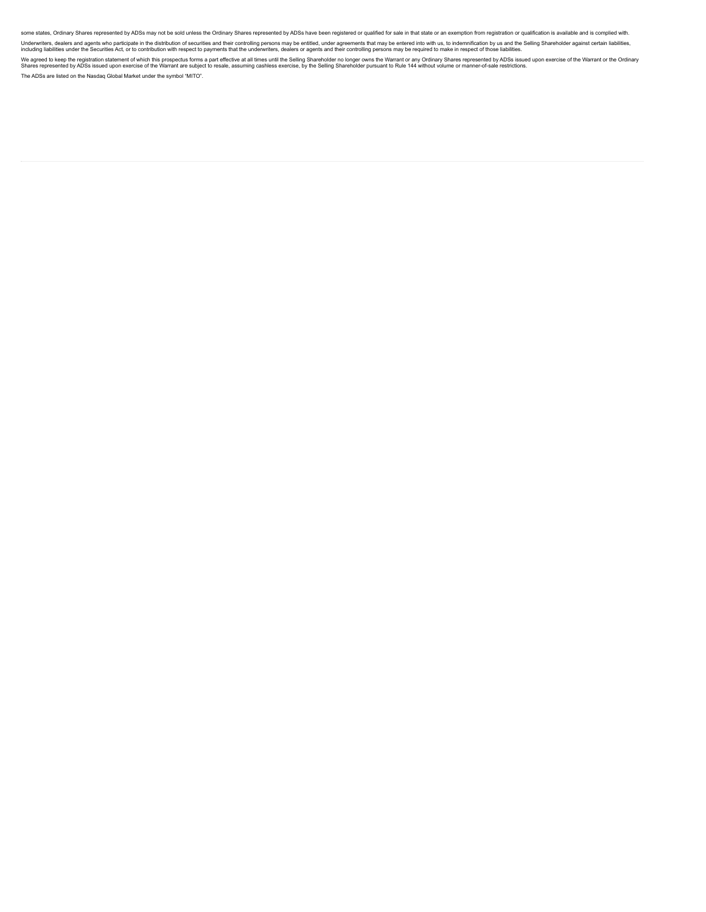some states, Ordinary Shares represented by ADSs may not be sold unless the Ordinary Shares represented by ADSs have been registered or qualified for sale in that state or an exemption from registration or qualification is

Underwriters, dealers and agents who participate in the distribution of securities and their controlling persons may be entilted, under agreements that may be entered into with underwriters promptor in the seling Sharehold

We agreed to keep the registration statement of which this prospectus forms a part effective at all times until the Selling Shareholder no longer owns the Warran or y Ordinary Shares expercise of the Warrant or the Ordinar The ADSs are listed on the Nasdaq Global Market under the symbol "MITO".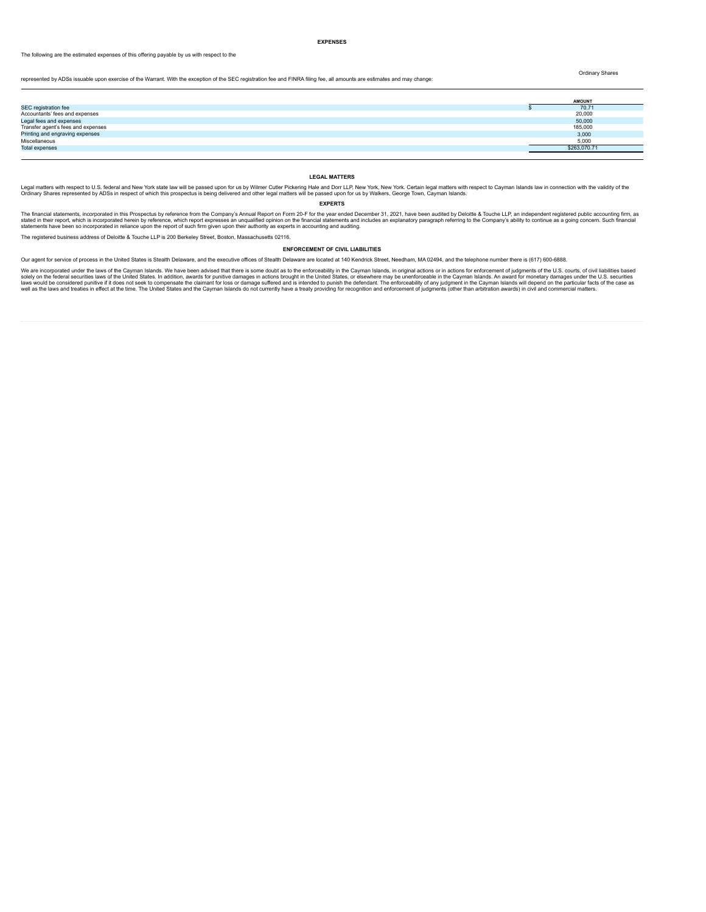#### <span id="page-51-0"></span>**EXPENSES**

The following are the estimated expenses of this offering payable by us with respect to the

Ordinary Shares

represented by ADSs issuable upon exercise of the Warrant. With the exception of the SEC registration fee and FINRA filing fee, all amounts are estimates and may change:

|                                    | <b>AMOUNT</b> |
|------------------------------------|---------------|
| SEC registration fee               | 70.71         |
| Accountants' fees and expenses     | 20,000        |
| Legal fees and expenses            | 50,000        |
| Transfer agent's fees and expenses | 185,000       |
| Printing and engraving expenses    | 3,000         |
| Miscellaneous                      | 5.000         |
| <b>Total expenses</b>              | \$263,070.71  |
|                                    |               |

### <span id="page-51-1"></span>**LEGAL MATTERS**

Legal matters with respect to U.S. federal and New York state law will be passed upon for us by Wilmer Cutler Pickering Hale and Dort LP, New York, New York. Certain legal matters had be heaven by holder legal matters will

# <span id="page-51-2"></span>**EXPERTS**

The financial statements, incorporated in this Prospectus by reference from the Company's Annual Report on Form 20-F for the year ended December 31, 2021, have been audited by Deloitte & Touche LLP, an independent register

The registered business address of Deloitte & Touche LLP is 200 Berkeley Street, Boston, Massachusetts 02116.

### <span id="page-51-3"></span>**ENFORCEMENT OF CIVIL LIABILITIES**

Our agent for service of process in the United States is Stealth Delaware, and the executive offices of Stealth Delaware are located at 140 Kendrick Street, Needham, MA 02494, and the telephone number there is (617) 600-68

We are incorporated under the laws of the Cayman Islands. We have been advised that there is some doubt as to the enforceablity in the Cayman Island actions brought in the United States, or elsewhere may be unenforceable i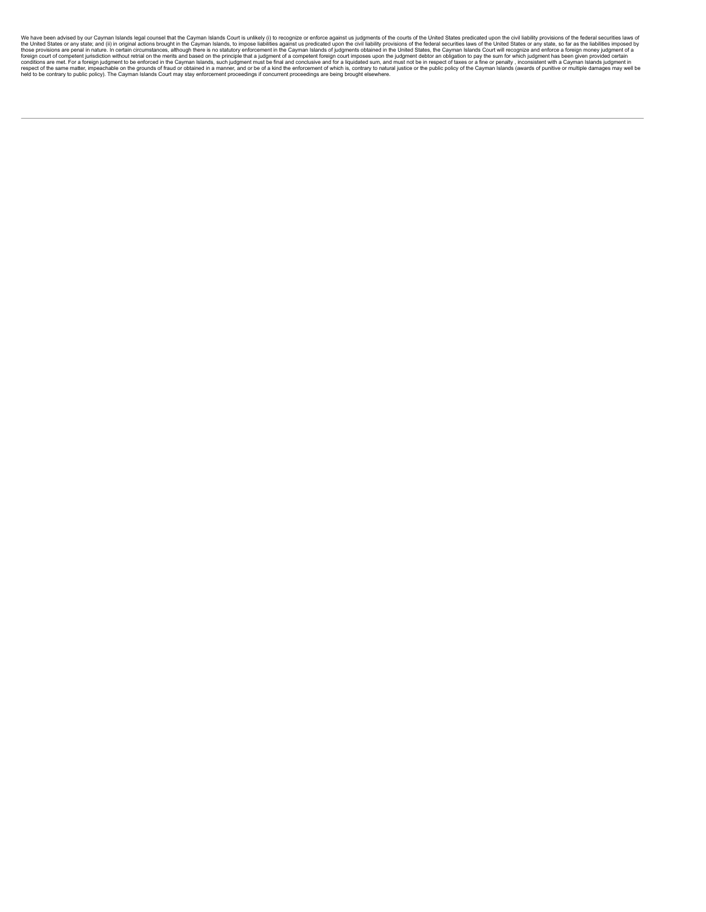We have been advised by our Cayman Islam islam shads lousting and conducts in the Cayman Islam islam islam and the Cayman Islam islam islam islam islam islam islam islam islam islam islam islam islam islam islam islam isla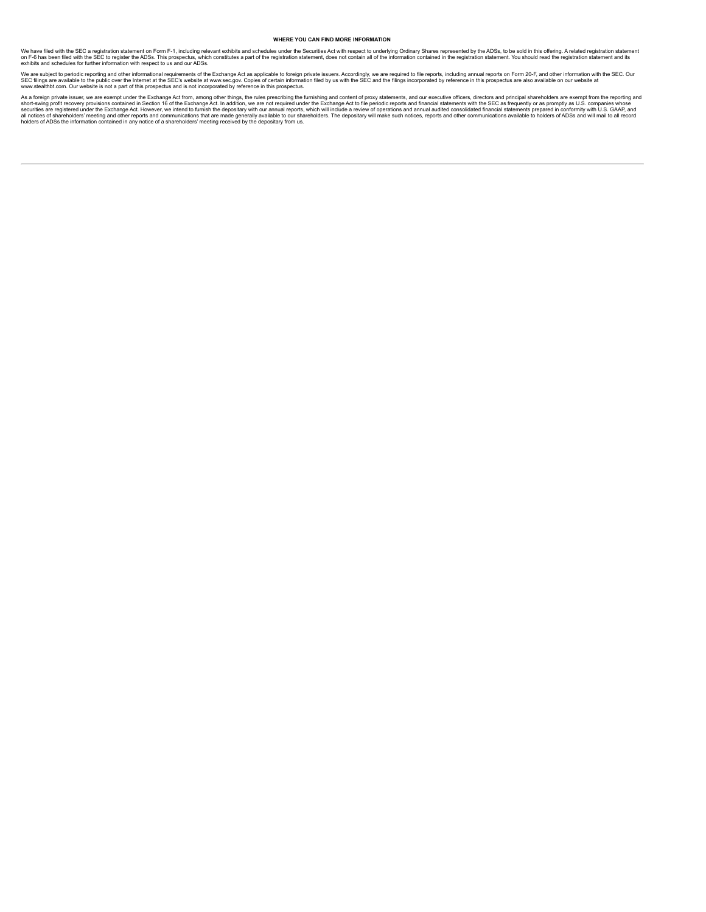# <span id="page-53-0"></span>**WHERE YOU CAN FIND MORE INFORMATION**

We have filed with the SEC a registration statement on Form F-1, including relevant exhibits and schedules under the Securities Ad with respect to underlying Ordinary Shares represented by the ADSs, to be sold in this offe

We are subject to periodic reporting and other informational requirements of the Exchange Act as applicable to foreign private issuers. Accordingly, we are required to file reports, including annual reports on Form 20-F, a

As a foreign private issue, we are exempt under the Exchange Act from, among other things, the rules prescribing the furnishing and content of proxy statements, and our executive officers, directors and principal sharehold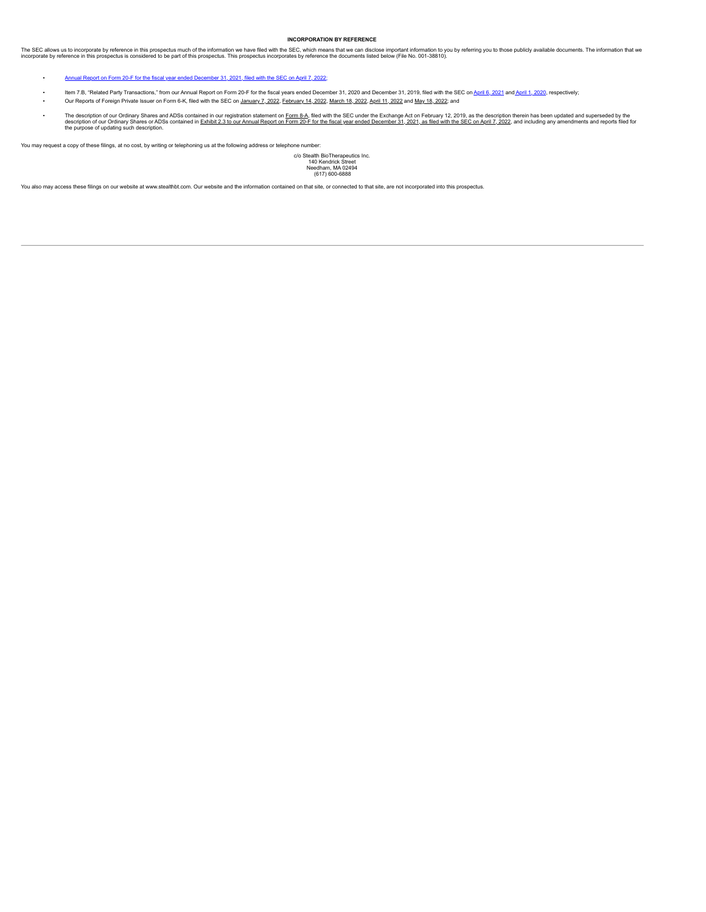# <span id="page-54-0"></span>**INCORPORATION BY REFERENCE**

The SEC allows us to incorporate by reference in this prospectus much of the information we have filed with the SEC, which means that we can disclose important information that we have compended to be own this prospectus i

- Annual Report on Form 20-F for the fiscal year ended [December](https://content.edgar-online.com/ExternalLink/EDGAR/0000950170-22-005474.html?hash=87e826de587cb195615a3d53410c57fe66d532e2f3673f6db16dabd3039ea0ea&dest=mito-20211231_htm) 31, 2021, filed with the SEC on April 7, 2022;
- Item 7.B, "Related Party Transactions," from our Annual Report on Form 20-F for the fiscal years ended December 31, 2020 and December 31, 2019, filed with the SEC on April 6, [2021](https://content.edgar-online.com/ExternalLink/EDGAR/0001564590-21-017843.html?hash=7144e41ed2ac354b203f2a950e0b50ae7b812b70d98f97d01d9659b003939687&dest=mito-20f_20201231_htm_B_RELATED_PARTY_TRANSACTIONS) and April 1, [2020,](https://content.edgar-online.com/ExternalLink/EDGAR/0001564590-20-014804.html?hash=6b15fcb9929bb2219ab4acc7c4ddc545c61f89efdf891d9871a3b45aa973f55f&dest=mito-20f_20191231_htm_B_RELATED_PARTY_TRANSACTIONS) respectively;<br>Our Rep exports of Foreign Private Issuer on Form 6-K, filed with the SEC on [January](https://content.edgar-online.com/ExternalLink/EDGAR/0001564590-22-000689.html?hash=d396e2d8d2f8f83626a2e8fc64b92b6675d627b9293f16821029b0fa366c25d6&dest=mito-6k_20220131_htm) 7, 2022, [February](https://content.edgar-online.com/ExternalLink/EDGAR/0001564590-22-004833.html?hash=e0da94a9fc2e3c1fdeaab9dfd95db47fa7da1d415c6b21a0c476143b62e22418&dest=mito-6k_20220228_htm) 14, 2022, [March](https://content.edgar-online.com/ExternalLink/EDGAR/0000950170-22-004173.html?hash=e031716cecdd62a4abc1141495b94a0497526eccdb61d4a7830338f5b0c5de3c&dest=6k_atm_refresh_htm) 18, [2022](https://content.edgar-online.com/ExternalLink/EDGAR/0000950170-22-010238.html?hash=02349819e55a46c90a4a9c6ac4b3a22563a72c29fd9aa2c80c34b962920c13c4&dest=6k_q12022_htm), April 11, 2022 and May 18, 2022; and
- The description of our Ordinary Shares and ADSs contained in our registration statement on <u>[Form](https://content.edgar-online.com/ExternalLink/EDGAR/0001193125-19-035411.html?hash=068e09580c517ca49294c55e4440aa023aeaa291df2525704b9193f5f4464c69&dest=d701372d8a12b_htm) 8-A</u>, filed with the SEC under the Exchange Act on February 12, 2019, as the description therein has been updated and superse

You may request a copy of these filings, at no cost, by writing or telephoning us at the following address or telephone number:

c/o Stealth BioTherapeutics Inc. 140 Kendrick Street Needham, MA 02494 (617) 600-6888

You also may access these filings on our website at www.stealthbt.com. Our website and the information contained on that site, or connected to that site, are not incorporated into this prospectus.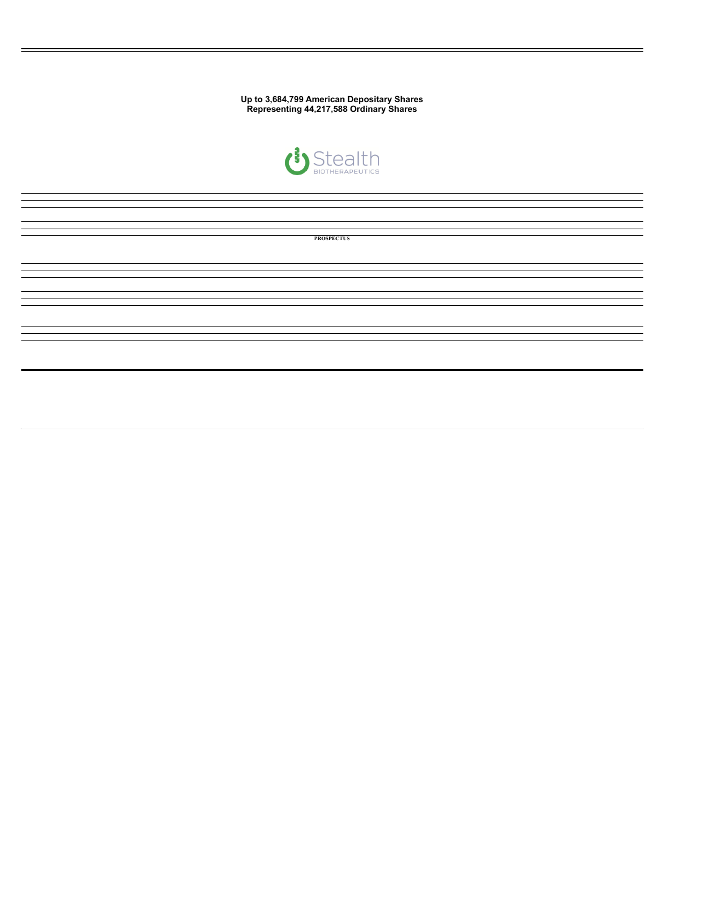**Up to 3,684,799 American Depositary Shares Representing 44,217,588 Ordinary Shares**



| <b>PROSPECTUS</b> |
|-------------------|
|                   |
|                   |
|                   |
|                   |
|                   |
|                   |
|                   |
|                   |
|                   |
|                   |
|                   |
|                   |
|                   |
|                   |
|                   |
|                   |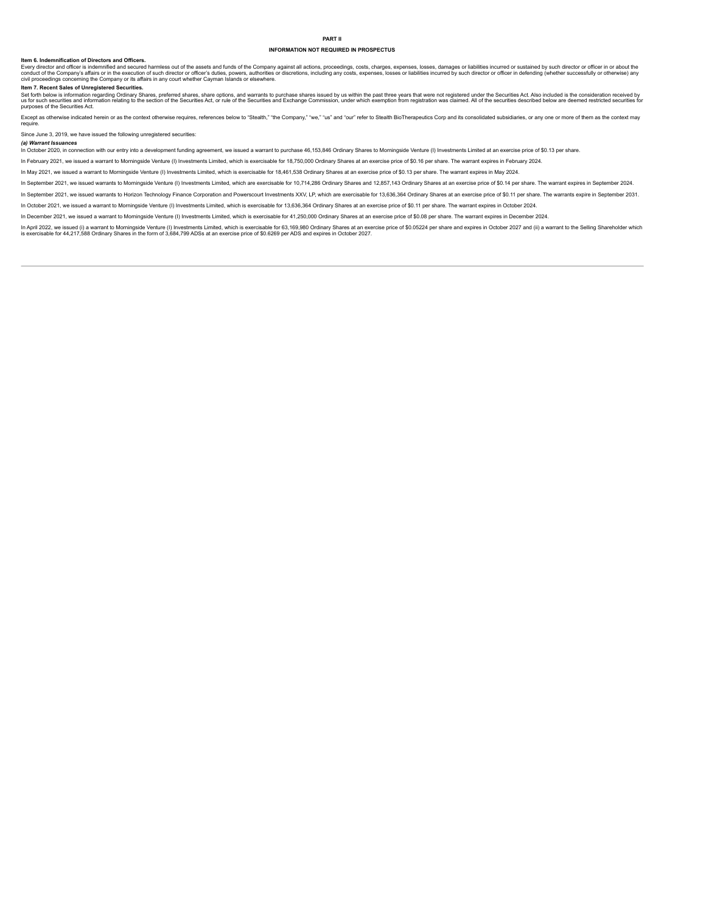# **INFORMATION NOT REQUIRED IN PROSPECTUS**

#### **Item 6. Indemnification of Directors and Officers.**

Every director and officer is indemnified and secured harmless out of the assets and funds of the Company against all actions, proceedings, costs, charges, expenses, losses, damages or liabilities incurred or sustained by

**Item 7. Recent Sales of Unregistered Securities.**<br>Set forth below is information regarding Ordinary Shares, preferred shares, share options, and warrants to purchase shares issued by us within the past three years that we

Except as otherwise indicated herein or as the context otherwise requires, references below to "Stealth," "the Company," "we," "us" and "our" refer to Stealth BioTherapeutics Corp and its consolidated subsidiaries, or any require.

Since June 3, 2019, we have issued the following unregistered securities:

(a) Warrant Issuances<br>In October 2020, in connection with our entry into a development funding agreement, we issued a warrant to purchase 46,153,846 Ordinary Shares to Morningside Venture (I) Investments Limited at an exer

In February 2021, we issued a warrant to Morningside Venture (I) Investments Limited, which is exercisable for 18,750,000 Ordinary Shares at an exercise price of \$0.16 per share. The warrant expires in February 2024.

In May 2021, we issued a warrant to Morningside Venture (I) Investments Limited, which is exercisable for 18,461,538 Ordinary Shares at an exercise price of \$0.13 per share. The warrant expires in May 2024.

In September 2021, we issued warrants to Morningside Venture (I) Investments Limited, which are exercisable for 10,714,286 Ordinary Shares and 12,857,143 Ordinary Shares at an exercise price of \$0.14 per share. The warrant

In September 2021, we issued warrants to Horizon Technology Finance Corporation and Powerscourt Investments XXV, LP, which are exercisable for 13,636,364 Ordinary Shares at an exercise price of \$0.11 per share. The warrant

In October 2021, we issued a warrant to Morningside Venture (I) Investments Limited, which is exercisable for 13,636,364 Ordinary Shares at an exercise price of \$0.11 per share. The warrant expires in October 2024.

In December 2021, we issued a warrant to Morningside Venture (I) Investments Limited, which is exercisable for 41,250,000 Ordinary Shares at an exercise price of \$0.08 per share. The warrant expires in December 2024.

in April 2022, we issued (i) a warrant to Morningside Venture (i) Investments Limited, which is exercisable for 63,169,980 Ordinary Shares at an exercise price of \$0.05224 per share and expires in October 2027 and (ii) a w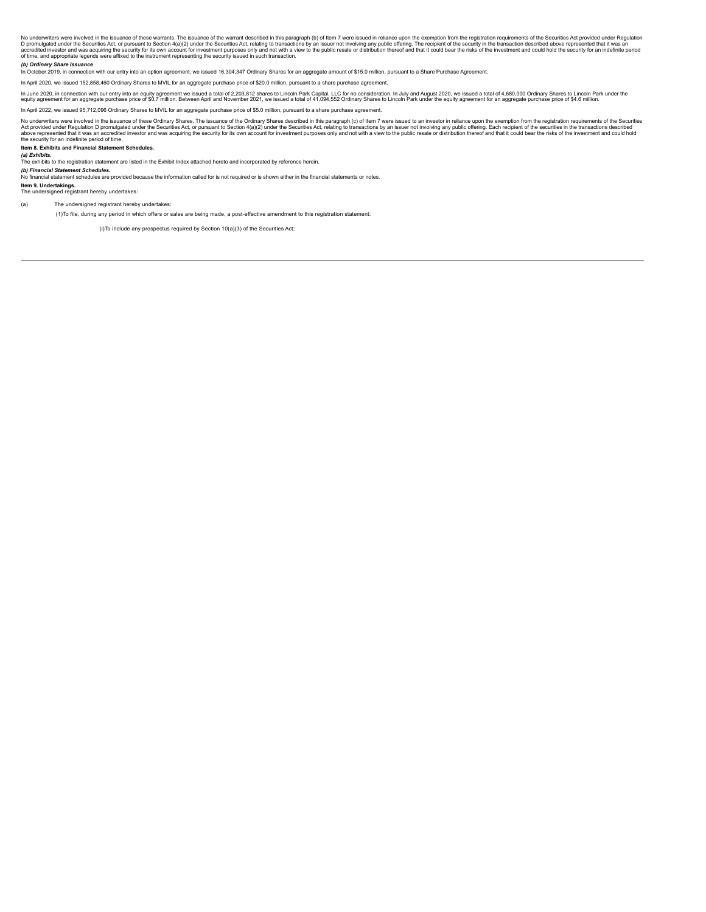No underwriters were involved in the issuance of these warrants. The issuance of the warrant described in this paragraph (b) of then 7 were issued in reliance upon the exempted that it was and promotomers of the security i

### *(b) Ordinary Share Issuance*

In October 2019, in connection with our entry into an option agreement, we issued 16,304,347 Ordinary Shares for an aggregate amount of \$15.0 million, pursuant to a Share Purchase Agreement.

In April 2020, we issued 152,858,460 Ordinary Shares to MVIL for an aggregate purchase price of \$20.0 million, pursuant to a share purchase agreement.

In June 2020, in connection with our entry into an equity agreement we issued a total of 2,203,912 shares to Lincoln Park Capital, LLC for no consideration. In July and August 2020, we issued a total of 41,094,552 Ordinary

In April 2022, we issued 95,712,096 Ordinary Shares to MVIL for an aggregate purchase price of \$5.0 million, pursuant to a share purchase agreement.

No underwriters were involved in the issuance of these Ordinary Shares. The issuance of the Ordinary Shares describes describe in the party and the investor in the require in the require in the require in the required in t

**Item 8. Exhibits and Financial Statement Schedules.**

#### *(a) Exhibits.*

The exhibits to the registration statement are listed in the Exhibit Index attached hereto and incorporated by reference herein.

*(b) Financial Statement Schedules.*<br>No financial statement schedules are provided because the information called for is not required or is shown either in the financial statements or notes.

**Item 9. Undertakings.** The undersigned registrant hereby undertakes:

(a) The undersigned registrant hereby undertakes:

(1)To file, during any period in which offers or sales are being made, a post-effective amendment to this registration statement:

(i)To include any prospectus required by Section 10(a)(3) of the Securities Act;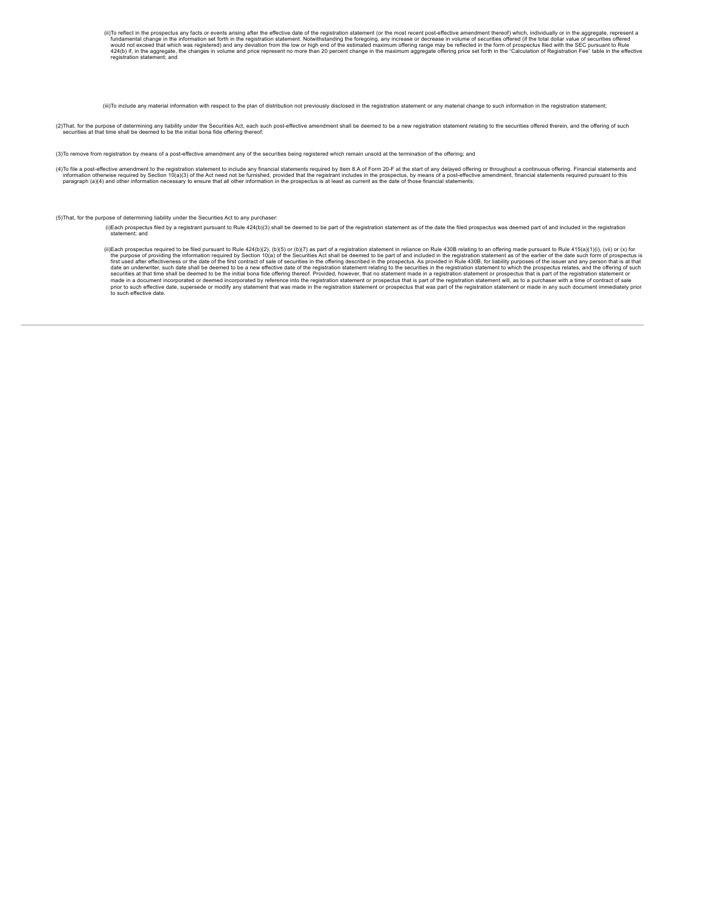(ii)To reflect in the prospectus any facts or events arising after the effective date of the registration statement (or the most recent post-effective amendment thereof) which, individually or in the aggregate, represent a

(iii)To include any material information with respect to the plan of distribution not previously disclosed in the registration statement or any material change to such information in the registration statement;

(2) That, for the purpose of determining any liability under the Securities Act, each such post-effective amendment shall be deemed to be a new registration statement relating to the securities offered therein, and the off securities at that time shall be deemed to be the initial bona fide offering thereof;

(3)To remove from registration by means of a post-effective amendment any of the securities being registered which remain unsold at the termination of the offering; and

(4)To file a post-effective amendment to the registration statement to include any financial statements required by Item 8.A of Form 20-F at the start of any delayed offering or throughout a continuous offering. Financial

(5)That, for the purpose of determining liability under the Securities Act to any purchaser:

- (i)Each prospectus filed by a registrant pursuant to Rule 424(b)(3) shall be deemed to be part of the registration statement as of the date the filed prospectus was deemed part of and included in the registration<br>statement
- (ii)Each prospectus required to be filed pursuant to Rule 424(b)(2), (b)(5) or (b)(7) as part of a registration statement in reliance on Rule 430B relating to an offering made pursuant to Rule 415(a)(1)(i), (vij) or (x) f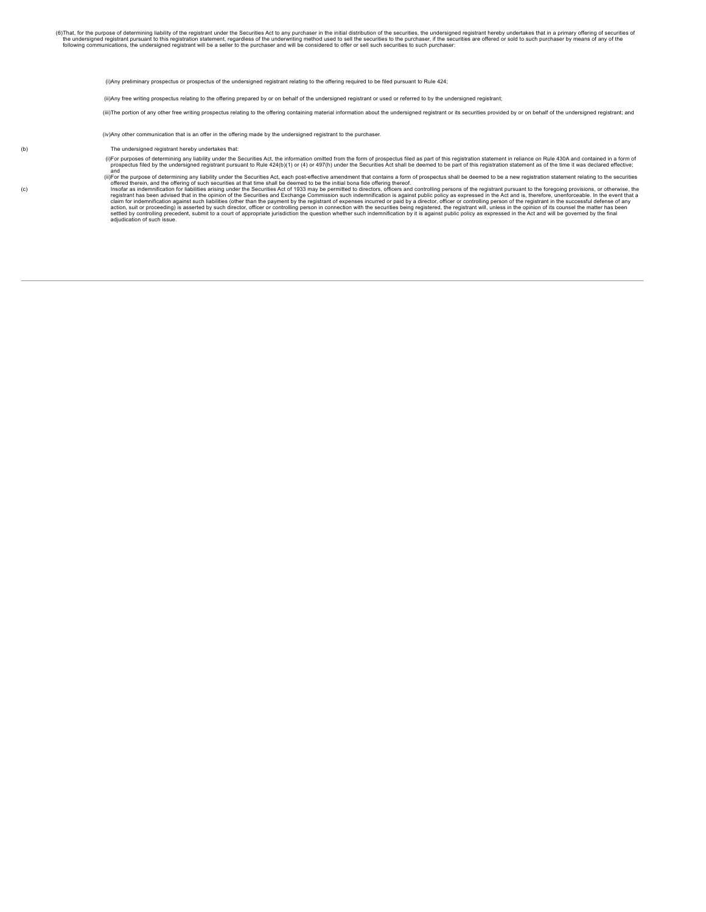(i)Any preliminary prospectus or prospectus of the undersigned registrant relating to the offering required to be filed pursuant to Rule 424;

(ii)Any free writing prospectus relating to the offering prepared by or on behalf of the undersigned registrant or used or referred to by the undersigned registrant;

(iii)The portion of any other free writing prospectus relating to the offering containing material information about the undersigned registrant or its securities provided by or on behalf of the undersigned registrant; and

(iv)Any other communication that is an offer in the offering made by the undersigned registrant to the purchaser.

- (b) The undersigned registrant hereby undertakes that:
	- (i)For purposes of determining any liability under the Securities Act, the information omitted from the form of prospectus filed as part of this registration statement as of the undersities and contained effective;<br>- prosp
	- and (ii)For the purpose of determining any liability under the Securities Act, each post-effective amendment that contains a form ofprospectus shall be deemed to be a new registration statement relating to the securities
- offered therein, and the offering of such securities at that there shall be deemed to be the initial bona fide offering thereof.<br>Insofar as indemnification for labilities arising under the Securities Act of 1933 may be per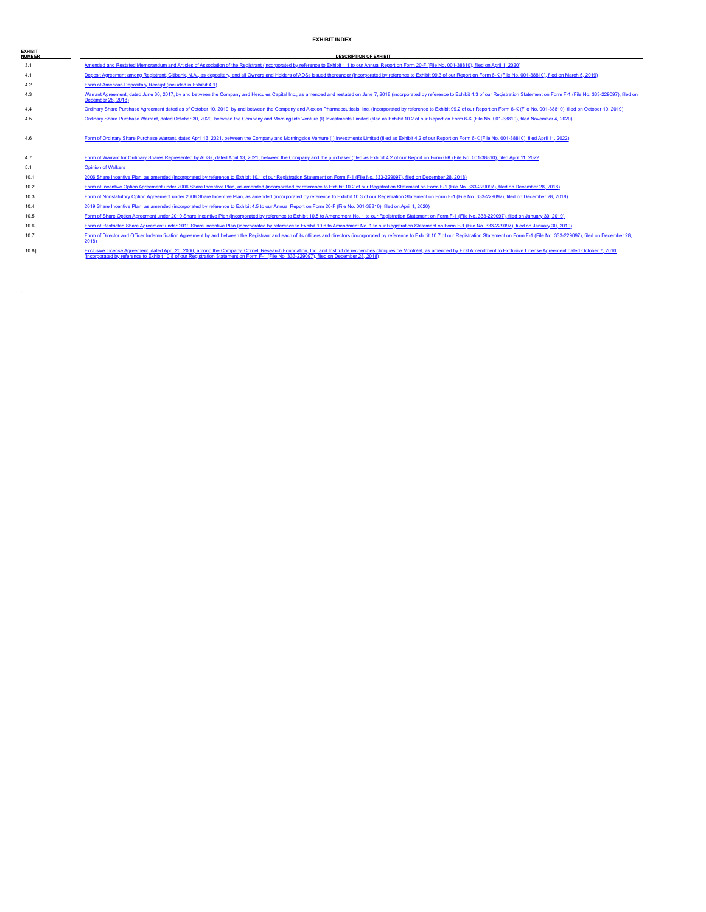# **EXHIBIT INDEX**

| <b>EXHIBIT</b><br><b>NUMBER</b> | <b>DESCRIPTION OF EXHIBIT</b>                                                                                                                                                                                                                                                                                                                                             |
|---------------------------------|---------------------------------------------------------------------------------------------------------------------------------------------------------------------------------------------------------------------------------------------------------------------------------------------------------------------------------------------------------------------------|
| 3.1                             | Amended and Restated Memorandum and Articles of Association of the Registrant (incorporated by reference to Exhibit 1.1 to our Annual Report on Form 20-F (File No. 001-38810), filed on April 1, 2020)                                                                                                                                                                   |
| 4.1                             | Deposit Agreement among Registrant, Citibank, N.A., as depositary, and all Owners and Holders of ADSs issued thereunder (incorporated by reference to Exhibit 99.3 of our Report on Form 6-K (File No. 001-38810), filed on Ma                                                                                                                                            |
| 4.2                             | Form of American Depositary Receipt (included in Exhibit 4.1)                                                                                                                                                                                                                                                                                                             |
| 4.3                             | Warrant Agreement, dated June 30, 2017, by and between the Company and Hercules Capital Inc., as amended and restated on June 7, 2018 (incorporated by reference to Exhibit 4.3 of our Registration Statement on Form F-1 (Fil<br>December 28, 2018)                                                                                                                      |
| 4.4                             | Ordinary Share Purchase Agreement dated as of October 10, 2019, by and between the Company and Alexion Pharmaceuticals, Inc. (incorporated by reference to Exhibit 99.2 of our Report on Form 6-K (File No. 001-38810), filed                                                                                                                                             |
| 4.5                             | Ordinary Share Purchase Warrant, dated October 30, 2020, between the Company and Morningside Venture (I) Investments Limited (filed as Exhibit 10.2 of our Report on Form 6-K (File No. 001-38810), filed November 4, 2020)                                                                                                                                               |
| 4.6                             | Form of Ordinary Share Purchase Warrant, dated April 13, 2021, between the Company and Morningside Venture (I) Investments Limited (filed as Exhibit 4.2 of our Report on Form 6-K (File No. 001-38810), filed April 11, 2022)                                                                                                                                            |
| 4.7                             | Form of Warrant for Ordinary Shares Represented by ADSs, dated April 13, 2021, between the Company and the purchaser (filed as Exhibit 4.2 of our Report on Form 6-K (File No. 001-38810), filed April 11, 2022                                                                                                                                                           |
| 5.1                             | <b>Opinion of Walkers</b>                                                                                                                                                                                                                                                                                                                                                 |
| 10.1                            | 2006 Share Incentive Plan, as amended (incorporated by reference to Exhibit 10.1 of our Registration Statement on Form F-1 (File No. 333-229097), filed on December 28, 2018)                                                                                                                                                                                             |
| 10.2                            | Form of Incentive Option Agreement under 2006 Share Incentive Plan, as amended (incorporated by reference to Exhibit 10.2 of our Registration Statement on Form F-1 (File No. 333-229097), filed on December 28, 2018)                                                                                                                                                    |
| 10.3                            | Form of Nonstatutory Option Agreement under 2006 Share Incentive Plan, as amended (incorporated by reference to Exhibit 10.3 of our Registration Statement on Form F-1 (File No. 333-229097), filed on December 28, 2018)                                                                                                                                                 |
| 10.4                            | 2019 Share Incentive Plan, as amended (incorporated by reference to Exhibit 4.5 to our Annual Report on Form 20-F (File No. 001-38810), filed on April 1, 2020)                                                                                                                                                                                                           |
| 10.5                            | Form of Share Option Agreement under 2019 Share Incentive Plan (incorporated by reference to Exhibit 10.5 to Amendment No. 1 to our Registration Statement on Form F-1 (File No. 333-229097), filed on January 30, 2019)                                                                                                                                                  |
| 10.6                            | Form of Restricted Share Agreement under 2019 Share Incentive Plan (incorporated by reference to Exhibit 10.6 to Amendment No. 1 to our Registration Statement on Form F-1 (File No. 333-229097), filed on January 30, 2019)                                                                                                                                              |
| 10.7                            | Form of Director and Officer Indemnification Agreement by and between the Registrant and each of its officers and directors (incorporated by reference to Exhibit 10.7 of our Registration Statement on Form F-1 (File No. 333<br>2018)                                                                                                                                   |
| 10.8+                           | Exclusive License Agreement, dated April 20, 2006, among the Company, Comell Research Foundation, Inc. and Institut de recherches cliniques de Montréal, as amended by First Amendment to Exclusive License Agreement dated Oc<br>(incorporated by reference to Exhibit 10.8 of our Registration Statement on Form F-1 (File No. 333-229097), filed on December 28, 2018) |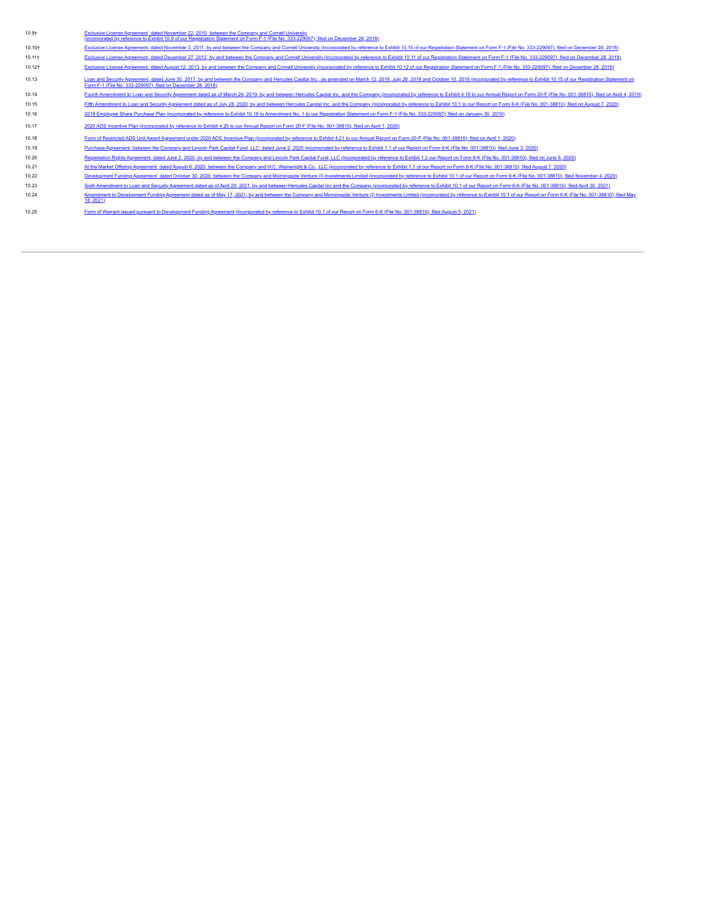| $10.9+$            | Exclusive License Agreement, dated November 22, 2010, between the Company and Cornell University<br>(incorporated by reference to Exhibit 10.9 of our Registration Statement on Form F-1 (File No. 333-229097), filed on December 28, 2018)                                                   |
|--------------------|-----------------------------------------------------------------------------------------------------------------------------------------------------------------------------------------------------------------------------------------------------------------------------------------------|
| 10.10+             | Exclusive License Agreement, dated November 3, 2011, by and between the Company and Cornell University (incorporated by reference to Exhibit 10.10 of our Registration Statement on Form F-1 (File No. 333-229097), filed on D                                                                |
| 10.11 <sup>†</sup> | Exclusive License Agreement, dated December 27, 2012, by and between the Company and Cornell University (incorporated by reference to Exhibit 10.11 of our Registration Statement on Form F-1 (File No. 333-229097), filed on                                                                 |
| 10.12+             | Exclusive License Agreement, dated August 12, 2013, by and between the Company and Cornell University (incorporated by reference to Exhibit 10.12 of our Registration Statement on Form F-1 (File No. 333-229097), filed on De                                                                |
| 10.13              | Loan and Security Agreement, dated June 30, 2017, by and between the Company and Hercules Capital Inc., as amended on March 12, 2018, July 26, 2018 and October 10, 2018 (incorporated by reference to Exhibit 10.15 of our Re<br>Form F-1 (File No. 333-229097), filed on December 28, 2018) |
| 10.14              | Fourth Amendment to Loan and Security Agreement dated as of March 29, 2019, by and between Hercules Capital Inc. and the Company (incorporated by reference to Exhibit 4.19 to our Annual Report on Form 20-F (File No. 001-38                                                                |
| 10.15              | Fifth Amendment to Loan and Security Agreement dated as of July 28, 2020, by and between Hercules Capital Inc. and the Company (incorporated by reference to Exhibit 10.1 to our Report on Form 6-K (File No. 001-38810), file                                                                |
| 10.16              | 2019). 2019 Employee Share Purchase Plan (incorporated by reference to Exhibit 10.16 to Amendment No. 1 to our Registration Statement on Form F-1 (File No. 333-229097), filed on January 30, 2019)                                                                                           |
| 10.17              | 2020 ADS Incentive Plan (incorporated by reference to Exhibit 4.20 to our Annual Report on Form 20-F (File No. 001-38810), filed on April 1, 2020)                                                                                                                                            |
| 10.18              | Form of Restricted ADS Unit Award Agreement under 2020 ADS Incentive Plan (incorporated by reference to Exhibit 4.21 to our Annual Report on Form 20-F (File No. 001-38810), filed on April 1, 2020)                                                                                          |
| 10.19              | Purchase Agreement, between the Company and Lincoln Park Capital Fund, LLC, dated June 2, 2020 (incorporated by reference to Exhibit 1.1 of our Report on Form 6-K (File No. 001-38810), filed June 3, 2020)                                                                                  |
| 10.20              | Registration Rights Agreement, dated June 2, 2020, by and between the Company and Lincoln Park Capital Fund, LLC (incorporated by reference to Exhibit 1.2 our Report on Form 6-K (File No. 001-38810), filed on June 6, 2020)                                                                |
| 10.21              | At the Market Offering Agreement, dated August 6, 2020, between the Company and H.C. Wainwright & Co., LLC (incorporated by reference to Exhibit 1.1 of our Report on Form 6-K (File No. 001-38810), filed August 7, 2020)                                                                    |
| 10.22              | Development Funding Agreement, dated October 30, 2020, between the Company and Morningside Venture (I) Investments Limited (incorporated by reference to Exhibit 10.1 of our Report on Form 6-K (File No. 001-38810), filed No                                                                |
| 10.23              | Sixth Amendment to Loan and Security Agreement dated as of April 29, 2021, by and between Hercules Capital Inc and the Company (incorporated by reference to Exhibit 10.1 of our Report on Form 6-K (File No. 001-38810), file                                                                |
| 10.24              | Amendment to Development Funding Agreement dated as of May 17, 2021, by and between the Company and Morningside Venture (I) Investments Limited (incorporated by reference to Exhibit 10.1 of our Report on Form 6-K (File No.<br>18, 2021)                                                   |
| 10.25              | Form of Warrant issued pursuant to Development Funding Agreement (incorporated by reference to Exhibit 10.1 of our Report on Form 6-K (File No. 001-38810), filed August 5, 2021)                                                                                                             |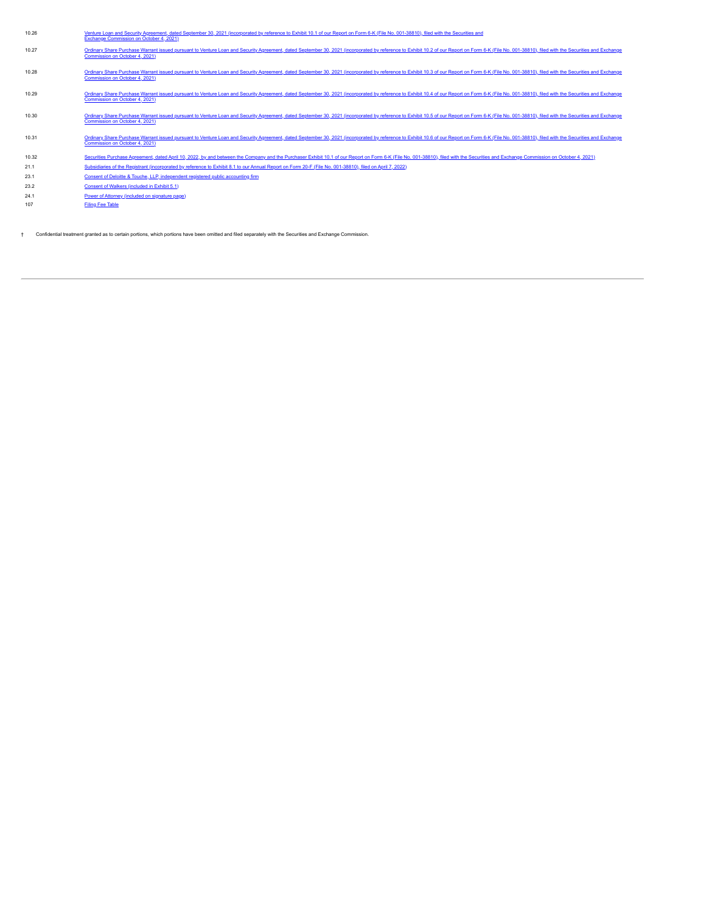| 10.26 | Venture Loan and Security Agreement, dated September 30, 2021 (incorporated by reference to Exhibit 10.1 of our Report on Form 6-K (File No. 001-38810), filed with the Securities and<br>Exchange Commission on October 4, 2021)                                |
|-------|------------------------------------------------------------------------------------------------------------------------------------------------------------------------------------------------------------------------------------------------------------------|
| 10.27 | Ordinary Share Purchase Warrant issued pursuant to Venture Loan and Security Agreement, dated September 30, 2021 (incorporated by reference to Exhibit 10.2 of our Report on Form 6-K (File No. 001-38810), filed with the Sec<br>Commission on October 4, 2021) |
| 10.28 | Ordinary Share Purchase Warrant issued pursuant to Venture Loan and Security Agreement, dated September 30, 2021 (incorporated by reference to Exhibit 10.3 of our Report on Form 6-K (File No. 001-38810), filed with the Sec<br>Commission on October 4, 2021) |
| 10.29 | Ordinary Share Purchase Warrant issued pursuant to Venture Loan and Security Agreement, dated September 30, 2021 (incorporated by reference to Exhibit 10.4 of our Report on Form 6-K (File No. 001-38810), filed with the Sec<br>Commission on October 4, 2021) |
| 10.30 | Ordinary Share Purchase Warrant issued pursuant to Venture Loan and Security Agreement, dated September 30, 2021 (incorporated by reference to Exhibit 10.5 of our Report on Form 6-K (File No. 001-38810), filed with the Sec<br>Commission on October 4, 2021) |
| 10.31 | Ordinary Share Purchase Warrant issued pursuant to Venture Loan and Security Agreement, dated September 30, 2021 (incorporated by reference to Exhibit 10.6 of our Report on Form 6-K (File No. 001-38810), filed with the Sec<br>Commission on October 4, 2021) |
| 10.32 | Securities Purchase Agreement, dated April 10, 2022, by and between the Company and the Purchaser Exhibit 10.1 of our Report on Form 6-K (File No. 001-38810), filed with the Securities and Exchange Commission on October 4,                                   |
| 21.1  | Subsidiaries of the Registrant (incorporated by reference to Exhibit 8.1 to our Annual Report on Form 20-F (File No. 001-38810), filed on April 7, 2022)                                                                                                         |
| 23.1  | Consent of Deloitte & Touche, LLP, independent registered public accounting firm                                                                                                                                                                                 |
| 23.2  | Consent of Walkers (included in Exhibit 5.1)                                                                                                                                                                                                                     |
| 24.1  | Power of Attorney (included on signature page)                                                                                                                                                                                                                   |

107 [Filing Fee Table](#page-70-0)

† Confidential treatment granted as to certain portions, which portions have been omitted and filed separately with the Securities and Exchange Commission.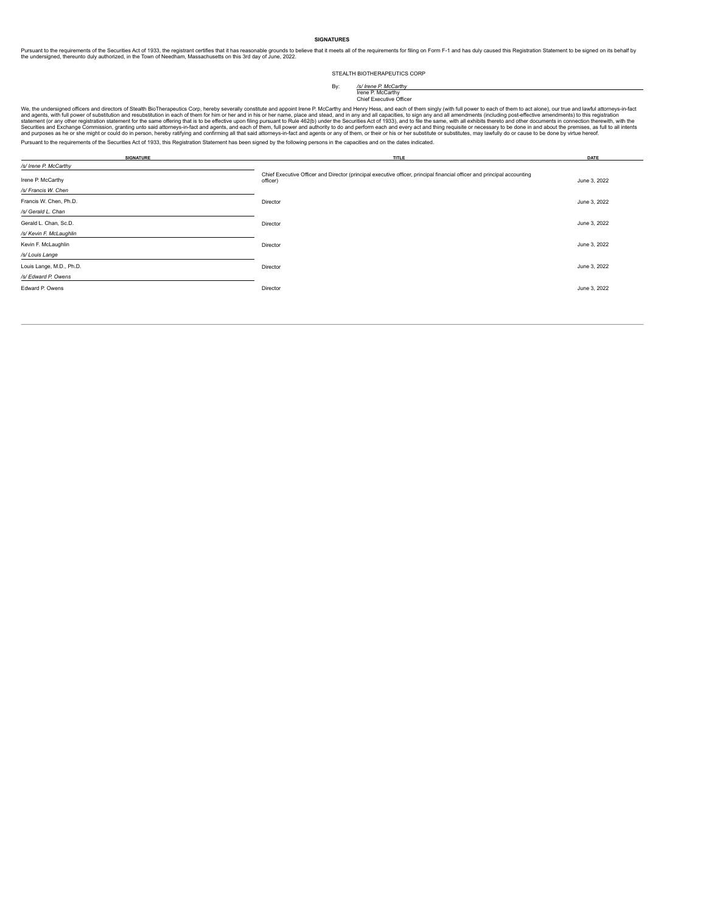### **SIGNATURES**

Pursuant to the requirements of the Securities Act of 1933, the registrant certifies that it masonable grounds to believe that it meets all of the requirements for filing on Form F-1 and has duly caused this Registration

### STEALTH BIOTHERAPEUTICS CORP

# By: */s/ Irene P. McCarthy* Irene P. McCarthy Chief Executive Officer

We, the undersigned officers and directors of Stealth BioTherapeutics Corp, hereby severally constitute and appoint lree P. McCarthy and Henry Hess, and each of them singly (with full power to each of them numerals) to def Pursuant to the requirements of the Securities Act of 1933, this Registration Statement has been signed by the following persons in the capacities and on the dates indicated.

| <b>SIGNATURE</b>         | TITLE                                                                                                                               | DATE         |
|--------------------------|-------------------------------------------------------------------------------------------------------------------------------------|--------------|
| /s/ Irene P. McCarthy    |                                                                                                                                     |              |
| Irene P. McCarthy        | Chief Executive Officer and Director (principal executive officer, principal financial officer and principal accounting<br>officer) | June 3, 2022 |
| /s/ Francis W. Chen      |                                                                                                                                     |              |
| Francis W. Chen, Ph.D.   | Director                                                                                                                            | June 3, 2022 |
| /s/ Gerald L. Chan       |                                                                                                                                     |              |
| Gerald L. Chan, Sc.D.    | Director                                                                                                                            | June 3, 2022 |
| /s/ Kevin F. McLaughlin  |                                                                                                                                     |              |
| Kevin F. McLaughlin      | Director                                                                                                                            | June 3, 2022 |
| /s/ Louis Lange          |                                                                                                                                     |              |
| Louis Lange, M.D., Ph.D. | Director                                                                                                                            | June 3, 2022 |
| /s/ Edward P. Owens      |                                                                                                                                     |              |
| Edward P. Owens          | Director                                                                                                                            | June 3, 2022 |
|                          |                                                                                                                                     |              |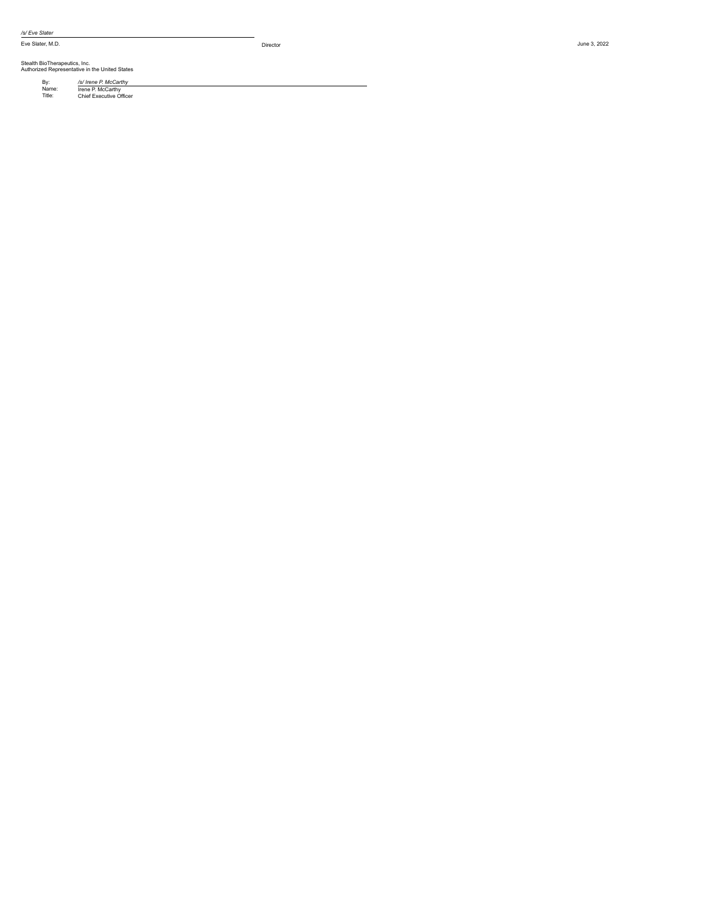*/s/ E ve Slate r*

Eve Slater, M.D. Director and the state of the state of the state of the state of the state of the state of the state of the state of the state of the state of the state of the state of the state of the state of the state

Stealth BioTherapeutics, Inc.<br>Authorized Representative in the United States

By: /s/ *In*<br>Name: Title: Chie y: /s/ *Irene P. McCarthy*<br>
lame: Irene P. McCarthy<br>
itle: Chief Executive Officer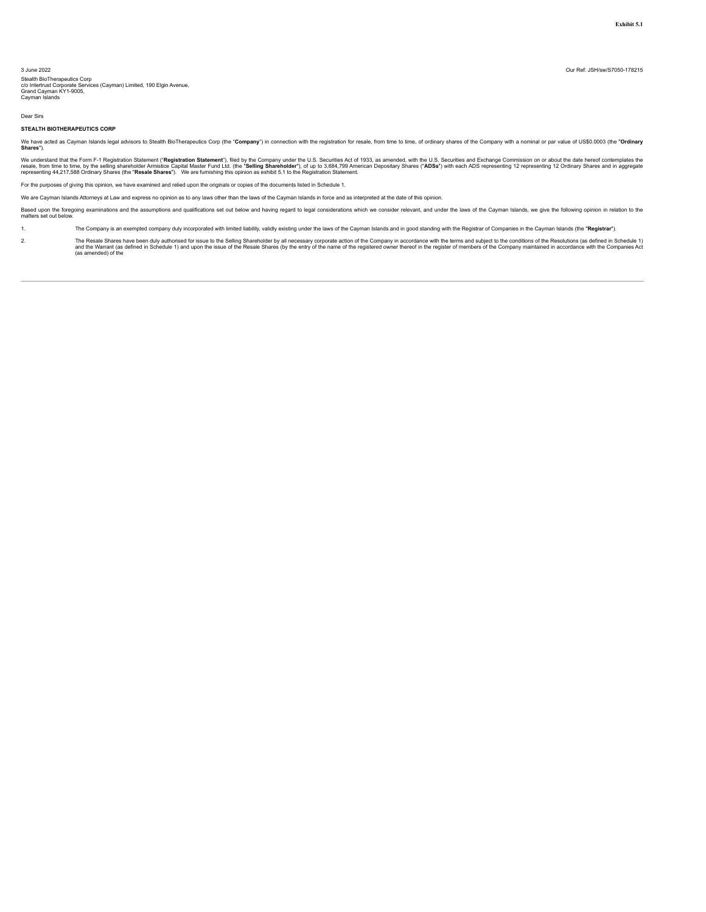<span id="page-65-0"></span>Stealth BioTherapeutics Corp<br>c/o Intertrust Corporate Services (Cayman) Limited, 190 Elgin Avenue,<br>Grand Cayman KY1-9005,<br>Cayman Islands

Dear Sirs

#### **STEALTH BIOTHERAPEUTICS CORP**

We have acted as Cayman Islands legal advisors to Stealth BioTherapeutics Corp (the "**Company**") in connection with the registration for resale, from time to time, of ordinary shares of the Company with a nominal or par va

We understand that the Form F-1 Registration Statement ("**Registration Statement**"), filed by the Company under the U.S. Securities Act of 1933, as amended, with the U.S. Securities and Exchange Commission on or about the

For the purposes of giving this opinion, we have examined and relied upon the originals or copies of the documents listed in Schedule 1.

We are Cayman Islands Attorneys at Law and express no opinion as to any laws other than the laws of the Cayman Islands in force and as interpreted at the date of this opinion.

Based upon the foregoing examinations and the assumptions and qualifications set out below and having regard to legal considerations which we consider relevant, and under the laws of the Cayman Islands, we give the followi

1. The Company is an exempted company duly incorporated with limited liability, validly existing under the laws of the Cayman Islands and in good standing with the Registrar of Companies in the Cayman Islands (the "Registr

The Resale Shares have been duly authorised for issue to the Selling Shareholder by all necessary corporate action of the Company in accordance with the terms and subject to the conditions of the Resolutions (as defined in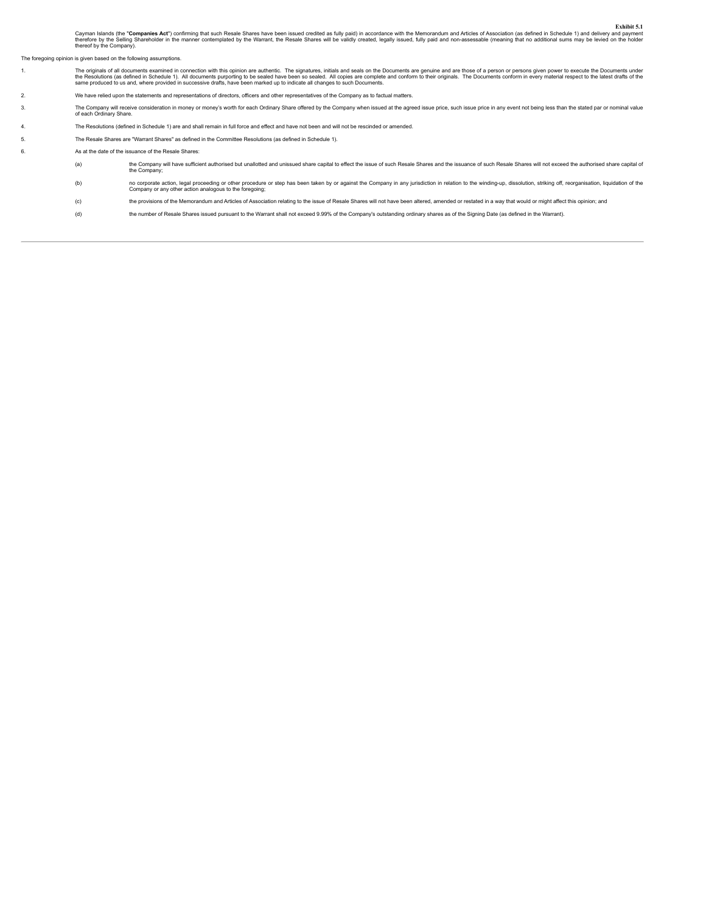Cayman Islands (the "Co**mpanies Act**") confirming that such Resale Shares have been issued credited as fully paid) in accordance with the Memorandum and Articles of Association (as defined in Schedule 1) and delivery and p

The foregoing opinion is given based on the following assumptions.

| The originals of all documents examined in connection with this opinion are authentic. The signatures, initials and seals on the Documents are genuine and are those of a person or persons given power to execute the Documen |
|--------------------------------------------------------------------------------------------------------------------------------------------------------------------------------------------------------------------------------|
| the Resolutions (as defined in Schedule 1). All documents purporting to be sealed have been so sealed. All copies are complete and conform to their originals. The Documents conform in every material respect to the latest d |
| same produced to us and, where provided in successive drafts, have been marked up to indicate all changes to such Documents.                                                                                                   |

2. We have relied upon the statements and representations of directors, officers and other representatives of the Company as to factual matters.

3. The Company will receive consideration in money or money's worth for each Ordinary Share offered by the Company when issued at the agreed issue price, such issue price in any event not being less than the stated par or

4. The Resolutions (defined in Schedule 1) are and shall remain in full force and effect and have not been and will not be rescinded or amended.

5. The Resale Shares are "Warrant Shares" as defined in the Committee Resolutions (as defined in Schedule 1).

- 6. As at the date of the issuance of the Resale Shares:
	- the Company will have sufficient authorised but unallotted and unissued share capital to effect the issue of such Resale Shares and the issuance of such Resale Shares will not exceed the authorised share capital of<br>the Com no corporate action, legal proceeding or other procedure or step has been taken by or against the Company in any jurisdiction in relation to the winding-up, dissolution, striking off, reorganisation, liquidation of the<br>Com
		- (c) the provisions of the Memorandum and Articles of Association relating to the issue of Resale Shares will not have been altered, amended or restated in a way that would or might affect this opinion; and
		- (d) the number of Resale Shares issued pursuant to the Warrant shall not exceed 9.99% ofthe Company's outstanding ordinary shares as of the Signing Date (as defined in the Warrant).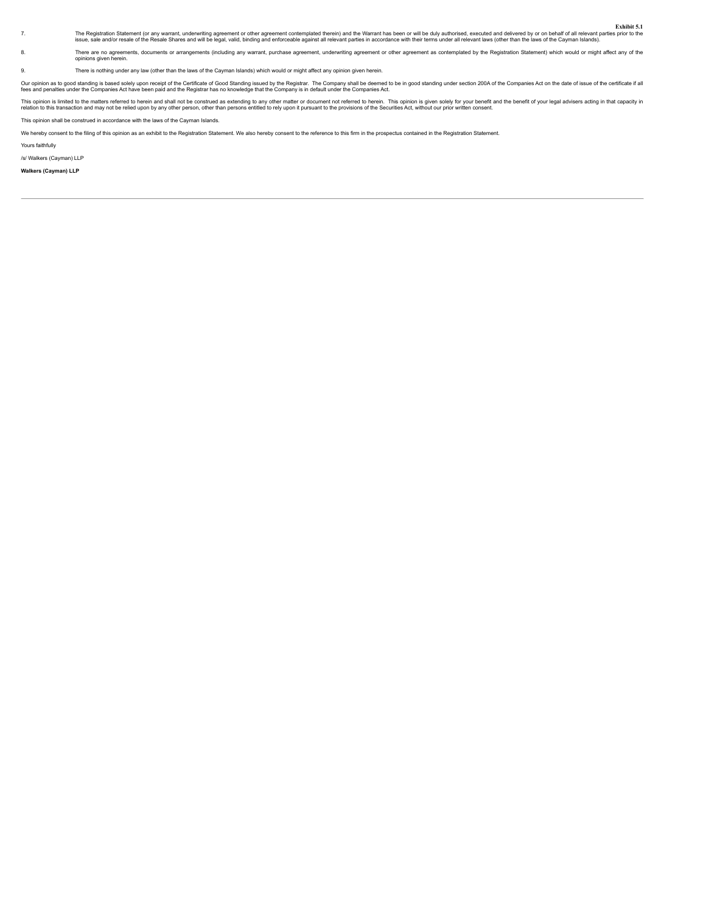Exhibit 5.1<br>The Registration Statement (or any warrant, underwriting agreement or other agreement contemplated therein) and the Warrant has been or will be duly authorised, executed and delivered by or on behalf of all rel

8. There are no agreements, documents or arrangements (including any warrant, purchase agreement, underwriting agreement or other agreement as contemplated by the Registration Statement) which would or might affect any of

9. There is nothing under any law (other than the laws of the Cayman Islands) which would or might affect any opinion given herein.

Our opinon as to good standing is based solely upon receipt of the Certificate of Good Standing issued by the Rompary sind be demed to be in good standing under section 200A of the Companies Act on the date of issue of the

This opinon is limited to the matters referred to herein and shall not be construed as extending to any other matter or document not referred to herein. This opinion is given soley for your leads only may be the securation

This opinion shall be construed in accordance with the laws of the Cayman Islands.

We hereby consent to the filing of this opinion as an exhibit to the Registration Statement. We also hereby consent to the reference to this firm in the prospectus contained in the Registration Statement.

Yours faithfully

/s/ Walkers (Cayman) LLP

**Walkers (Cayman) LLP**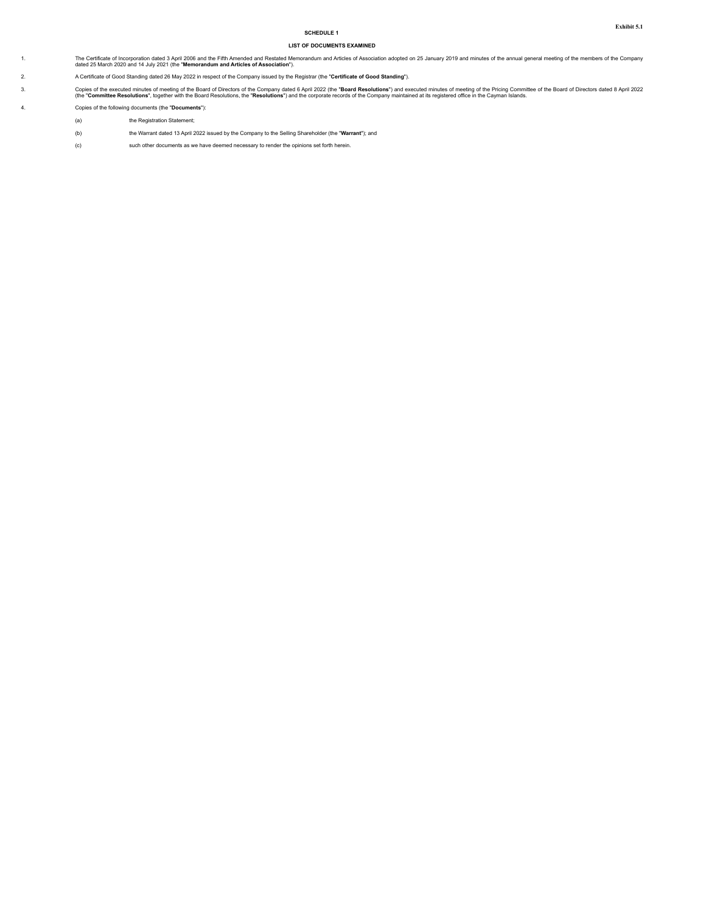# **SCHEDULE 1**

# **LIST OF DOCUMENTS EXAMINED**

1. The Certificate of Incorporation dated 3 April 2006 and the Fifth Amended and Restated Memorandum and Articles of Association adopted on 25 January 2019 and minutes of the annual general meeting of the members of the Co

2. A Certificate of Good Standing dated 26 May 2022 in respect of the Company issued by the Registrar (the "**Certificate of Good Standing**").

3. Copies of the executed minutes of meeting of the Board of Directors of the Company dated 6 April 2022 (the "Board Resolutions") and secuted minutes of the Price of the Board Resolutions, the "Resolutions", the "Resoluti

4. Copies of the following documents (the "**Documents**"):

- (a) the Registration Statement;
- (b) the Warrant dated 13 April 2022 issued by the Company to the Selling Shareholder (the "**Warrant**"); and
- (c) such other documents as we have deemed necessary to render the opinions set forth herein.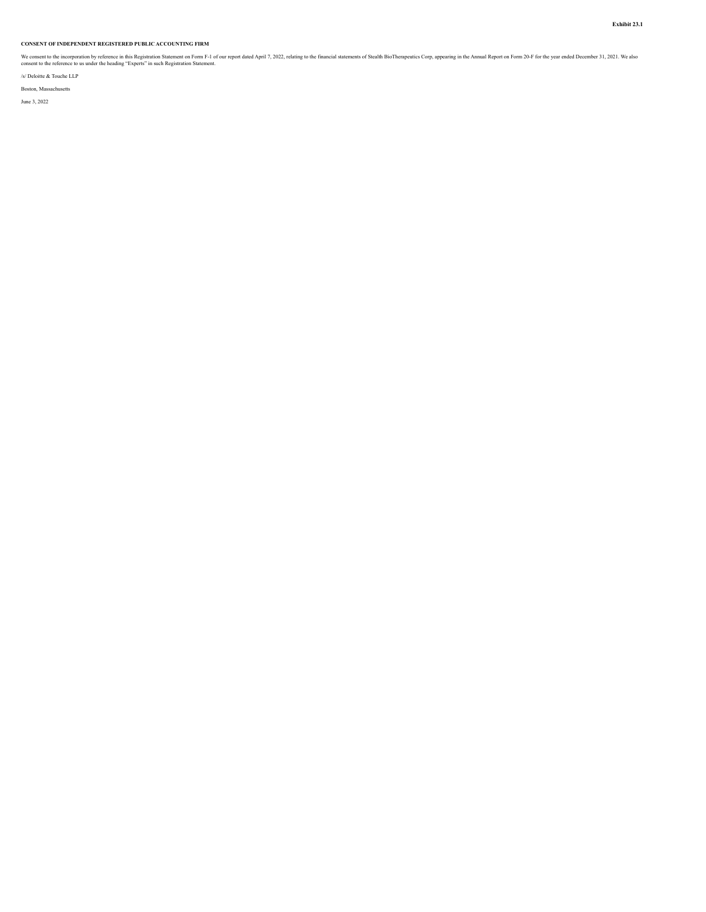# <span id="page-69-0"></span>**CONSENT OF INDEPENDENT REGISTERED PUBLIC ACCOUNTING FIRM**

We consent to the incorporation by reference in this Registration Statement on Form F-1 of our report dated April 7, 2022, relating to the financial statements of Stealth BioTherapeutics Corp, appearing in the Annual Repor

/s/ Deloitte & Touche LLP

Boston, Massachusetts June 3, 2022